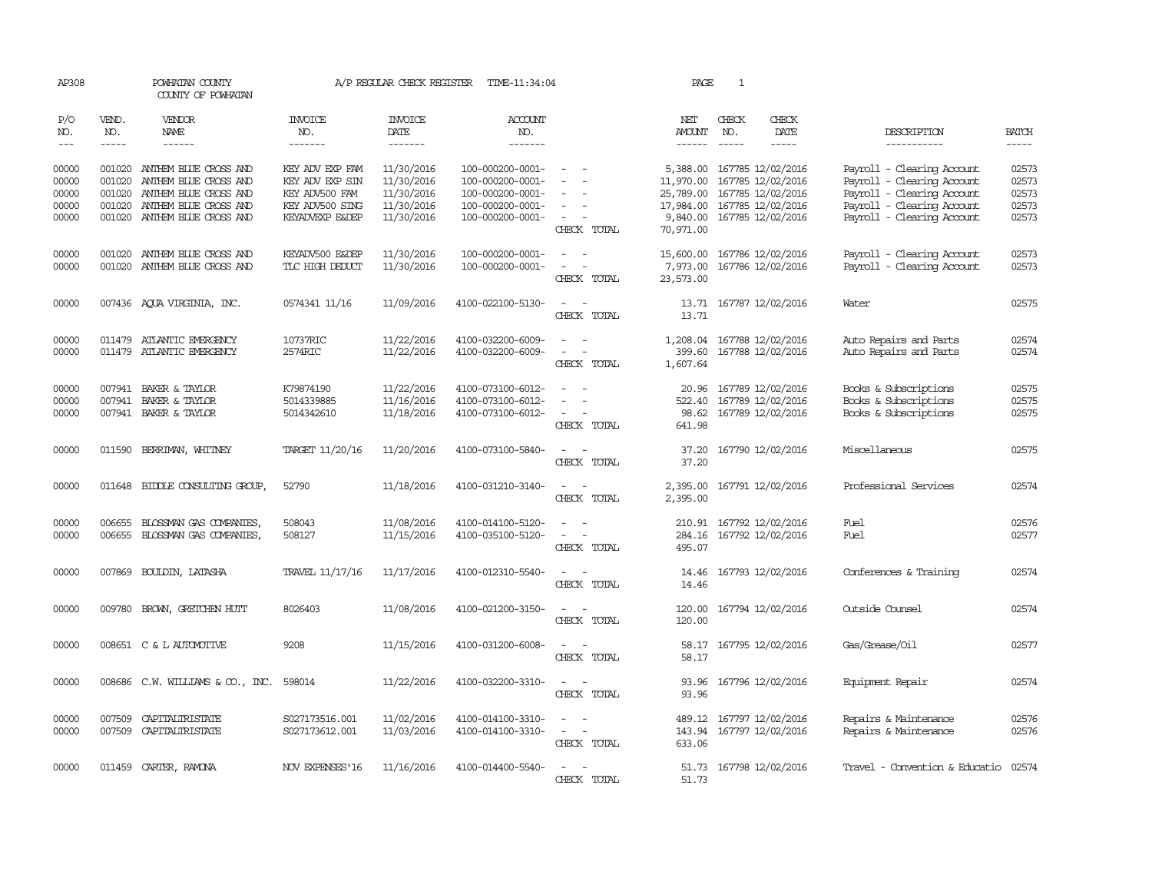| AP308                                     |                                                | POWHATAN COUNTY<br>COUNTY OF POWHATAN                                                                                                                                                                                                                                                                                                                                                                                                                                      |                                                                                            | A/P REGULAR CHECK REGISTER                                         | TIME-11:34:04                                                                                    |                                                                                                           | PAGE                                                                     | 1             |                                                                                                       |                                                                                                                                                    |                                           |
|-------------------------------------------|------------------------------------------------|----------------------------------------------------------------------------------------------------------------------------------------------------------------------------------------------------------------------------------------------------------------------------------------------------------------------------------------------------------------------------------------------------------------------------------------------------------------------------|--------------------------------------------------------------------------------------------|--------------------------------------------------------------------|--------------------------------------------------------------------------------------------------|-----------------------------------------------------------------------------------------------------------|--------------------------------------------------------------------------|---------------|-------------------------------------------------------------------------------------------------------|----------------------------------------------------------------------------------------------------------------------------------------------------|-------------------------------------------|
| P/O<br>NO.                                | VEND.<br>NO.                                   | <b>VENDOR</b><br>NAME                                                                                                                                                                                                                                                                                                                                                                                                                                                      | <b>INVOICE</b><br>NO.                                                                      | <b>INVOICE</b><br>DATE                                             | <b>ACCOUNT</b><br>NO.                                                                            |                                                                                                           | NET<br><b>AMOUNT</b>                                                     | CHECK<br>NO.  | CHECK<br>DATE                                                                                         | DESCRIPTION                                                                                                                                        | <b>BATCH</b>                              |
| $---$                                     | $\frac{1}{2}$                                  | $\frac{1}{2} \left( \frac{1}{2} \right) \left( \frac{1}{2} \right) \left( \frac{1}{2} \right) \left( \frac{1}{2} \right) \left( \frac{1}{2} \right) \left( \frac{1}{2} \right) \left( \frac{1}{2} \right) \left( \frac{1}{2} \right) \left( \frac{1}{2} \right) \left( \frac{1}{2} \right) \left( \frac{1}{2} \right) \left( \frac{1}{2} \right) \left( \frac{1}{2} \right) \left( \frac{1}{2} \right) \left( \frac{1}{2} \right) \left( \frac{1}{2} \right) \left( \frac$ | -------                                                                                    | -------                                                            | -------                                                                                          |                                                                                                           | $- - - - - -$                                                            | $\frac{1}{2}$ | $\frac{1}{2}$                                                                                         | -----------                                                                                                                                        | $\frac{1}{2}$                             |
| 00000<br>00000<br>00000<br>00000<br>00000 | 001020<br>001020<br>001020<br>001020<br>001020 | ANTHEM BLUE CROSS AND<br>ANIHEM BLUE CROSS AND<br>ANTHEM BLUE CROSS AND<br>ANTHEM BLUE CROSS AND<br>ANTHEM BLUE CROSS AND                                                                                                                                                                                                                                                                                                                                                  | KEY ADV EXP FAM<br>KEY ADV EXP SIN<br>KEY ADV500 FAM<br>KEY ADV500 SING<br>KEYADVEXP E&DEP | 11/30/2016<br>11/30/2016<br>11/30/2016<br>11/30/2016<br>11/30/2016 | 100-000200-0001-<br>100-000200-0001-<br>100-000200-0001-<br>100-000200-0001-<br>100-000200-0001- | $\sim$<br>$\overline{\phantom{a}}$<br>$\sim$<br>$\overline{\phantom{a}}$<br>$\sim$<br>CHECK TOTAL         | 5,388.00<br>11,970.00<br>25,789.00<br>17,984.00<br>9,840.00<br>70,971.00 |               | 167785 12/02/2016<br>167785 12/02/2016<br>167785 12/02/2016<br>167785 12/02/2016<br>167785 12/02/2016 | Payroll - Clearing Account<br>Payroll - Clearing Account<br>Payroll - Clearing Account<br>Payroll - Clearing Account<br>Payroll - Clearing Account | 02573<br>02573<br>02573<br>02573<br>02573 |
| 00000<br>00000                            | 001020<br>001020                               | ANTHEM BLUE CROSS AND<br>ANTHEM BLUE CROSS AND                                                                                                                                                                                                                                                                                                                                                                                                                             | KEYADV500 E&DEP<br>TLC HIGH DEDUCT                                                         | 11/30/2016<br>11/30/2016                                           | 100-000200-0001-<br>100-000200-0001-                                                             | $\overline{\phantom{a}}$<br>$\sim$<br>$\overline{\phantom{a}}$<br>$\overline{\phantom{a}}$<br>CHECK TOTAL | 15,600.00<br>7,973.00<br>23,573.00                                       |               | 167786 12/02/2016<br>167786 12/02/2016                                                                | Payroll - Clearing Account<br>Payroll - Clearing Account                                                                                           | 02573<br>02573                            |
| 00000                                     |                                                | 007436 AQUA VIRGINIA, INC.                                                                                                                                                                                                                                                                                                                                                                                                                                                 | 0574341 11/16                                                                              | 11/09/2016                                                         | 4100-022100-5130-                                                                                | $\hspace{0.1mm}-\hspace{0.1mm}$<br>$\sim$<br>CHECK TOTAL                                                  | 13.71<br>13.71                                                           |               | 167787 12/02/2016                                                                                     | Water                                                                                                                                              | 02575                                     |
| 00000<br>00000                            |                                                | 011479 ATLANTIC EMERGENCY<br>011479 ATLANTIC EMERGENCY                                                                                                                                                                                                                                                                                                                                                                                                                     | 10737RIC<br>2574RIC                                                                        | 11/22/2016<br>11/22/2016                                           | 4100-032200-6009-<br>4100-032200-6009-                                                           | $\sim$ 10 $\sim$ 10 $\sim$<br>$\sim$<br>$\sim$<br>CHECK TOTAL                                             | 399.60<br>1,607.64                                                       |               | 1,208.04 167788 12/02/2016<br>167788 12/02/2016                                                       | Auto Repairs and Parts<br>Auto Repairs and Parts                                                                                                   | 02574<br>02574                            |
| 00000<br>00000<br>00000                   |                                                | 007941 BAKER & TAYLOR<br>007941 BAKER & TAYLOR<br>007941 BAKER & TAYLOR                                                                                                                                                                                                                                                                                                                                                                                                    | K79874190<br>5014339885<br>5014342610                                                      | 11/22/2016<br>11/16/2016<br>11/18/2016                             | 4100-073100-6012-<br>4100-073100-6012-<br>4100-073100-6012-                                      | $\overline{\phantom{a}}$<br>$\overline{\phantom{a}}$<br>$\sim$<br>$\sim$<br>CHECK TOTAL                   | 20.96<br>522.40<br>98.62<br>641.98                                       |               | 167789 12/02/2016<br>167789 12/02/2016<br>167789 12/02/2016                                           | Books & Subscriptions<br>Books & Subscriptions<br>Books & Subscriptions                                                                            | 02575<br>02575<br>02575                   |
| 00000                                     |                                                | 011590 BERRIMAN, WHITNEY                                                                                                                                                                                                                                                                                                                                                                                                                                                   | TARGET 11/20/16                                                                            | 11/20/2016                                                         | 4100-073100-5840-                                                                                | $\sim$ $\sim$<br>CHECK TOTAL                                                                              | 37.20                                                                    |               | 37.20 167790 12/02/2016                                                                               | Miscellaneous                                                                                                                                      | 02575                                     |
| 00000                                     | 011648                                         | BIDDLE CONSULTING GROUP,                                                                                                                                                                                                                                                                                                                                                                                                                                                   | 52790                                                                                      | 11/18/2016                                                         | 4100-031210-3140-                                                                                | $\sim$<br>CHECK TOTAL                                                                                     | 2,395.00<br>2,395.00                                                     |               | 167791 12/02/2016                                                                                     | Professional Services                                                                                                                              | 02574                                     |
| 00000<br>00000                            | 006655                                         | BLOSSMAN GAS COMPANIES,<br>006655 BLOSSMAN GAS COMPANIES,                                                                                                                                                                                                                                                                                                                                                                                                                  | 508043<br>508127                                                                           | 11/08/2016<br>11/15/2016                                           | 4100-014100-5120-<br>4100-035100-5120-                                                           | $\sim$<br>CHECK TOTAL                                                                                     | 210.91<br>284.16<br>495.07                                               |               | 167792 12/02/2016<br>167792 12/02/2016                                                                | Fuel<br>Fuel                                                                                                                                       | 02576<br>02577                            |
| 00000                                     | 007869                                         | BOULDIN, LATASHA                                                                                                                                                                                                                                                                                                                                                                                                                                                           | TRAVEL 11/17/16                                                                            | 11/17/2016                                                         | 4100-012310-5540-                                                                                | CHECK TOTAL                                                                                               | 14.46<br>14.46                                                           |               | 167793 12/02/2016                                                                                     | Conferences & Training                                                                                                                             | 02574                                     |
| 00000                                     | 009780                                         | BROWN, GRETCHEN HUTT                                                                                                                                                                                                                                                                                                                                                                                                                                                       | 8026403                                                                                    | 11/08/2016                                                         | 4100-021200-3150-                                                                                | $\overline{\phantom{a}}$<br>CHECK TOTAL                                                                   | 120.00<br>120.00                                                         |               | 167794 12/02/2016                                                                                     | Outside Counsel                                                                                                                                    | 02574                                     |
| 00000                                     |                                                | 008651 C & L AUTOMOTIVE                                                                                                                                                                                                                                                                                                                                                                                                                                                    | 9208                                                                                       | 11/15/2016                                                         | 4100-031200-6008-                                                                                | $\sim$<br>$\overline{\phantom{a}}$<br>CHECK TOTAL                                                         | 58.17                                                                    |               | 58.17 167795 12/02/2016                                                                               | Gas/Grease/Oil                                                                                                                                     | 02577                                     |
| 00000                                     |                                                | 008686 C.W. WILLIAMS & CO., INC.                                                                                                                                                                                                                                                                                                                                                                                                                                           | 598014                                                                                     | 11/22/2016                                                         | 4100-032200-3310-                                                                                | $\overline{\phantom{a}}$<br>$\sim$<br>CHECK TOTAL                                                         | 93.96<br>93.96                                                           |               | 167796 12/02/2016                                                                                     | Equipment Repair                                                                                                                                   | 02574                                     |
| 00000<br>00000                            | 007509                                         | CAPITALIRISTATE<br>007509 CAPITALIRISTATE                                                                                                                                                                                                                                                                                                                                                                                                                                  | S027173516.001<br>S027173612.001                                                           | 11/02/2016<br>11/03/2016                                           | 4100-014100-3310-<br>4100-014100-3310-                                                           | $\equiv$<br>$\sim$<br>$\sim$<br>$\sim$<br>CHECK TOTAL                                                     | 489.12<br>143.94<br>633.06                                               |               | 167797 12/02/2016<br>167797 12/02/2016                                                                | Repairs & Maintenance<br>Repairs & Maintenance                                                                                                     | 02576<br>02576                            |
| 00000                                     |                                                | 011459 CARTER, RAMONA                                                                                                                                                                                                                                                                                                                                                                                                                                                      | NOV EXPENSES '16                                                                           | 11/16/2016                                                         | 4100-014400-5540-                                                                                | $\sim$<br>$\sim$<br>CHECK TOTAL                                                                           | 51.73                                                                    |               | 51.73 167798 12/02/2016                                                                               | Travel - Convention & Educatio                                                                                                                     | 02574                                     |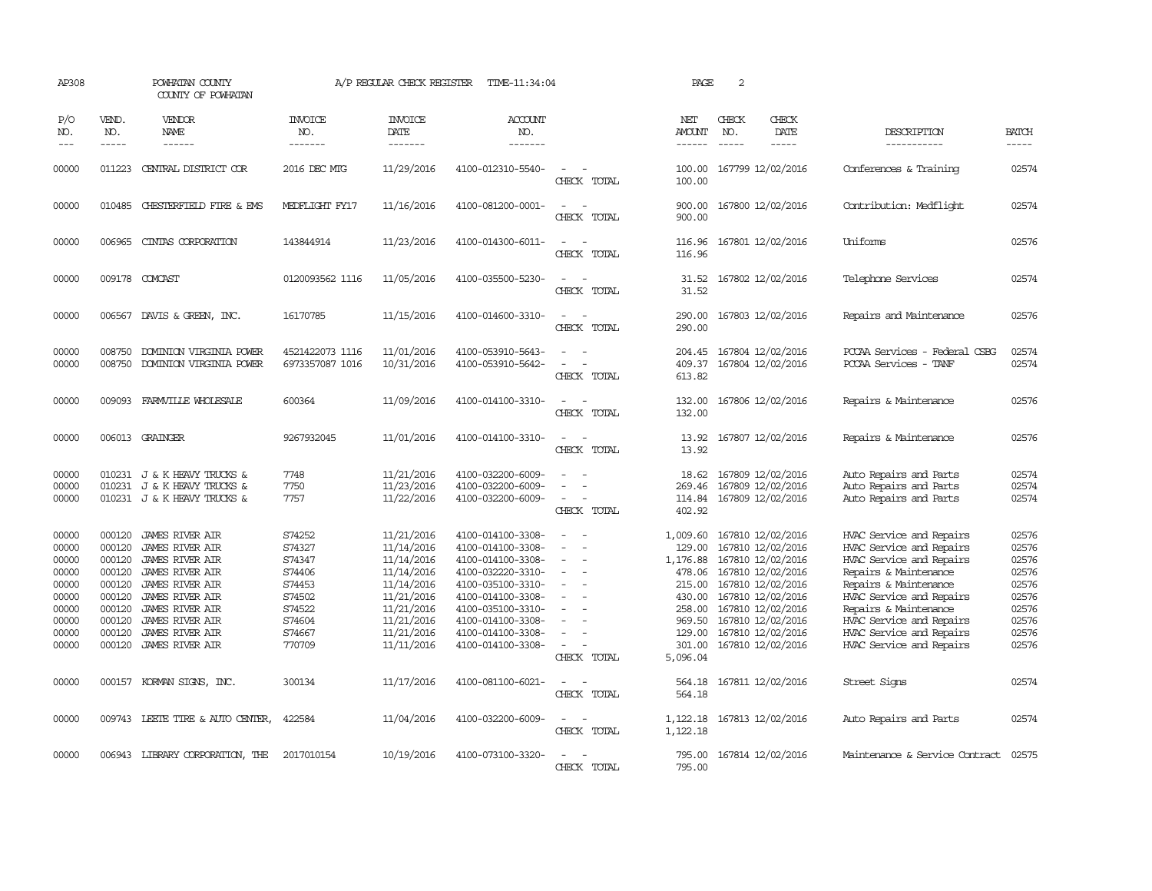| AP308                                                                                  |                                                                                        | POWHATAN COUNTY<br>COUNTY OF POWHATAN                                                                                                                                                                                                                     |                                                                                                  | A/P REGULAR CHECK REGISTER                                                                                                               | TIME-11:34:04                                                                                                                                                                                                  |                                                                                                   | PAGE                                                                                                             | $\sqrt{2}$                  |                                                                                                                                                                                                                |                                                                                                                                                                                                                                                                             |                                                                                        |
|----------------------------------------------------------------------------------------|----------------------------------------------------------------------------------------|-----------------------------------------------------------------------------------------------------------------------------------------------------------------------------------------------------------------------------------------------------------|--------------------------------------------------------------------------------------------------|------------------------------------------------------------------------------------------------------------------------------------------|----------------------------------------------------------------------------------------------------------------------------------------------------------------------------------------------------------------|---------------------------------------------------------------------------------------------------|------------------------------------------------------------------------------------------------------------------|-----------------------------|----------------------------------------------------------------------------------------------------------------------------------------------------------------------------------------------------------------|-----------------------------------------------------------------------------------------------------------------------------------------------------------------------------------------------------------------------------------------------------------------------------|----------------------------------------------------------------------------------------|
| P/O<br>NO.<br>$---$                                                                    | VEND.<br>NO.<br>$- - - - -$                                                            | VENDOR<br><b>NAME</b><br>------                                                                                                                                                                                                                           | <b>INVOICE</b><br>NO.<br>-------                                                                 | <b>INVOICE</b><br><b>DATE</b><br>-------                                                                                                 | <b>ACCOUNT</b><br>NO.<br>-------                                                                                                                                                                               |                                                                                                   | NET<br>AMOUNT<br>------                                                                                          | CHECK<br>NO.<br>$- - - - -$ | CHECK<br>DATE<br>$\cdots \cdots \cdots$                                                                                                                                                                        | DESCRIPTION<br>-----------                                                                                                                                                                                                                                                  | <b>BATCH</b><br>-----                                                                  |
| 00000                                                                                  | 011223                                                                                 | CENTRAL DISTRICT COR                                                                                                                                                                                                                                      | 2016 DEC MTG                                                                                     | 11/29/2016                                                                                                                               | 4100-012310-5540-                                                                                                                                                                                              | $\equiv$<br>CHECK TOTAL                                                                           | 100.00<br>100.00                                                                                                 |                             | 167799 12/02/2016                                                                                                                                                                                              | Conferences & Training                                                                                                                                                                                                                                                      | 02574                                                                                  |
| 00000                                                                                  | 010485                                                                                 | CHESTERFIELD FIRE & EMS                                                                                                                                                                                                                                   | MEDFLIGHT FY17                                                                                   | 11/16/2016                                                                                                                               | 4100-081200-0001-                                                                                                                                                                                              | $\overline{\phantom{a}}$<br>CHECK TOTAL                                                           | 900.00<br>900.00                                                                                                 |                             | 167800 12/02/2016                                                                                                                                                                                              | Contribution: Medflight                                                                                                                                                                                                                                                     | 02574                                                                                  |
| 00000                                                                                  | 006965                                                                                 | CINIAS CORPORATION                                                                                                                                                                                                                                        | 143844914                                                                                        | 11/23/2016                                                                                                                               | 4100-014300-6011-                                                                                                                                                                                              | $\sim$<br>CHECK TOTAL                                                                             | 116.96<br>116.96                                                                                                 |                             | 167801 12/02/2016                                                                                                                                                                                              | Uniforms                                                                                                                                                                                                                                                                    | 02576                                                                                  |
| 00000                                                                                  |                                                                                        | 009178 COMCAST                                                                                                                                                                                                                                            | 0120093562 1116                                                                                  | 11/05/2016                                                                                                                               | 4100-035500-5230-                                                                                                                                                                                              | $\equiv$<br>CHECK TOTAL                                                                           | 31.52<br>31.52                                                                                                   |                             | 167802 12/02/2016                                                                                                                                                                                              | Telephone Services                                                                                                                                                                                                                                                          | 02574                                                                                  |
| 00000                                                                                  |                                                                                        | 006567 DAVIS & GREEN, INC.                                                                                                                                                                                                                                | 16170785                                                                                         | 11/15/2016                                                                                                                               | 4100-014600-3310-                                                                                                                                                                                              | $\sim$<br>CHECK TOTAL                                                                             | 290.00<br>290.00                                                                                                 |                             | 167803 12/02/2016                                                                                                                                                                                              | Repairs and Maintenance                                                                                                                                                                                                                                                     | 02576                                                                                  |
| 00000<br>00000                                                                         | 008750<br>008750                                                                       | DOMINION VIRGINIA POWER<br>DOMINION VIRGINIA POWER                                                                                                                                                                                                        | 4521422073 1116<br>6973357087 1016                                                               | 11/01/2016<br>10/31/2016                                                                                                                 | 4100-053910-5643-<br>4100-053910-5642-                                                                                                                                                                         | $\sim$<br>$\sim$<br>$\sim$<br>CHECK TOTAL                                                         | 204.45<br>409.37<br>613.82                                                                                       |                             | 167804 12/02/2016<br>167804 12/02/2016                                                                                                                                                                         | PCCAA Services - Federal CSBG<br>PCCAA Services - TANF                                                                                                                                                                                                                      | 02574<br>02574                                                                         |
| 00000                                                                                  |                                                                                        | 009093 FARMVILLE WHOLESALE                                                                                                                                                                                                                                | 600364                                                                                           | 11/09/2016                                                                                                                               | 4100-014100-3310-                                                                                                                                                                                              | $\sim$<br>CHECK TOTAL                                                                             | 132.00<br>132.00                                                                                                 |                             | 167806 12/02/2016                                                                                                                                                                                              | Repairs & Maintenance                                                                                                                                                                                                                                                       | 02576                                                                                  |
| 00000                                                                                  |                                                                                        | 006013 GRAINGER                                                                                                                                                                                                                                           | 9267932045                                                                                       | 11/01/2016                                                                                                                               | 4100-014100-3310-                                                                                                                                                                                              | $\sim$<br>CHECK TOTAL                                                                             | 13.92<br>13.92                                                                                                   |                             | 167807 12/02/2016                                                                                                                                                                                              | Repairs & Maintenance                                                                                                                                                                                                                                                       | 02576                                                                                  |
| 00000<br>00000<br>00000                                                                | 010231                                                                                 | 010231 J & K HEAVY TRUCKS &<br>J & K HEAVY TRUCKS &<br>010231 J & K HEAVY TRUCKS &                                                                                                                                                                        | 7748<br>7750<br>7757                                                                             | 11/21/2016<br>11/23/2016<br>11/22/2016                                                                                                   | 4100-032200-6009-<br>4100-032200-6009-<br>4100-032200-6009-                                                                                                                                                    | $\equiv$<br>$\sim$<br>CHECK TOTAL                                                                 | 18.62<br>269.46<br>114.84<br>402.92                                                                              |                             | 167809 12/02/2016<br>167809 12/02/2016<br>167809 12/02/2016                                                                                                                                                    | Auto Repairs and Parts<br>Auto Repairs and Parts<br>Auto Repairs and Parts                                                                                                                                                                                                  | 02574<br>02574<br>02574                                                                |
| 00000<br>00000<br>00000<br>00000<br>00000<br>00000<br>00000<br>00000<br>00000<br>00000 | 000120<br>000120<br>000120<br>000120<br>000120<br>000120<br>000120<br>000120<br>000120 | <b>JAMES RIVER AIR</b><br><b>JAMES RIVER AIR</b><br><b>JAMES RIVER AIR</b><br>JAMES RIVER AIR<br><b>JAMES RIVER AIR</b><br><b>JAMES RIVER AIR</b><br><b>JAMES RIVER AIR</b><br><b>JAMES RIVER AIR</b><br><b>JAMES RIVER AIR</b><br>000120 JAMES RIVER AIR | S74252<br>S74327<br>S74347<br>S74406<br>S74453<br>S74502<br>S74522<br>S74604<br>S74667<br>770709 | 11/21/2016<br>11/14/2016<br>11/14/2016<br>11/14/2016<br>11/14/2016<br>11/21/2016<br>11/21/2016<br>11/21/2016<br>11/21/2016<br>11/11/2016 | 4100-014100-3308-<br>4100-014100-3308-<br>4100-014100-3308-<br>4100-032220-3310-<br>4100-035100-3310-<br>4100-014100-3308-<br>4100-035100-3310-<br>4100-014100-3308-<br>4100-014100-3308-<br>4100-014100-3308- | $\equiv$<br>$\equiv$<br>$\equiv$<br>$\equiv$<br>$\overline{\phantom{a}}$<br>$\sim$<br>CHECK TOTAL | 1,009.60<br>129.00<br>1,176.88<br>478.06<br>215.00<br>430.00<br>258.00<br>969.50<br>129.00<br>301.00<br>5,096.04 |                             | 167810 12/02/2016<br>167810 12/02/2016<br>167810 12/02/2016<br>167810 12/02/2016<br>167810 12/02/2016<br>167810 12/02/2016<br>167810 12/02/2016<br>167810 12/02/2016<br>167810 12/02/2016<br>167810 12/02/2016 | HVAC Service and Repairs<br>HVAC Service and Repairs<br>HVAC Service and Repairs<br>Repairs & Maintenance<br>Repairs & Maintenance<br>HVAC Service and Repairs<br>Repairs & Maintenance<br>HVAC Service and Repairs<br>HVAC Service and Repairs<br>HVAC Service and Repairs | 02576<br>02576<br>02576<br>02576<br>02576<br>02576<br>02576<br>02576<br>02576<br>02576 |
| 00000                                                                                  |                                                                                        | 000157 KORMAN SIGNS, INC.                                                                                                                                                                                                                                 | 300134                                                                                           | 11/17/2016                                                                                                                               | 4100-081100-6021-                                                                                                                                                                                              | $\sim$ 10 $\,$<br>CHECK TOTAL                                                                     | 564.18<br>564.18                                                                                                 |                             | 167811 12/02/2016                                                                                                                                                                                              | Street Signs                                                                                                                                                                                                                                                                | 02574                                                                                  |
| 00000                                                                                  |                                                                                        | 009743 LEETE TIRE & AUTO CENTER,                                                                                                                                                                                                                          | 422584                                                                                           | 11/04/2016                                                                                                                               | 4100-032200-6009-                                                                                                                                                                                              | $\sim$<br>CHECK TOTAL                                                                             | 1,122.18                                                                                                         |                             | 1, 122.18 167813 12/02/2016                                                                                                                                                                                    | Auto Repairs and Parts                                                                                                                                                                                                                                                      | 02574                                                                                  |
| 00000                                                                                  |                                                                                        | 006943 LIBRARY CORPORATION, THE                                                                                                                                                                                                                           | 2017010154                                                                                       | 10/19/2016                                                                                                                               | 4100-073100-3320-                                                                                                                                                                                              | $\equiv$<br>CHECK TOTAL                                                                           | 795.00<br>795.00                                                                                                 |                             | 167814 12/02/2016                                                                                                                                                                                              | Maintenance & Service Contract                                                                                                                                                                                                                                              | 02575                                                                                  |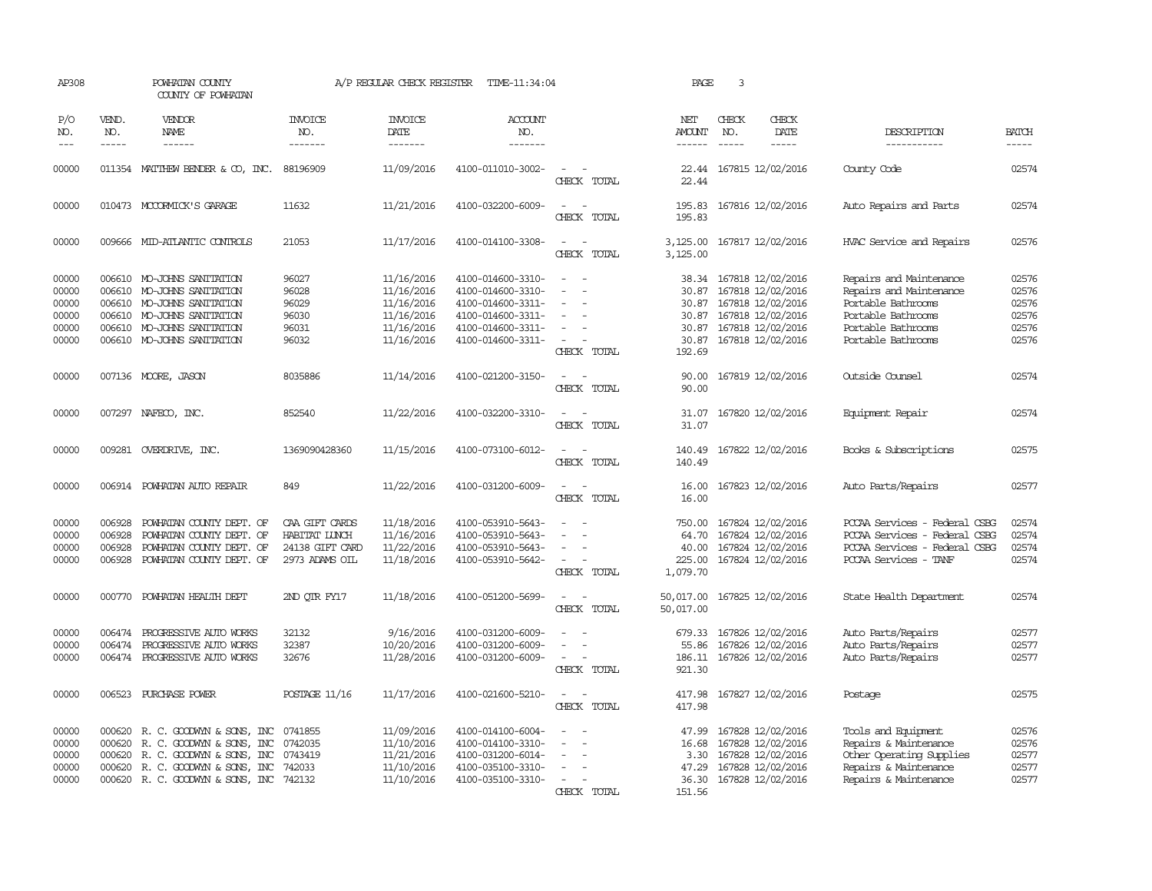| AP308               |                               | POWHATAN COUNTY<br>COUNTY OF POWHATAN                                                                                                                                                                                                                                                                                                                                                                                                                                                        |                                  | A/P REGULAR CHECK REGISTER         | TIME-11:34:04                    |                                                                     | PAGE                                  | 3                             |                            |                               |                               |
|---------------------|-------------------------------|----------------------------------------------------------------------------------------------------------------------------------------------------------------------------------------------------------------------------------------------------------------------------------------------------------------------------------------------------------------------------------------------------------------------------------------------------------------------------------------------|----------------------------------|------------------------------------|----------------------------------|---------------------------------------------------------------------|---------------------------------------|-------------------------------|----------------------------|-------------------------------|-------------------------------|
| P/O<br>NO.<br>$---$ | VEND.<br>NO.<br>$\frac{1}{2}$ | VENDOR<br>NAME<br>$\frac{1}{2} \left( \frac{1}{2} \right) \left( \frac{1}{2} \right) \left( \frac{1}{2} \right) \left( \frac{1}{2} \right) \left( \frac{1}{2} \right) \left( \frac{1}{2} \right) \left( \frac{1}{2} \right) \left( \frac{1}{2} \right) \left( \frac{1}{2} \right) \left( \frac{1}{2} \right) \left( \frac{1}{2} \right) \left( \frac{1}{2} \right) \left( \frac{1}{2} \right) \left( \frac{1}{2} \right) \left( \frac{1}{2} \right) \left( \frac{1}{2} \right) \left( \frac$ | <b>INVOICE</b><br>NO.<br>------- | <b>INVOICE</b><br>DATE<br>-------- | <b>ACCOUNT</b><br>NO.<br>------- |                                                                     | NET<br><b>AMOUNT</b><br>$- - - - - -$ | CHECK<br>NO.<br>$\frac{1}{2}$ | CHECK<br>DATE<br>-----     | DESCRIPTION<br>-----------    | <b>BATCH</b><br>$\frac{1}{2}$ |
|                     |                               |                                                                                                                                                                                                                                                                                                                                                                                                                                                                                              |                                  |                                    |                                  |                                                                     |                                       |                               |                            |                               |                               |
| 00000               |                               | 011354 MATTHEW BENDER & CO, INC.                                                                                                                                                                                                                                                                                                                                                                                                                                                             | 88196909                         | 11/09/2016                         | 4100-011010-3002-                | $\overline{\phantom{a}}$<br>CHECK TOTAL                             | 22.44                                 |                               | 22.44 167815 12/02/2016    | County Code                   | 02574                         |
| 00000               |                               | 010473 MCCORMICK'S GARAGE                                                                                                                                                                                                                                                                                                                                                                                                                                                                    | 11632                            | 11/21/2016                         | 4100-032200-6009-                | $\sim$<br>CHECK TOTAL                                               | 195.83                                |                               | 195.83 167816 12/02/2016   | Auto Repairs and Parts        | 02574                         |
| 00000               |                               | 009666 MID-ATLANTIC CONTROLS                                                                                                                                                                                                                                                                                                                                                                                                                                                                 | 21053                            | 11/17/2016                         | 4100-014100-3308-                | $\sim$<br>$\sim$<br>CHECK TOTAL                                     | 3,125.00                              |                               | 3,125.00 167817 12/02/2016 | HVAC Service and Repairs      | 02576                         |
| 00000               |                               | 006610 MO-JOHNS SANITATION                                                                                                                                                                                                                                                                                                                                                                                                                                                                   | 96027                            | 11/16/2016                         | 4100-014600-3310-                |                                                                     |                                       |                               | 38.34 167818 12/02/2016    | Repairs and Maintenance       | 02576                         |
| 00000               | 006610                        | MO-JOHNS SANITATION                                                                                                                                                                                                                                                                                                                                                                                                                                                                          | 96028                            | 11/16/2016                         | 4100-014600-3310-                |                                                                     | 30.87                                 |                               | 167818 12/02/2016          | Repairs and Maintenance       | 02576                         |
| 00000               |                               | 006610 MO-JOHNS SANITATION                                                                                                                                                                                                                                                                                                                                                                                                                                                                   | 96029                            | 11/16/2016                         | 4100-014600-3311-                | $\sim$                                                              |                                       |                               | 30.87 167818 12/02/2016    | Portable Bathrooms            | 02576                         |
| 00000               |                               | 006610 MO-JOHNS SANITATION                                                                                                                                                                                                                                                                                                                                                                                                                                                                   | 96030                            | 11/16/2016                         | 4100-014600-3311-                | $\sim$                                                              | 30.87                                 |                               | 167818 12/02/2016          | Portable Bathrooms            | 02576                         |
| 00000               |                               | 006610 MO-JOHNS SANITATION                                                                                                                                                                                                                                                                                                                                                                                                                                                                   | 96031                            | 11/16/2016                         | 4100-014600-3311-                |                                                                     |                                       |                               | 30.87 167818 12/02/2016    | Portable Bathrooms            | 02576                         |
|                     |                               | 006610 MO-JOHNS SANITATION                                                                                                                                                                                                                                                                                                                                                                                                                                                                   | 96032                            |                                    |                                  | $\sim$                                                              |                                       |                               |                            | Portable Bathrooms            | 02576                         |
| 00000               |                               |                                                                                                                                                                                                                                                                                                                                                                                                                                                                                              |                                  | 11/16/2016                         | 4100-014600-3311-                | CHECK TOTAL                                                         | 192.69                                |                               | 30.87 167818 12/02/2016    |                               |                               |
| 00000               |                               | 007136 MOORE, JASON                                                                                                                                                                                                                                                                                                                                                                                                                                                                          | 8035886                          | 11/14/2016                         | 4100-021200-3150-                | $\sim$<br>$\sim$                                                    | 90.00                                 |                               | 167819 12/02/2016          | Outside Counsel               | 02574                         |
|                     |                               |                                                                                                                                                                                                                                                                                                                                                                                                                                                                                              |                                  |                                    |                                  | CHECK TOTAL                                                         | 90.00                                 |                               |                            |                               |                               |
| 00000               |                               | 007297 NAFECO, INC.                                                                                                                                                                                                                                                                                                                                                                                                                                                                          | 852540                           | 11/22/2016                         | 4100-032200-3310-                | $\overline{\phantom{a}}$<br>CHECK TOTAL                             | 31.07                                 |                               | 31.07 167820 12/02/2016    | Equipment Repair              | 02574                         |
| 00000               |                               | 009281 OVERDRIVE, INC.                                                                                                                                                                                                                                                                                                                                                                                                                                                                       | 1369090428360                    | 11/15/2016                         | 4100-073100-6012-                | $\overline{\phantom{a}}$<br>$\overline{\phantom{a}}$<br>CHECK TOTAL | 140.49<br>140.49                      |                               | 167822 12/02/2016          | Books & Subscriptions         | 02575                         |
| 00000               |                               | 006914 POWHATAN AUTO REPAIR                                                                                                                                                                                                                                                                                                                                                                                                                                                                  | 849                              | 11/22/2016                         | 4100-031200-6009-                | $\overline{\phantom{a}}$<br>CHECK TOTAL                             | 16.00<br>16.00                        |                               | 167823 12/02/2016          | Auto Parts/Repairs            | 02577                         |
| 00000               | 006928                        | POWHATAN COUNTY DEPT. OF                                                                                                                                                                                                                                                                                                                                                                                                                                                                     | CAA GIFT CARDS                   | 11/18/2016                         | 4100-053910-5643-                |                                                                     | 750.00                                |                               |                            | PCCAA Services - Federal CSBG | 02574                         |
|                     |                               |                                                                                                                                                                                                                                                                                                                                                                                                                                                                                              |                                  |                                    |                                  |                                                                     |                                       |                               | 167824 12/02/2016          |                               |                               |
| 00000               | 006928                        | POWHATAN COUNTY DEPT. OF                                                                                                                                                                                                                                                                                                                                                                                                                                                                     | HABITAT LUNCH                    | 11/16/2016                         | 4100-053910-5643-                |                                                                     | 64.70                                 |                               | 167824 12/02/2016          | PCCAA Services - Federal CSBG | 02574                         |
| 00000               | 006928                        | POWHATAN COUNTY DEPT. OF                                                                                                                                                                                                                                                                                                                                                                                                                                                                     | 24138 GIFT CARD                  | 11/22/2016                         | 4100-053910-5643-                |                                                                     | 40.00                                 |                               | 167824 12/02/2016          | PCCAA Services - Federal CSBG | 02574                         |
| 00000               |                               | 006928 POWHATAN COUNTY DEPT. OF                                                                                                                                                                                                                                                                                                                                                                                                                                                              | 2973 ADAMS OIL                   | 11/18/2016                         | 4100-053910-5642-                | CHECK TOTAL                                                         | 225.00<br>1,079.70                    |                               | 167824 12/02/2016          | PCCAA Services - TANF         | 02574                         |
|                     |                               |                                                                                                                                                                                                                                                                                                                                                                                                                                                                                              |                                  |                                    |                                  |                                                                     |                                       |                               |                            |                               |                               |
| 00000               | 000770                        | POWHATAN HEALTH DEPT                                                                                                                                                                                                                                                                                                                                                                                                                                                                         | 2ND QTR FY17                     | 11/18/2016                         | 4100-051200-5699-                | CHECK TOTAL                                                         | 50,017.00<br>50,017.00                |                               | 167825 12/02/2016          | State Health Department       | 02574                         |
| 00000               | 006474                        | PROGRESSIVE AUTO WORKS                                                                                                                                                                                                                                                                                                                                                                                                                                                                       | 32132                            | 9/16/2016                          | 4100-031200-6009-                |                                                                     | 679.33                                |                               | 167826 12/02/2016          | Auto Parts/Repairs            | 02577                         |
| 00000               | 006474                        | PROGRESSIVE AUTO WORKS                                                                                                                                                                                                                                                                                                                                                                                                                                                                       | 32387                            | 10/20/2016                         | 4100-031200-6009-                |                                                                     | 55.86                                 |                               | 167826 12/02/2016          | Auto Parts/Repairs            | 02577                         |
| 00000               |                               | 006474 PROGRESSIVE AUTO WORKS                                                                                                                                                                                                                                                                                                                                                                                                                                                                | 32676                            | 11/28/2016                         | 4100-031200-6009-                | $\sim$<br>$\sim$                                                    |                                       |                               | 186.11 167826 12/02/2016   | Auto Parts/Repairs            | 02577                         |
|                     |                               |                                                                                                                                                                                                                                                                                                                                                                                                                                                                                              |                                  |                                    |                                  | CHECK TOTAL                                                         | 921.30                                |                               |                            |                               |                               |
| 00000               |                               | 006523 PURCHASE POWER                                                                                                                                                                                                                                                                                                                                                                                                                                                                        | POSTAGE 11/16                    | 11/17/2016                         | 4100-021600-5210-                | $\sim$<br>- -<br>CHECK TOTAL                                        | 417.98<br>417.98                      |                               | 167827 12/02/2016          | Postage                       | 02575                         |
| 00000               |                               | 000620 R. C. GOODWYN & SONS, INC                                                                                                                                                                                                                                                                                                                                                                                                                                                             | 0741855                          | 11/09/2016                         | 4100-014100-6004-                |                                                                     | 47.99                                 |                               | 167828 12/02/2016          | Tools and Equipment           | 02576                         |
| 00000               |                               | 000620 R. C. GOODWYN & SONS, INC                                                                                                                                                                                                                                                                                                                                                                                                                                                             | 0742035                          | 11/10/2016                         | 4100-014100-3310-                | $\overline{\phantom{a}}$                                            |                                       |                               | 16.68 167828 12/02/2016    | Repairs & Maintenance         | 02576                         |
| 00000               | 000620                        | R. C. GOODWYN & SONS, INC                                                                                                                                                                                                                                                                                                                                                                                                                                                                    | 0743419                          | 11/21/2016                         | 4100-031200-6014-                | $\sim$                                                              | 3.30                                  |                               | 167828 12/02/2016          | Other Operating Supplies      | 02577                         |
| 00000               |                               | 000620 R. C. GOODWYN & SONS, INC                                                                                                                                                                                                                                                                                                                                                                                                                                                             | 742033                           | 11/10/2016                         | 4100-035100-3310-                |                                                                     | 47.29                                 |                               | 167828 12/02/2016          | Repairs & Maintenance         | 02577                         |
| 00000               |                               | 000620 R. C. GOODWYN & SONS, INC 742132                                                                                                                                                                                                                                                                                                                                                                                                                                                      |                                  | 11/10/2016                         | 4100-035100-3310-                |                                                                     |                                       |                               | 36.30 167828 12/02/2016    | Repairs & Maintenance         | 02577                         |
|                     |                               |                                                                                                                                                                                                                                                                                                                                                                                                                                                                                              |                                  |                                    |                                  | CHECK<br>TOTAL                                                      | 151.56                                |                               |                            |                               |                               |
|                     |                               |                                                                                                                                                                                                                                                                                                                                                                                                                                                                                              |                                  |                                    |                                  |                                                                     |                                       |                               |                            |                               |                               |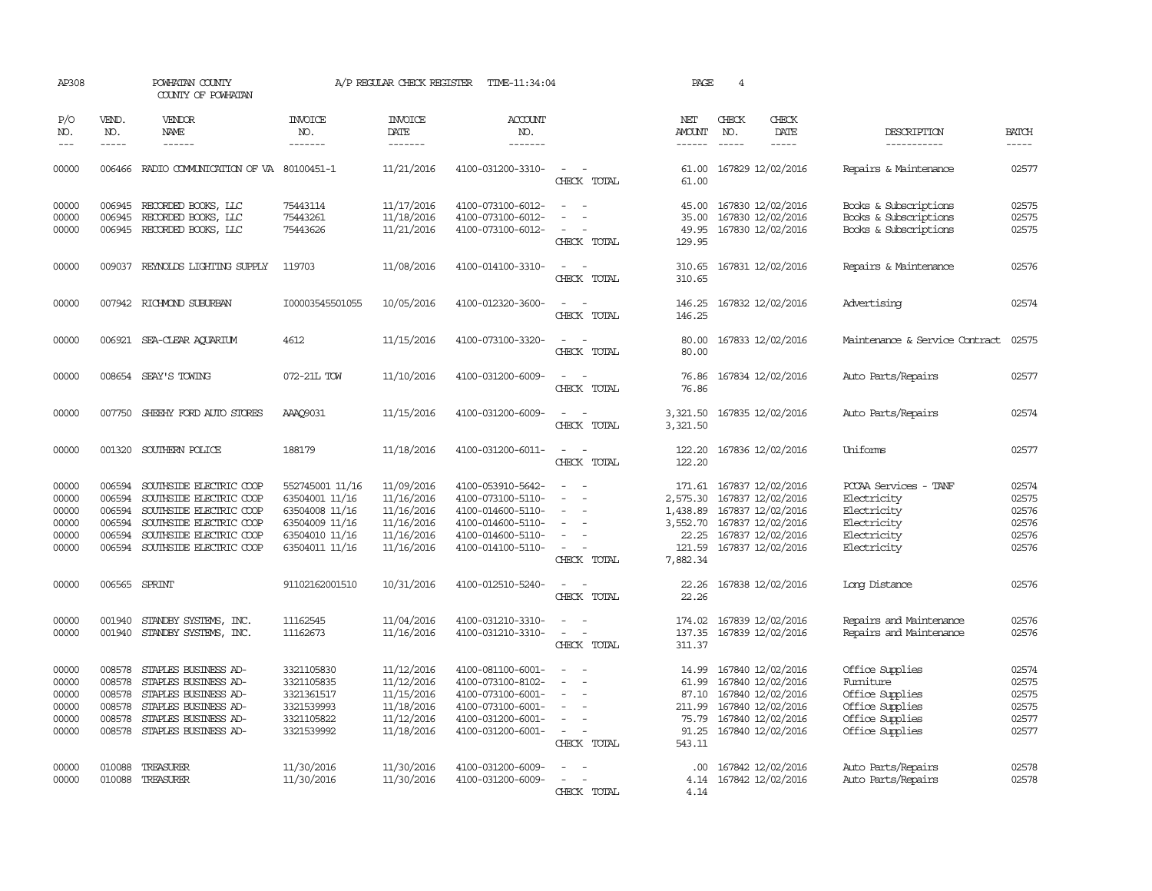| AP308               |               | POWHATAN COUNTY<br>COUNTY OF POWHATAN                                                                                                                                                                                                                                                                                                                                                                                                                                      |                       | A/P REGULAR CHECK REGISTER | TIME-11:34:04         |                                                   | PAGE                 | $\overline{4}$ |                          |                                |               |
|---------------------|---------------|----------------------------------------------------------------------------------------------------------------------------------------------------------------------------------------------------------------------------------------------------------------------------------------------------------------------------------------------------------------------------------------------------------------------------------------------------------------------------|-----------------------|----------------------------|-----------------------|---------------------------------------------------|----------------------|----------------|--------------------------|--------------------------------|---------------|
| P/O<br>NO.          | VEND.<br>NO.  | VENDOR<br><b>NAME</b>                                                                                                                                                                                                                                                                                                                                                                                                                                                      | <b>INVOICE</b><br>NO. | <b>INVOICE</b><br>DATE     | <b>ACCOUNT</b><br>NO. |                                                   | NET<br>AMOUNT        | CHECK<br>NO.   | CHECK<br>DATE            | DESCRIPTION                    | <b>BATCH</b>  |
| $\qquad \qquad - -$ | $\frac{1}{2}$ | $\frac{1}{2} \left( \frac{1}{2} \right) \left( \frac{1}{2} \right) \left( \frac{1}{2} \right) \left( \frac{1}{2} \right) \left( \frac{1}{2} \right) \left( \frac{1}{2} \right) \left( \frac{1}{2} \right) \left( \frac{1}{2} \right) \left( \frac{1}{2} \right) \left( \frac{1}{2} \right) \left( \frac{1}{2} \right) \left( \frac{1}{2} \right) \left( \frac{1}{2} \right) \left( \frac{1}{2} \right) \left( \frac{1}{2} \right) \left( \frac{1}{2} \right) \left( \frac$ | -------               | -------                    | -------               |                                                   |                      | $\frac{1}{2}$  | -----                    | -----------                    | $\frac{1}{2}$ |
| 00000               |               | 006466 RADIO COMMUNICATION OF VA 80100451-1                                                                                                                                                                                                                                                                                                                                                                                                                                |                       | 11/21/2016                 | 4100-031200-3310-     | CHECK TOTAL                                       | 61.00                |                | 61.00 167829 12/02/2016  | Repairs & Maintenance          | 02577         |
| 00000               | 006945        | RECORDED BOOKS, LLC                                                                                                                                                                                                                                                                                                                                                                                                                                                        | 75443114              | 11/17/2016                 | 4100-073100-6012-     | $\sim$<br>$\sim$                                  | 45.00                |                | 167830 12/02/2016        | Books & Subscriptions          | 02575         |
| 00000               | 006945        | RECORDED BOOKS, LLC                                                                                                                                                                                                                                                                                                                                                                                                                                                        | 75443261              | 11/18/2016                 | 4100-073100-6012-     | $\sim$<br>$\sim$                                  | 35.00                |                | 167830 12/02/2016        | Books & Subscriptions          | 02575         |
| 00000               |               | 006945 RECORDED BOOKS, LLC                                                                                                                                                                                                                                                                                                                                                                                                                                                 | 75443626              | 11/21/2016                 | 4100-073100-6012-     | $\sim$<br>CHECK TOTAL                             | 49.95<br>129.95      |                | 167830 12/02/2016        | Books & Subscriptions          | 02575         |
| 00000               |               | 009037 REYNOLDS LIGHTING SUPPLY                                                                                                                                                                                                                                                                                                                                                                                                                                            | 119703                | 11/08/2016                 | 4100-014100-3310-     | $\overline{\phantom{a}}$<br>$\sim$<br>CHECK TOTAL | 310.65<br>310.65     |                | 167831 12/02/2016        | Repairs & Maintenance          | 02576         |
| 00000               |               | 007942 RICHMOND SUBURBAN                                                                                                                                                                                                                                                                                                                                                                                                                                                   | I00003545501055       | 10/05/2016                 | 4100-012320-3600-     | $\sim$<br>CHECK TOTAL                             | 146.25               |                | 146.25 167832 12/02/2016 | Advertising                    | 02574         |
| 00000               |               | 006921 SEA-CLEAR AQUARIUM                                                                                                                                                                                                                                                                                                                                                                                                                                                  | 4612                  | 11/15/2016                 | 4100-073100-3320-     | $\sim$ $\sim$<br>CHECK TOTAL                      | 80.00<br>80.00       |                | 167833 12/02/2016        | Maintenance & Service Contract | 02575         |
| 00000               |               | 008654 SEAY'S TOWING                                                                                                                                                                                                                                                                                                                                                                                                                                                       | 072-21L TOW           | 11/10/2016                 | 4100-031200-6009-     | $\sim$<br>$\sim$                                  | 76.86                |                | 167834 12/02/2016        | Auto Parts/Repairs             | 02577         |
|                     |               |                                                                                                                                                                                                                                                                                                                                                                                                                                                                            |                       |                            |                       | CHECK TOTAL                                       | 76.86                |                |                          |                                |               |
| 00000               |               | 007750 SHEEHY FORD AUTO STORES                                                                                                                                                                                                                                                                                                                                                                                                                                             | AAA09031              | 11/15/2016                 | 4100-031200-6009-     | CHECK TOTAL                                       | 3,321.50<br>3,321.50 |                | 167835 12/02/2016        | Auto Parts/Repairs             | 02574         |
| 00000               |               | 001320 SOUTHERN POLICE                                                                                                                                                                                                                                                                                                                                                                                                                                                     | 188179                | 11/18/2016                 | 4100-031200-6011-     | CHECK TOTAL                                       | 122.20<br>122.20     |                | 167836 12/02/2016        | Uniforms                       | 02577         |
| 00000               | 006594        | SOUTHSIDE ELECTRIC COOP                                                                                                                                                                                                                                                                                                                                                                                                                                                    | 552745001 11/16       | 11/09/2016                 | 4100-053910-5642-     | $\equiv$<br>$\sim$                                | 171.61               |                | 167837 12/02/2016        | PCCAA Services - TANF          | 02574         |
| 00000               | 006594        | SOUTHSIDE ELECTRIC COOP                                                                                                                                                                                                                                                                                                                                                                                                                                                    | 63504001 11/16        | 11/16/2016                 | 4100-073100-5110-     | $\sim$<br>$\overline{\phantom{a}}$                | 2,575.30             |                | 167837 12/02/2016        | Electricity                    | 02575         |
| 00000               | 006594        | SOUTHSIDE ELECTRIC COOP                                                                                                                                                                                                                                                                                                                                                                                                                                                    | 63504008 11/16        | 11/16/2016                 | 4100-014600-5110-     |                                                   | 1,438.89             |                | 167837 12/02/2016        | Electricity                    | 02576         |
| 00000               | 006594        | SOUTHSIDE ELECTRIC COOP                                                                                                                                                                                                                                                                                                                                                                                                                                                    | 63504009 11/16        | 11/16/2016                 | 4100-014600-5110-     |                                                   | 3,552.70             |                | 167837 12/02/2016        | Electricity                    | 02576         |
| 00000               | 006594        | SOUTHSIDE ELECTRIC COOP                                                                                                                                                                                                                                                                                                                                                                                                                                                    | 63504010 11/16        | 11/16/2016                 | 4100-014600-5110-     | $\overline{\phantom{a}}$                          | 22.25                |                | 167837 12/02/2016        | Electricity                    | 02576         |
| 00000               | 006594        | SOUTHSIDE ELECTRIC COOP                                                                                                                                                                                                                                                                                                                                                                                                                                                    | 63504011 11/16        | 11/16/2016                 | 4100-014100-5110-     | $\sim$<br>CHECK TOTAL                             | 121.59<br>7,882.34   |                | 167837 12/02/2016        | Electricity                    | 02576         |
| 00000               | 006565        | SPRINT                                                                                                                                                                                                                                                                                                                                                                                                                                                                     | 91102162001510        | 10/31/2016                 | 4100-012510-5240-     | $\overline{\phantom{a}}$<br>$\sim$<br>CHECK TOTAL | 22.26<br>22.26       |                | 167838 12/02/2016        | Long Distance                  | 02576         |
| 00000               | 001940        | STANDBY SYSTEMS, INC.                                                                                                                                                                                                                                                                                                                                                                                                                                                      | 11162545              | 11/04/2016                 | 4100-031210-3310-     | $\sim$<br>$\sim$                                  | 174.02               |                | 167839 12/02/2016        | Repairs and Maintenance        | 02576         |
| 00000               | 001940        | STANDBY SYSTEMS, INC.                                                                                                                                                                                                                                                                                                                                                                                                                                                      | 11162673              | 11/16/2016                 | 4100-031210-3310-     | $\sim$<br>$\overline{\phantom{a}}$<br>CHECK TOTAL | 137.35<br>311.37     |                | 167839 12/02/2016        | Repairs and Maintenance        | 02576         |
| 00000               |               | 008578 STAPLES BUSINESS AD-                                                                                                                                                                                                                                                                                                                                                                                                                                                | 3321105830            | 11/12/2016                 | 4100-081100-6001-     | $\sim$<br>$\sim$                                  | 14.99                |                | 167840 12/02/2016        | Office Supplies                | 02574         |
| 00000               | 008578        | STAPLES BUSINESS AD-                                                                                                                                                                                                                                                                                                                                                                                                                                                       | 3321105835            | 11/12/2016                 | 4100-073100-8102-     | $\sim$                                            | 61.99                |                | 167840 12/02/2016        | Fumiture                       | 02575         |
| 00000               | 008578        | STAPLES BUSINESS AD-                                                                                                                                                                                                                                                                                                                                                                                                                                                       | 3321361517            | 11/15/2016                 | 4100-073100-6001-     |                                                   | 87.10                |                | 167840 12/02/2016        | Office Supplies                | 02575         |
| 00000               | 008578        | STAPLES BUSINESS AD-                                                                                                                                                                                                                                                                                                                                                                                                                                                       | 3321539993            | 11/18/2016                 | 4100-073100-6001-     | $\overline{\phantom{a}}$                          | 211.99               |                | 167840 12/02/2016        | Office Supplies                | 02575         |
| 00000               | 008578        | STAPLES BUSINESS AD-                                                                                                                                                                                                                                                                                                                                                                                                                                                       | 3321105822            | 11/12/2016                 | 4100-031200-6001-     | $\sim$                                            | 75.79                |                | 167840 12/02/2016        | Office Supplies                | 02577         |
| 00000               | 008578        | STAPLES BUSINESS AD-                                                                                                                                                                                                                                                                                                                                                                                                                                                       | 3321539992            | 11/18/2016                 | 4100-031200-6001-     | $\overline{\phantom{a}}$<br>CHECK TOTAL           | 91.25<br>543.11      |                | 167840 12/02/2016        | Office Supplies                | 02577         |
| 00000               | 010088        | TREASURER                                                                                                                                                                                                                                                                                                                                                                                                                                                                  | 11/30/2016            | 11/30/2016                 | 4100-031200-6009-     |                                                   | $.00 \times$         |                | 167842 12/02/2016        | Auto Parts/Repairs             | 02578         |
| 00000               |               | 010088 TREASURER                                                                                                                                                                                                                                                                                                                                                                                                                                                           | 11/30/2016            | 11/30/2016                 | 4100-031200-6009-     | $\sim$<br>$\overline{\phantom{a}}$                |                      |                | 4.14 167842 12/02/2016   | Auto Parts/Repairs             | 02578         |
|                     |               |                                                                                                                                                                                                                                                                                                                                                                                                                                                                            |                       |                            |                       | CHECK TOTAL                                       | 4.14                 |                |                          |                                |               |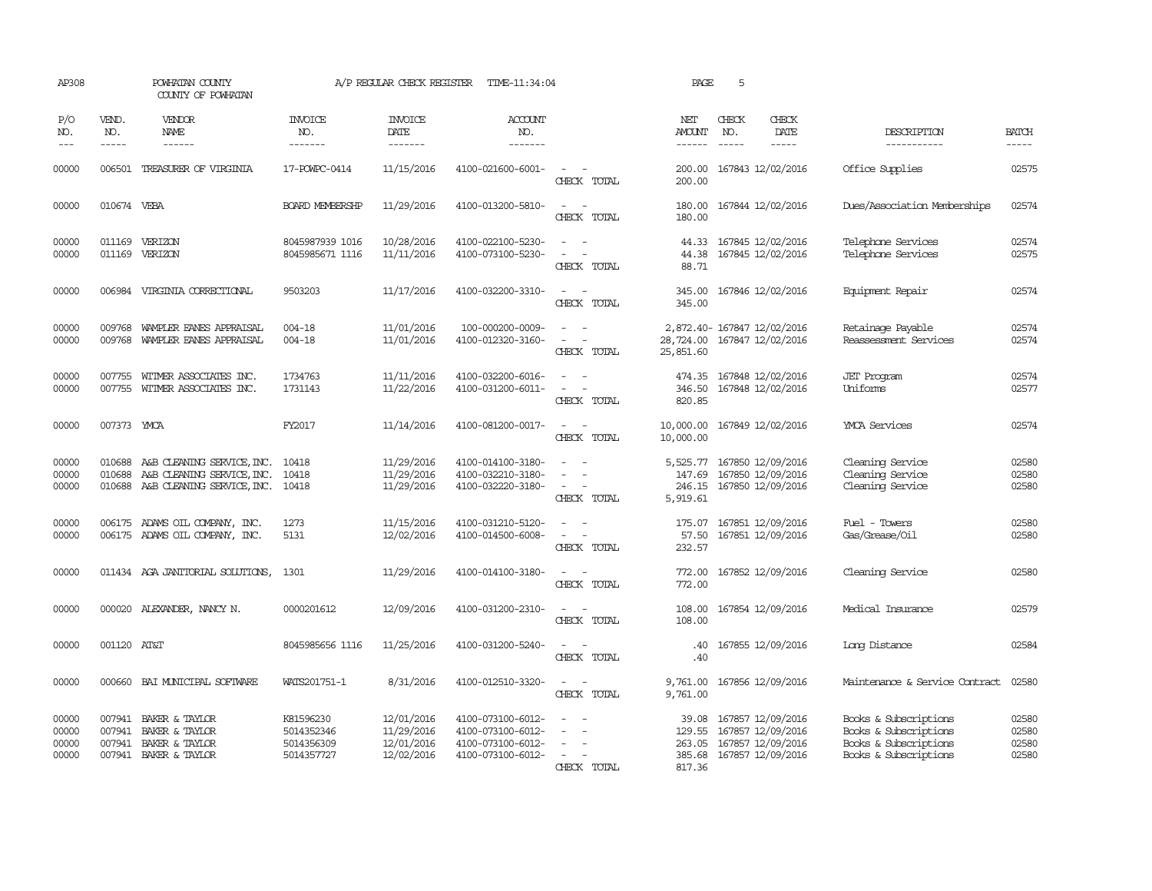| AP308                            |                               | POWHATAN COUNTY<br>COUNTY OF POWHATAN                                                  |                                                     | A/P REGULAR CHECK REGISTER                           | TIME-11:34:04                                                                    |                                                             | PAGE                                     | 5            |                                                                                         |                                                                                                  |                                  |
|----------------------------------|-------------------------------|----------------------------------------------------------------------------------------|-----------------------------------------------------|------------------------------------------------------|----------------------------------------------------------------------------------|-------------------------------------------------------------|------------------------------------------|--------------|-----------------------------------------------------------------------------------------|--------------------------------------------------------------------------------------------------|----------------------------------|
| P/O<br>NO.<br>$ -$               | VEND.<br>NO.<br>$\frac{1}{2}$ | VENDOR<br><b>NAME</b><br>$\frac{1}{2}$                                                 | INVOICE<br>NO.<br>-------                           | <b>INVOICE</b><br>DATE<br>-------                    | <b>ACCOUNT</b><br>NO.<br>-------                                                 |                                                             | NET<br><b>AMOUNT</b><br>$- - - - - -$    | CHECK<br>NO. | CHECK<br><b>DATE</b><br>$\frac{1}{2}$                                                   | DESCRIPTION<br>------------                                                                      | <b>BATCH</b><br>-----            |
| 00000                            | 006501                        | TREASURER OF VIRGINIA                                                                  | 17-POWPC-0414                                       | 11/15/2016                                           | 4100-021600-6001-                                                                | CHECK TOTAL                                                 | 200.00<br>200.00                         |              | 167843 12/02/2016                                                                       | Office Supplies                                                                                  | 02575                            |
| 00000                            | 010674 VEBA                   |                                                                                        | <b>BOARD MEMBERSHP</b>                              | 11/29/2016                                           | 4100-013200-5810-                                                                | $\sim$<br>$\overline{\phantom{a}}$<br>CHECK TOTAL           | 180.00<br>180.00                         |              | 167844 12/02/2016                                                                       | Dues/Association Memberships                                                                     | 02574                            |
| 00000<br>00000                   |                               | 011169 VERIZON<br>011169 VERIZON                                                       | 8045987939 1016<br>8045985671 1116                  | 10/28/2016<br>11/11/2016                             | 4100-022100-5230-<br>4100-073100-5230-                                           | $\overline{\phantom{a}}$<br>$\sim$<br>$\sim$<br>CHECK TOTAL | 44.33<br>44.38<br>88.71                  |              | 167845 12/02/2016<br>167845 12/02/2016                                                  | Telephone Services<br>Telephone Services                                                         | 02574<br>02575                   |
| 00000                            | 006984                        | VIRGINIA CORRECTIONAL                                                                  | 9503203                                             | 11/17/2016                                           | 4100-032200-3310-                                                                | $\overline{\phantom{a}}$<br>$\sim$<br>CHECK TOTAL           | 345.00<br>345.00                         |              | 167846 12/02/2016                                                                       | Equipment Repair                                                                                 | 02574                            |
| 00000<br>00000                   | 009768<br>009768              | WAMPLER EANES APPRAISAL<br>WAMPLER EANES APPRAISAL                                     | $004 - 18$<br>$004 - 18$                            | 11/01/2016<br>11/01/2016                             | 100-000200-0009-<br>4100-012320-3160-                                            | CHECK TOTAL                                                 | 28,724.00 167847 12/02/2016<br>25,851.60 |              | 2,872.40- 167847 12/02/2016                                                             | Retainage Payable<br>Reassessment Services                                                       | 02574<br>02574                   |
| 00000<br>00000                   | 007755                        | WITMER ASSOCIATES INC.<br>007755 WITMER ASSOCIATES INC.                                | 1734763<br>1731143                                  | 11/11/2016<br>11/22/2016                             | 4100-032200-6016-<br>4100-031200-6011-                                           | $\overline{\phantom{a}}$<br>$\sim$ 100 $\mu$<br>CHECK TOTAL | 346.50<br>820.85                         |              | 474.35 167848 12/02/2016<br>167848 12/02/2016                                           | <b>JET</b> Program<br>Uniforms                                                                   | 02574<br>02577                   |
| 00000                            | 007373 YMCA                   |                                                                                        | FY2017                                              | 11/14/2016                                           | 4100-081200-0017-                                                                | $\sim$ $\sim$<br>CHECK TOTAL                                | 10,000.00<br>10,000.00                   |              | 167849 12/02/2016                                                                       | <b>YMCA</b> Services                                                                             | 02574                            |
| 00000<br>00000<br>00000          | 010688<br>010688<br>010688    | A&B CLEANING SERVICE, INC.<br>A&B CLEANING SERVICE, INC.<br>A&B CLEANING SERVICE, INC. | 10418<br>10418<br>10418                             | 11/29/2016<br>11/29/2016<br>11/29/2016               | 4100-014100-3180-<br>4100-032210-3180-<br>4100-032220-3180-                      | CHECK TOTAL                                                 | 5,525.77<br>147.69<br>246.15<br>5,919.61 |              | 167850 12/09/2016<br>167850 12/09/2016<br>167850 12/09/2016                             | Cleaning Service<br>Cleaning Service<br>Cleaning Service                                         | 02580<br>02580<br>02580          |
| 00000<br>00000                   |                               | 006175 ADAMS OIL COMPANY, INC.<br>006175 ADAMS OIL COMPANY, INC.                       | 1273<br>5131                                        | 11/15/2016<br>12/02/2016                             | 4100-031210-5120-<br>4100-014500-6008-                                           | $\equiv$<br>$\sim$<br>$\equiv$<br>CHECK TOTAL               | 175.07<br>57.50<br>232.57                |              | 167851 12/09/2016<br>167851 12/09/2016                                                  | Fuel - Towers<br>Gas/Grease/Oil                                                                  | 02580<br>02580                   |
| 00000                            |                               | 011434 AGA JANITORIAL SOLUTIONS,                                                       | 1301                                                | 11/29/2016                                           | 4100-014100-3180-                                                                | $\overline{\phantom{a}}$<br>$\sim$<br>CHECK TOTAL           | 772.00<br>772.00                         |              | 167852 12/09/2016                                                                       | Cleaning Service                                                                                 | 02580                            |
| 00000                            |                               | 000020 ALEXANDER, NANCY N.                                                             | 0000201612                                          | 12/09/2016                                           | 4100-031200-2310-                                                                | $\sim$<br>$\sim$<br>CHECK TOTAL                             | 108.00<br>108.00                         |              | 167854 12/09/2016                                                                       | Medical Insurance                                                                                | 02579                            |
| 00000                            | 001120 AT&T                   |                                                                                        | 8045985656 1116                                     | 11/25/2016                                           | 4100-031200-5240-                                                                | $\equiv$<br>CHECK TOTAL                                     | .40<br>.40                               |              | 167855 12/09/2016                                                                       | Long Distance                                                                                    | 02584                            |
| 00000                            | 000660                        | BAI MUNICIPAL SOFTWARE                                                                 | WATS201751-1                                        | 8/31/2016                                            | 4100-012510-3320-                                                                | $\overline{\phantom{a}}$<br>$\sim$<br>CHECK TOTAL           | 9,761.00<br>9,761.00                     |              | 167856 12/09/2016                                                                       | Maintenance & Service Contract                                                                   | 02580                            |
| 00000<br>00000<br>00000<br>00000 | 007941<br>007941              | BAKER & TAYLOR<br>007941 BAKER & TAYLOR<br>BAKER & TAYLOR<br>007941 BAKER & TAYLOR     | K81596230<br>5014352346<br>5014356309<br>5014357727 | 12/01/2016<br>11/29/2016<br>12/01/2016<br>12/02/2016 | 4100-073100-6012-<br>4100-073100-6012-<br>4100-073100-6012-<br>4100-073100-6012- | CHECK TOTAL                                                 | 39.08<br>129.55<br>263.05<br>817.36      |              | 167857 12/09/2016<br>167857 12/09/2016<br>167857 12/09/2016<br>385.68 167857 12/09/2016 | Books & Subscriptions<br>Books & Subscriptions<br>Books & Subscriptions<br>Books & Subscriptions | 02580<br>02580<br>02580<br>02580 |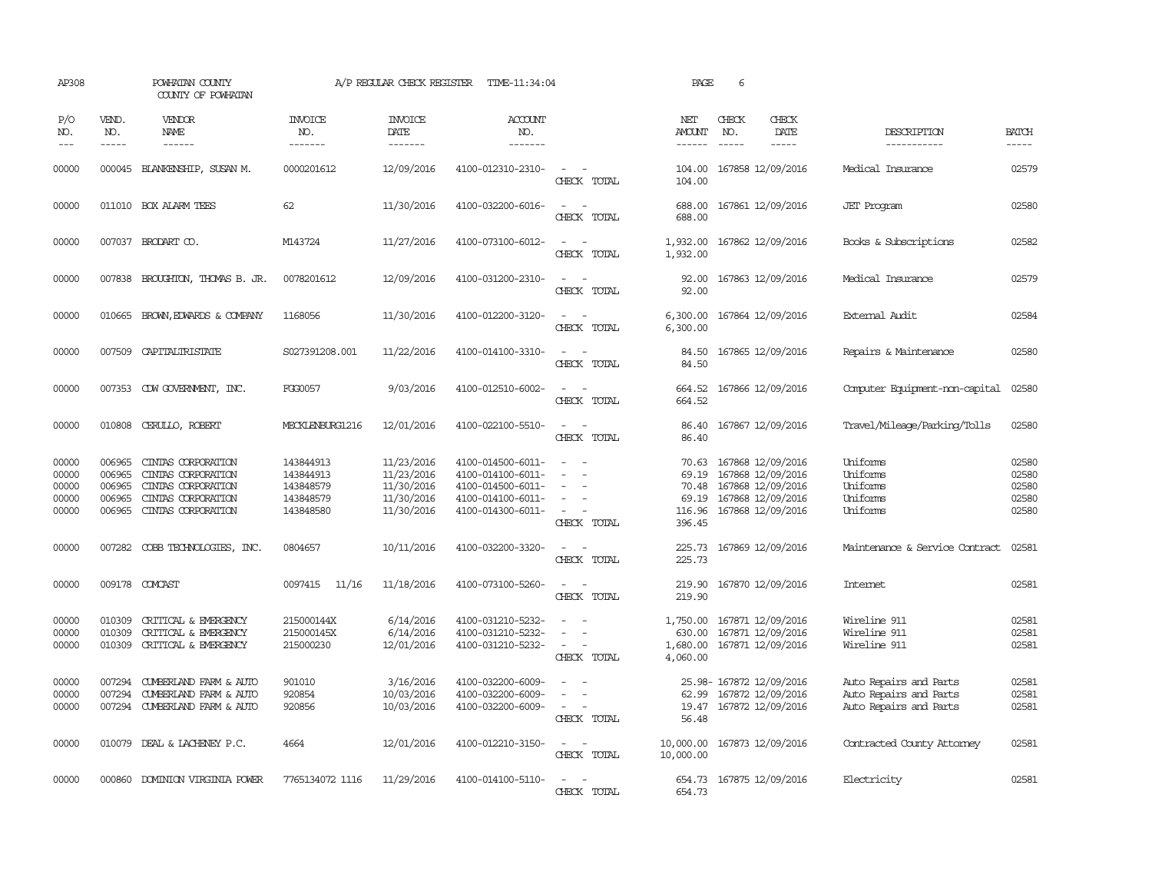| AP308                                     |                                                | POWHATAN COUNTY<br>COUNTY OF POWHATAN                                                                      |                                                               | A/P REGULAR CHECK REGISTER                                         | TIME-11:34:04                                                                                         |                                                                     | PAGE                                                 | 6                                                                                                     |                                                                            |                                           |
|-------------------------------------------|------------------------------------------------|------------------------------------------------------------------------------------------------------------|---------------------------------------------------------------|--------------------------------------------------------------------|-------------------------------------------------------------------------------------------------------|---------------------------------------------------------------------|------------------------------------------------------|-------------------------------------------------------------------------------------------------------|----------------------------------------------------------------------------|-------------------------------------------|
| P/O<br>NO.<br>$---$                       | VEND.<br>NO.<br>$- - - - -$                    | VENDOR<br>NAME<br>------                                                                                   | <b>INVOICE</b><br>NO.<br>-------                              | <b>INVOICE</b><br>DATE<br>--------                                 | <b>ACCOUNT</b><br>NO.<br>-------                                                                      |                                                                     | NET<br>AMOUNT<br>$- - - - - -$                       | CHECK<br>CHECK<br>NO.<br>$\frac{1}{2}$<br>$- - - - -$                                                 | DATE<br>DESCRIPTION<br>-----------                                         | <b>BATCH</b><br>$- - - - -$               |
| 00000                                     |                                                | 000045 BLANKENSHIP, SUSAN M.                                                                               | 0000201612                                                    | 12/09/2016                                                         | 4100-012310-2310-                                                                                     | $\sim$ 100 $\mu$<br>CHECK TOTAL                                     | 104.00<br>104.00                                     | 167858 12/09/2016                                                                                     | Medical Insurance                                                          | 02579                                     |
| 00000                                     |                                                | 011010 BOX ALARM TEES                                                                                      | 62                                                            | 11/30/2016                                                         | 4100-032200-6016-                                                                                     | $\overline{\phantom{a}}$<br>CHECK TOTAL                             | 688.00<br>688.00                                     | 167861 12/09/2016                                                                                     | <b>JET</b> Program                                                         | 02580                                     |
| 00000                                     |                                                | 007037 BRODART CO.                                                                                         | M143724                                                       | 11/27/2016                                                         | 4100-073100-6012-                                                                                     | $ -$<br>CHECK TOTAL                                                 | 1,932.00<br>1,932.00                                 | 167862 12/09/2016                                                                                     | Books & Subscriptions                                                      | 02582                                     |
| 00000                                     |                                                | 007838 BROUGHTON, THOMAS B. JR.                                                                            | 0078201612                                                    | 12/09/2016                                                         | 4100-031200-2310-                                                                                     | $\sim$<br>CHECK TOTAL                                               | 92.00<br>92.00                                       | 167863 12/09/2016                                                                                     | Medical Insurance                                                          | 02579                                     |
| 00000                                     | 010665                                         | BROWN, EDWARDS & COMPANY                                                                                   | 1168056                                                       | 11/30/2016                                                         | 4100-012200-3120-                                                                                     | $\overline{\phantom{a}}$<br>CHECK TOTAL                             | 6,300.00<br>6,300.00                                 | 167864 12/09/2016                                                                                     | External Audit                                                             | 02584                                     |
| 00000                                     | 007509                                         | CAPITALIRISTATE                                                                                            | S027391208.001                                                | 11/22/2016                                                         | 4100-014100-3310-                                                                                     | $\overline{\phantom{a}}$<br>CHECK TOTAL                             | 84.50<br>84.50                                       | 167865 12/09/2016                                                                                     | Repairs & Maintenance                                                      | 02580                                     |
| 00000                                     |                                                | 007353 CDW GOVERNMENT, INC.                                                                                | FGG0057                                                       | 9/03/2016                                                          | 4100-012510-6002-                                                                                     | $\sim$<br>CHECK TOTAL                                               | 664.52<br>664.52                                     | 167866 12/09/2016                                                                                     | Computer Equipment-non-capital                                             | 02580                                     |
| 00000                                     |                                                | 010808 CERULLO, ROBERT                                                                                     | MECKLENBURG1216                                               | 12/01/2016                                                         | 4100-022100-5510-                                                                                     | $\sim$ 10 $\sim$ 10 $\sim$<br>CHECK TOTAL                           | 86.40<br>86.40                                       | 167867 12/09/2016                                                                                     | Travel/Mileage/Parking/Tolls                                               | 02580                                     |
| 00000<br>00000<br>00000<br>00000<br>00000 | 006965<br>006965<br>006965<br>006965<br>006965 | CINIAS CORPORATION<br>CINIAS CORPORATION<br>CINIAS CORPORATION<br>CINIAS CORPORATION<br>CINIAS CORPORATION | 143844913<br>143844913<br>143848579<br>143848579<br>143848580 | 11/23/2016<br>11/23/2016<br>11/30/2016<br>11/30/2016<br>11/30/2016 | 4100-014500-6011-<br>4100-014100-6011-<br>4100-014500-6011-<br>4100-014100-6011-<br>4100-014300-6011- | $\overline{\phantom{a}}$<br>$\overline{\phantom{a}}$<br>CHECK TOTAL | 70.63<br>69.19<br>70.48<br>69.19<br>116.96<br>396.45 | 167868 12/09/2016<br>167868 12/09/2016<br>167868 12/09/2016<br>167868 12/09/2016<br>167868 12/09/2016 | Uniforms<br>Uniforms<br>Uniforms<br>Uniforms<br>Uniforms                   | 02580<br>02580<br>02580<br>02580<br>02580 |
| 00000                                     | 007282                                         | COBB TECHNOLOGIES, INC.                                                                                    | 0804657                                                       | 10/11/2016                                                         | 4100-032200-3320-                                                                                     | $\sim$<br>$\overline{\phantom{a}}$<br>CHECK TOTAL                   | 225.73<br>225.73                                     | 167869 12/09/2016                                                                                     | Maintenance & Service Contract                                             | 02581                                     |
| 00000                                     |                                                | 009178 COMCAST                                                                                             | 0097415<br>11/16                                              | 11/18/2016                                                         | 4100-073100-5260-                                                                                     | $\equiv$<br>CHECK TOTAL                                             | 219.90<br>219.90                                     | 167870 12/09/2016                                                                                     | Intemet                                                                    | 02581                                     |
| 00000<br>00000<br>00000                   | 010309<br>010309<br>010309                     | CRITICAL & EMERGENCY<br>CRITICAL & EMERGENCY<br>CRITICAL & EMERGENCY                                       | 215000144X<br>215000145X<br>215000230                         | 6/14/2016<br>6/14/2016<br>12/01/2016                               | 4100-031210-5232-<br>4100-031210-5232-<br>4100-031210-5232-                                           | $\equiv$<br>$\equiv$<br>$\equiv$<br>CHECK TOTAL                     | 1,750.00<br>630.00<br>4,060.00                       | 167871 12/09/2016<br>167871 12/09/2016<br>1,680.00 167871 12/09/2016                                  | Wireline 911<br>Wireline 911<br>Wireline 911                               | 02581<br>02581<br>02581                   |
| 00000<br>00000<br>00000                   | 007294<br>007294                               | CUMBERLAND FARM & AUTO<br>CUMBERLAND FARM & AUTO<br>007294 CUMBERLAND FARM & AUTO                          | 901010<br>920854<br>920856                                    | 3/16/2016<br>10/03/2016<br>10/03/2016                              | 4100-032200-6009-<br>4100-032200-6009-<br>4100-032200-6009-                                           | $\sim$<br>$\equiv$<br>$\sim$<br>CHECK TOTAL                         | 62.99<br>56.48                                       | 25.98-167872 12/09/2016<br>167872 12/09/2016<br>19.47 167872 12/09/2016                               | Auto Repairs and Parts<br>Auto Repairs and Parts<br>Auto Repairs and Parts | 02581<br>02581<br>02581                   |
| 00000                                     |                                                | 010079 DEAL & LACHENEY P.C.                                                                                | 4664                                                          | 12/01/2016                                                         | 4100-012210-3150-                                                                                     | $\sim$ 100 $\mu$<br>$\overline{\phantom{a}}$<br>CHECK TOTAL         | 10,000.00<br>10,000.00                               | 167873 12/09/2016                                                                                     | Contracted County Attomey                                                  | 02581                                     |
| 00000                                     |                                                | 000860 DOMINION VIRGINIA POWER                                                                             | 7765134072 1116                                               | 11/29/2016                                                         | 4100-014100-5110-                                                                                     | $\sim$<br>CHECK TOTAL                                               | 654.73                                               | 654.73 167875 12/09/2016                                                                              | Electricity                                                                | 02581                                     |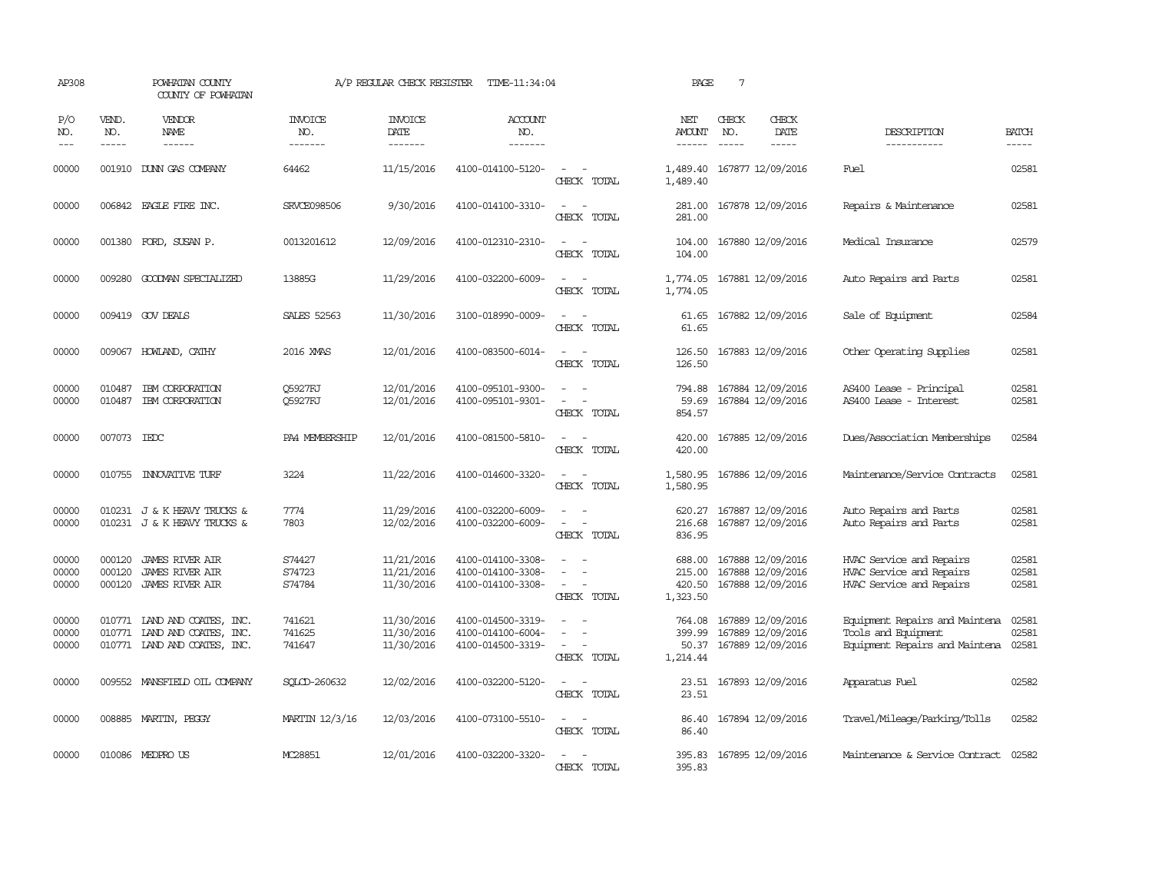| AP308                   |                             | POWHATAN COUNTY<br>COUNTY OF POWHATAN                                          |                                  | A/P REGULAR CHECK REGISTER             | TIME-11:34:04                                               |                                                     | PAGE                                   | $7\phantom{.0}$ |                                                             |                                                                                         |                         |
|-------------------------|-----------------------------|--------------------------------------------------------------------------------|----------------------------------|----------------------------------------|-------------------------------------------------------------|-----------------------------------------------------|----------------------------------------|-----------------|-------------------------------------------------------------|-----------------------------------------------------------------------------------------|-------------------------|
| P/O<br>NO.<br>$---$     | VEND.<br>NO.<br>$- - - - -$ | <b>VENDOR</b><br>NAME<br>$- - - - - -$                                         | <b>INVOICE</b><br>NO.<br>------- | <b>INVOICE</b><br>DATE<br>-------      | <b>ACCOUNT</b><br>NO.<br>-------                            |                                                     | NET<br><b>AMOUNT</b><br>$- - - - - -$  | CHECK<br>NO.    | CHECK<br>DATE<br>$- - - - -$                                | DESCRIPTION<br>-----------                                                              | <b>BATCH</b><br>-----   |
| 00000                   |                             | 001910 DUNN GAS COMPANY                                                        | 64462                            | 11/15/2016                             | 4100-014100-5120-                                           | $\overline{\phantom{a}}$<br>CHECK TOTAL             | 1,489.40<br>1,489.40                   |                 | 167877 12/09/2016                                           | Fuel                                                                                    | 02581                   |
| 00000                   |                             | 006842 EAGLE FIRE INC.                                                         | <b>SRVCE098506</b>               | 9/30/2016                              | 4100-014100-3310-                                           | $\sim$<br>CHECK TOTAL                               | 281.00<br>281.00                       |                 | 167878 12/09/2016                                           | Repairs & Maintenance                                                                   | 02581                   |
| 00000                   | 001380                      | FORD, SUSAN P.                                                                 | 0013201612                       | 12/09/2016                             | 4100-012310-2310-                                           | $\overline{\phantom{a}}$<br>CHECK TOTAL             | 104.00<br>104.00                       |                 | 167880 12/09/2016                                           | Medical Insurance                                                                       | 02579                   |
| 00000                   |                             | 009280 GOODMAN SPECIALIZED                                                     | 13885G                           | 11/29/2016                             | 4100-032200-6009-                                           | $\sim$<br>CHECK TOTAL                               | 1,774.05 167881 12/09/2016<br>1,774.05 |                 |                                                             | Auto Repairs and Parts                                                                  | 02581                   |
| 00000                   |                             | 009419 GOV DEALS                                                               | <b>SALES 52563</b>               | 11/30/2016                             | 3100-018990-0009-                                           | CHECK TOTAL                                         | 61.65<br>61.65                         |                 | 167882 12/09/2016                                           | Sale of Equipment                                                                       | 02584                   |
| 00000                   |                             | 009067 HOWLAND, CATHY                                                          | 2016 XMAS                        | 12/01/2016                             | 4100-083500-6014-                                           | $\sim$<br>$\sim$<br>CHECK TOTAL                     | 126.50<br>126.50                       |                 | 167883 12/09/2016                                           | Other Operating Supplies                                                                | 02581                   |
| 00000<br>00000          | 010487<br>010487            | IBM CORPORATION<br>IBM CORPORATION                                             | <b>O5927FJ</b><br>Q5927FJ        | 12/01/2016<br>12/01/2016               | 4100-095101-9300-<br>4100-095101-9301-                      | $\sim$<br>$\overline{\phantom{a}}$<br>CHECK TOTAL   | 794.88<br>59.69<br>854.57              |                 | 167884 12/09/2016<br>167884 12/09/2016                      | AS400 Lease - Principal<br>AS400 Lease - Interest                                       | 02581<br>02581          |
| 00000                   | 007073 IEDC                 |                                                                                | PA4 MEMBERSHIP                   | 12/01/2016                             | 4100-081500-5810-                                           | $\sim$<br>CHECK TOTAL                               | 420.00<br>420.00                       |                 | 167885 12/09/2016                                           | Dues/Association Memberships                                                            | 02584                   |
| 00000                   |                             | 010755 INNOVATIVE TURF                                                         | 3224                             | 11/22/2016                             | 4100-014600-3320-                                           | $\equiv$<br>CHECK TOTAL                             | 1,580.95<br>1,580.95                   |                 | 167886 12/09/2016                                           | Maintenance/Service Contracts                                                           | 02581                   |
| 00000<br>00000          |                             | 010231 J & K HEAVY TRUCKS &<br>010231 J & K HEAVY TRUCKS &                     | 7774<br>7803                     | 11/29/2016<br>12/02/2016               | 4100-032200-6009-<br>4100-032200-6009-                      | $\overline{\phantom{a}}$<br>CHRCK TOTAL             | 620.27<br>216.68<br>836.95             |                 | 167887 12/09/2016<br>167887 12/09/2016                      | Auto Repairs and Parts<br>Auto Repairs and Parts                                        | 02581<br>02581          |
| 00000<br>00000<br>00000 | 000120<br>000120<br>000120  | <b>JAMES RIVER AIR</b><br><b>JAMES RIVER AIR</b><br>JAMES RIVER AIR            | S74427<br>S74723<br>S74784       | 11/21/2016<br>11/21/2016<br>11/30/2016 | 4100-014100-3308-<br>4100-014100-3308-<br>4100-014100-3308- | $\sim$<br>$\equiv$<br>CHECK TOTAL                   | 688.00<br>215.00<br>420.50<br>1,323.50 |                 | 167888 12/09/2016<br>167888 12/09/2016<br>167888 12/09/2016 | HVAC Service and Repairs<br>HVAC Service and Repairs<br>HVAC Service and Repairs        | 02581<br>02581<br>02581 |
| 00000<br>00000<br>00000 | 010771<br>010771            | LAND AND COATES, INC.<br>LAND AND COATES, INC.<br>010771 LAND AND COATES, INC. | 741621<br>741625<br>741647       | 11/30/2016<br>11/30/2016<br>11/30/2016 | 4100-014500-3319-<br>4100-014100-6004-<br>4100-014500-3319- | $\equiv$<br>$\overline{\phantom{a}}$<br>CHECK TOTAL | 764.08<br>399.99<br>50.37<br>1,214.44  |                 | 167889 12/09/2016<br>167889 12/09/2016<br>167889 12/09/2016 | Equipment Repairs and Maintena<br>Tools and Equipment<br>Equipment Repairs and Maintena | 02581<br>02581<br>02581 |
| 00000                   | 009552                      | MANSFIELD OIL COMPANY                                                          | SOLCD-260632                     | 12/02/2016                             | 4100-032200-5120-                                           | $\equiv$<br>CHECK TOTAL                             | 23.51<br>23.51                         |                 | 167893 12/09/2016                                           | Apparatus Fuel                                                                          | 02582                   |
| 00000                   |                             | 008885 MARTIN, PEGGY                                                           | MARTIN 12/3/16                   | 12/03/2016                             | 4100-073100-5510-                                           | $\sim$<br>CHECK TOTAL                               | 86.40<br>86.40                         |                 | 167894 12/09/2016                                           | Travel/Mileage/Parking/Tolls                                                            | 02582                   |
| 00000                   |                             | 010086 MEDPRO US                                                               | MC28851                          | 12/01/2016                             | 4100-032200-3320-                                           | CHECK TOTAL                                         | 395.83                                 |                 | 395.83 167895 12/09/2016                                    | Maintenance & Service Contract 02582                                                    |                         |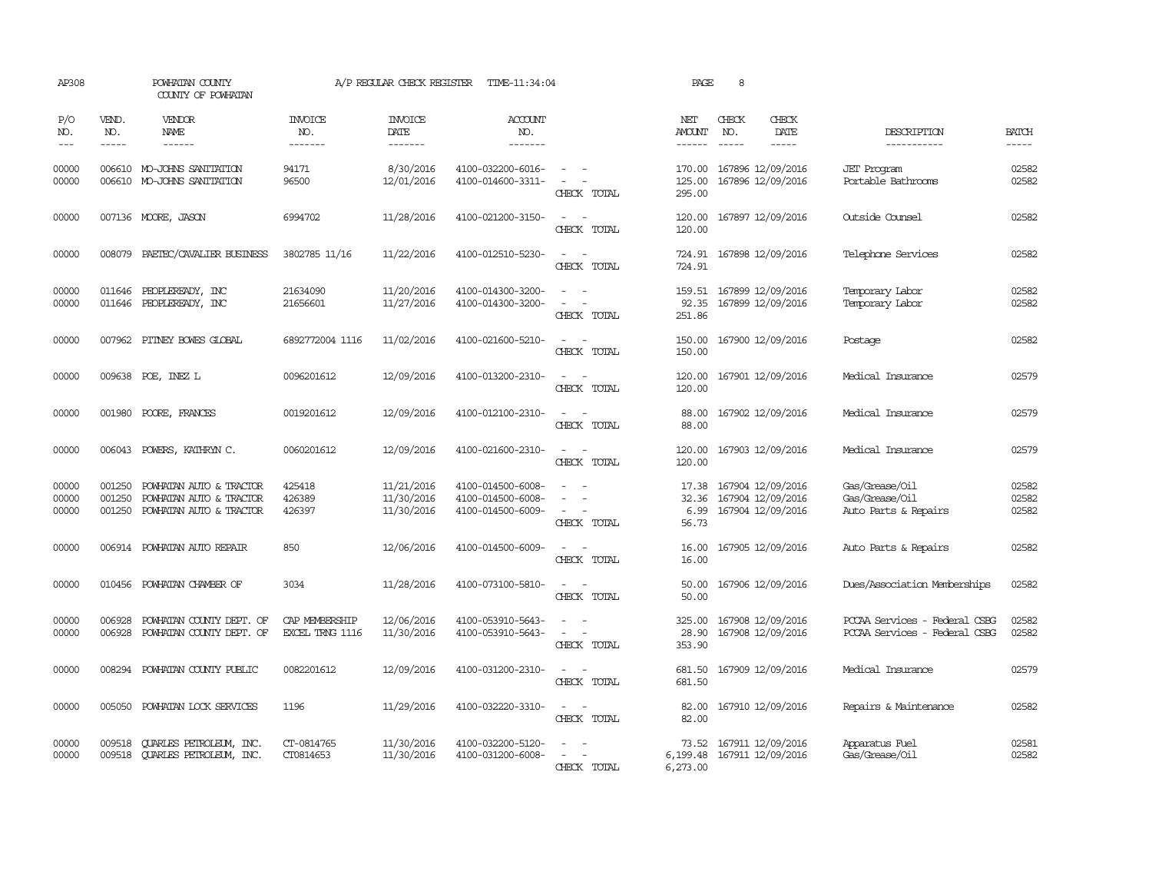| AP308                       |                             | POWHATAN COUNTY<br>COUNTY OF POWHATAN                                         |                                   | A/P REGULAR CHECK REGISTER             | TIME-11:34:04                                               |                                                                     | PAGE                            | 8                                                           |                                                                |                         |
|-----------------------------|-----------------------------|-------------------------------------------------------------------------------|-----------------------------------|----------------------------------------|-------------------------------------------------------------|---------------------------------------------------------------------|---------------------------------|-------------------------------------------------------------|----------------------------------------------------------------|-------------------------|
| P/O<br>NO.<br>$\frac{1}{2}$ | VEND.<br>NO.<br>$- - - - -$ | <b>VENDOR</b><br>NAME<br>$- - - - - -$                                        | <b>INVOICE</b><br>NO.<br>-------  | <b>INVOICE</b><br>DATE<br>-------      | <b>ACCOUNT</b><br>NO.<br>-------                            |                                                                     | NET<br>AMOUNT<br>$- - - - - -$  | CHECK<br>CHECK<br>DATE<br>NO.<br>$- - - - -$                | DESCRIPTION<br>-----------                                     | <b>BATCH</b><br>-----   |
| 00000<br>00000              |                             | 006610 MO-JOHNS SANITATION<br>006610 MO-JOHNS SANITATION                      | 94171<br>96500                    | 8/30/2016<br>12/01/2016                | 4100-032200-6016-<br>4100-014600-3311-                      | $\overline{\phantom{a}}$<br>$\overline{\phantom{a}}$<br>CHECK TOTAL | 170.00<br>125.00<br>295.00      | 167896 12/09/2016<br>167896 12/09/2016                      | <b>JET</b> Program<br>Portable Bathrooms                       | 02582<br>02582          |
| 00000                       |                             | 007136 MOORE, JASON                                                           | 6994702                           | 11/28/2016                             | 4100-021200-3150-                                           | $\sim$<br>$\sim$<br>CHECK TOTAL                                     | 120.00<br>120.00                | 167897 12/09/2016                                           | Outside Counsel                                                | 02582                   |
| 00000                       | 008079                      | PAETEC/CAVALIER BUSINESS                                                      | 3802785 11/16                     | 11/22/2016                             | 4100-012510-5230-                                           | $\equiv$<br>CHECK TOTAL                                             | 724.91<br>724.91                | 167898 12/09/2016                                           | Telephone Services                                             | 02582                   |
| 00000<br>00000              | 011646<br>011646            | PEOPLEREADY, INC<br>PEOPLEREADY, INC                                          | 21634090<br>21656601              | 11/20/2016<br>11/27/2016               | 4100-014300-3200-<br>4100-014300-3200-                      | CHECK TOTAL                                                         | 159.51<br>92.35<br>251.86       | 167899 12/09/2016<br>167899 12/09/2016                      | Temporary Labor<br>Temporary Labor                             | 02582<br>02582          |
| 00000                       |                             | 007962 PITNEY BOWES GLOBAL                                                    | 6892772004 1116                   | 11/02/2016                             | 4100-021600-5210-                                           | CHECK TOTAL                                                         | 150.00<br>150.00                | 167900 12/09/2016                                           | Postage                                                        | 02582                   |
| 00000                       |                             | 009638 POE, INEZ L                                                            | 0096201612                        | 12/09/2016                             | 4100-013200-2310-                                           | CHECK TOTAL                                                         | 120.00<br>120.00                | 167901 12/09/2016                                           | Medical Insurance                                              | 02579                   |
| 00000                       | 001980                      | POORE, FRANCES                                                                | 0019201612                        | 12/09/2016                             | 4100-012100-2310-                                           | CHECK TOTAL                                                         | 88.00<br>88.00                  | 167902 12/09/2016                                           | Medical Insurance                                              | 02579                   |
| 00000                       | 006043                      | POWERS, KATHRYN C.                                                            | 0060201612                        | 12/09/2016                             | 4100-021600-2310-                                           | $\equiv$<br>CHECK TOTAL                                             | 120.00<br>120.00                | 167903 12/09/2016                                           | Medical Insurance                                              | 02579                   |
| 00000<br>00000<br>00000     | 001250<br>001250<br>001250  | POWHATAN AUTO & TRACTOR<br>POWHATAN AUTO & TRACTOR<br>POWHATAN AUTO & TRACTOR | 425418<br>426389<br>426397        | 11/21/2016<br>11/30/2016<br>11/30/2016 | 4100-014500-6008-<br>4100-014500-6008-<br>4100-014500-6009- | $\equiv$<br>CHECK TOTAL                                             | 17.38<br>32.36<br>6.99<br>56.73 | 167904 12/09/2016<br>167904 12/09/2016<br>167904 12/09/2016 | Gas/Grease/Oil<br>Gas/Grease/Oil<br>Auto Parts & Repairs       | 02582<br>02582<br>02582 |
| 00000                       |                             | 006914 POWHATAN AUTO REPAIR                                                   | 850                               | 12/06/2016                             | 4100-014500-6009-                                           | CHECK TOTAL                                                         | 16.00<br>16.00                  | 167905 12/09/2016                                           | Auto Parts & Repairs                                           | 02582                   |
| 00000                       | 010456                      | POWHATAN CHAMBER OF                                                           | 3034                              | 11/28/2016                             | 4100-073100-5810-                                           | CHECK TOTAL                                                         | 50.00<br>50.00                  | 167906 12/09/2016                                           | Dues/Association Memberships                                   | 02582                   |
| 00000<br>00000              | 006928<br>006928            | POWHATAN COUNTY DEPT. OF<br>POWHATAN COUNTY DEPT. OF                          | CAP MEMBERSHIP<br>EXCEL TRNG 1116 | 12/06/2016<br>11/30/2016               | 4100-053910-5643-<br>4100-053910-5643-                      | $\sim$<br>CHECK TOTAL                                               | 325.00<br>28.90<br>353.90       | 167908 12/09/2016<br>167908 12/09/2016                      | PCCAA Services - Federal CSBG<br>PCCAA Services - Federal CSBG | 02582<br>02582          |
| 00000                       |                             | 008294 POWHATAN COUNTY PUBLIC                                                 | 0082201612                        | 12/09/2016                             | 4100-031200-2310-                                           | $\sim$<br>$\sim$<br>CHECK TOTAL                                     | 681.50<br>681.50                | 167909 12/09/2016                                           | Medical Insurance                                              | 02579                   |
| 00000                       |                             | 005050 POWHATAN LOCK SERVICES                                                 | 1196                              | 11/29/2016                             | 4100-032220-3310-                                           | $\sim$ $\sim$<br>CHECK TOTAL                                        | 82.00<br>82.00                  | 167910 12/09/2016                                           | Repairs & Maintenance                                          | 02582                   |
| 00000<br>00000              | 009518                      | <b>QUARLES PETROLEUM, INC.</b><br>009518 CUARLES PETROLEUM, INC.              | CT-0814765<br>CT0814653           | 11/30/2016<br>11/30/2016               | 4100-032200-5120-<br>4100-031200-6008-                      | CHECK TOTAL                                                         | 73.52<br>6,199.48<br>6,273.00   | 167911 12/09/2016<br>167911 12/09/2016                      | Apparatus Fuel<br>Gas/Grease/Oil                               | 02581<br>02582          |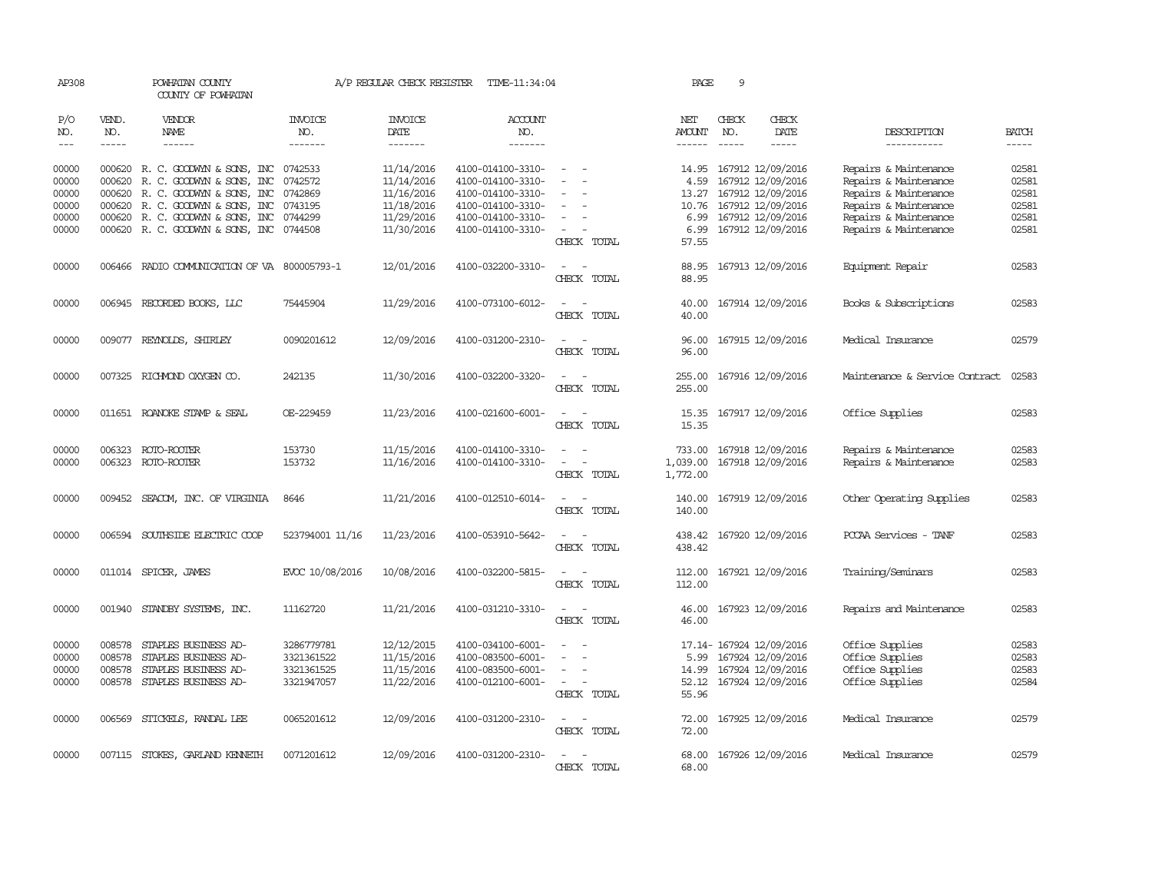| AP308          |               | POWHATAN COUNTY<br>COUNTY OF POWHATAN                                |                       | A/P REGULAR CHECK REGISTER | TIME-11:34:04                          |                                                                                | PAGE                           | 9            |                                              |                                                |                |
|----------------|---------------|----------------------------------------------------------------------|-----------------------|----------------------------|----------------------------------------|--------------------------------------------------------------------------------|--------------------------------|--------------|----------------------------------------------|------------------------------------------------|----------------|
| P/O<br>NO.     | VEND.<br>NO.  | <b>VENDOR</b><br>NAME                                                | <b>INVOICE</b><br>NO. | <b>INVOICE</b><br>DATE     | <b>ACCOUNT</b><br>NO.                  |                                                                                | NET<br><b>AMOUNT</b>           | CHECK<br>NO. | CHECK<br>DATE                                | DESCRIPTION                                    | <b>BATCH</b>   |
| $---$          | $\frac{1}{2}$ | ------                                                               | -------               | --------                   | -------                                |                                                                                |                                | $- - - - -$  | -----                                        | -----------                                    | $- - - - -$    |
| 00000<br>00000 |               | 000620 R. C. GOODWYN & SONS, INC<br>000620 R. C. GOODWYN & SONS, INC | 0742533<br>0742572    | 11/14/2016<br>11/14/2016   | 4100-014100-3310-<br>4100-014100-3310- | $\equiv$                                                                       | 4.59                           |              | 14.95 167912 12/09/2016<br>167912 12/09/2016 | Repairs & Maintenance<br>Repairs & Maintenance | 02581<br>02581 |
| 00000          | 000620        | R. C. GOODWYN & SONS, INC                                            | 0742869               | 11/16/2016                 | 4100-014100-3310-                      |                                                                                | 13.27                          |              | 167912 12/09/2016                            | Repairs & Maintenance                          | 02581          |
| 00000          |               | 000620 R. C. GOODWYN & SONS, INC                                     | 0743195               | 11/18/2016                 | 4100-014100-3310-                      | $\sim$                                                                         | 10.76                          |              | 167912 12/09/2016                            | Repairs & Maintenance                          | 02581          |
| 00000          |               | 000620 R. C. GOODWYN & SONS, INC                                     | 0744299               | 11/29/2016                 | 4100-014100-3310-                      |                                                                                | 6.99                           |              | 167912 12/09/2016                            | Repairs & Maintenance                          | 02581          |
| 00000          |               | 000620 R. C. GOODWYN & SONS, INC 0744508                             |                       | 11/30/2016                 | 4100-014100-3310-                      | CHECK TOTAL                                                                    | 57.55                          |              | 6.99 167912 12/09/2016                       | Repairs & Maintenance                          | 02581          |
| 00000          |               | 006466 RADIO COMMUNICATION OF VA 800005793-1                         |                       | 12/01/2016                 | 4100-032200-3310-                      | $\overline{\phantom{0}}$<br>$\sim$<br>CHECK TOTAL                              | 88.95<br>88.95                 |              | 167913 12/09/2016                            | Equipment Repair                               | 02583          |
| 00000          |               | 006945 RECORDED BOOKS, LLC                                           | 75445904              | 11/29/2016                 | 4100-073100-6012-                      | CHECK TOTAL                                                                    | 40.00<br>40.00                 |              | 167914 12/09/2016                            | Books & Subscriptions                          | 02583          |
| 00000          |               | 009077 REYNOLDS, SHIRLEY                                             | 0090201612            | 12/09/2016                 | 4100-031200-2310-                      | $\sim$<br>CHECK TOTAL                                                          | 96.00<br>96.00                 |              | 167915 12/09/2016                            | Medical Insurance                              | 02579          |
| 00000          | 007325        | RICHMOND OXYGEN CO.                                                  | 242135                | 11/30/2016                 | 4100-032200-3320-                      | CHECK TOTAL                                                                    | 255.00<br>255.00               |              | 167916 12/09/2016                            | Maintenance & Service Contract                 | 02583          |
| 00000          |               | 011651 ROANOKE STAMP & SEAL                                          | OE-229459             | 11/23/2016                 | 4100-021600-6001-                      | $\sim$<br>$\sim$<br>CHECK TOTAL                                                | 15.35<br>15.35                 |              | 167917 12/09/2016                            | Office Supplies                                | 02583          |
| 00000<br>00000 |               | 006323 ROTO-ROOTER<br>006323 ROTO-ROOTER                             | 153730<br>153732      | 11/15/2016<br>11/16/2016   | 4100-014100-3310-<br>4100-014100-3310- | $\sim$<br>$\sim$<br>$\omega_{\rm{max}}$ and $\omega_{\rm{max}}$<br>CHECK TOTAL | 733.00<br>1,039.00<br>1,772.00 |              | 167918 12/09/2016<br>167918 12/09/2016       | Repairs & Maintenance<br>Repairs & Maintenance | 02583<br>02583 |
| 00000          |               | 009452 SEACOM, INC. OF VIRGINIA                                      | 8646                  | 11/21/2016                 | 4100-012510-6014-                      | $\sim$<br>$\sim$<br>CHECK TOTAL                                                | 140.00<br>140.00               |              | 167919 12/09/2016                            | Other Operating Supplies                       | 02583          |
| 00000          | 006594        | SOUTHSIDE ELECTRIC COOP                                              | 523794001 11/16       | 11/23/2016                 | 4100-053910-5642-                      | $\overline{\phantom{0}}$<br>$\sim$<br>CHECK TOTAL                              | 438.42<br>438.42               |              | 167920 12/09/2016                            | PCCAA Services - TANF                          | 02583          |
| 00000          |               | 011014 SPICER, JAMES                                                 | EVCC 10/08/2016       | 10/08/2016                 | 4100-032200-5815-                      | $\equiv$<br>$\sim$<br>CHECK TOTAL                                              | 112.00<br>112.00               |              | 167921 12/09/2016                            | Training/Seminars                              | 02583          |
| 00000          |               | 001940 STANDBY SYSTEMS, INC.                                         | 11162720              | 11/21/2016                 | 4100-031210-3310-                      | $\sim$<br>$\sim$<br>CHECK TOTAL                                                | 46.00<br>46.00                 |              | 167923 12/09/2016                            | Repairs and Maintenance                        | 02583          |
| 00000          | 008578        | STAPLES BUSINESS AD-                                                 | 3286779781            | 12/12/2015                 | 4100-034100-6001-                      | $\sim$<br>$\sim$                                                               |                                |              | 17.14- 167924 12/09/2016                     | Office Supplies                                | 02583          |
| 00000          | 008578        | STAPLES BUSINESS AD-                                                 | 3321361522            | 11/15/2016                 | 4100-083500-6001-                      |                                                                                | 5.99                           |              | 167924 12/09/2016                            | Office Supplies                                | 02583          |
| 00000          | 008578        | STAPLES BUSINESS AD-                                                 | 3321361525            | 11/15/2016                 | 4100-083500-6001-                      |                                                                                | 14.99                          |              | 167924 12/09/2016                            | Office Supplies                                | 02583          |
| 00000          | 008578        | STAPLES BUSINESS AD-                                                 | 3321947057            | 11/22/2016                 | 4100-012100-6001-                      | $\sim$<br>$\sim$<br>CHECK TOTAL                                                | 55.96                          |              | 52.12 167924 12/09/2016                      | Office Supplies                                | 02584          |
| 00000          |               | 006569 STICKELS, RANDAL LEE                                          | 0065201612            | 12/09/2016                 | 4100-031200-2310-                      | $\sim$ 10 $\sim$ 10 $\sim$<br>CHECK TOTAL                                      | 72.00                          |              | 72.00 167925 12/09/2016                      | Medical Insurance                              | 02579          |
| 00000          |               | 007115 STOKES, GARLAND KENNETH                                       | 0071201612            | 12/09/2016                 | 4100-031200-2310-                      | $\equiv$<br>$\sim$<br>CHECK TOTAL                                              | 68.00<br>68.00                 |              | 167926 12/09/2016                            | Medical Insurance                              | 02579          |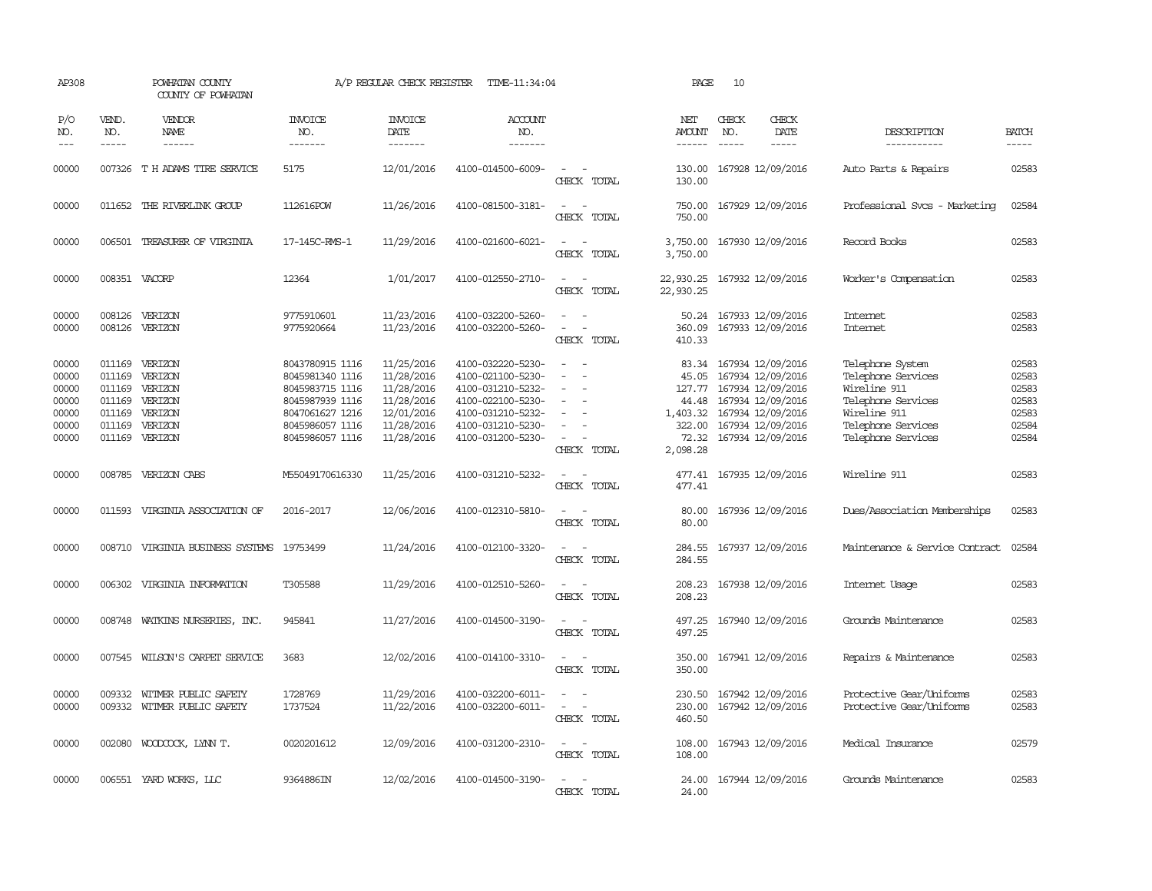| AP308                                                       |                                                          | POWHATAN COUNTY<br>COUNTY OF POWHATAN                                            |                                                                                                                                   | A/P REGULAR CHECK REGISTER                                                                     | TIME-11:34:04                                                                                                                                   |                                                                                                                             | PAGE                                                                | 10            |                                                                                                                                                       |                                                                                                                                          |                                                             |
|-------------------------------------------------------------|----------------------------------------------------------|----------------------------------------------------------------------------------|-----------------------------------------------------------------------------------------------------------------------------------|------------------------------------------------------------------------------------------------|-------------------------------------------------------------------------------------------------------------------------------------------------|-----------------------------------------------------------------------------------------------------------------------------|---------------------------------------------------------------------|---------------|-------------------------------------------------------------------------------------------------------------------------------------------------------|------------------------------------------------------------------------------------------------------------------------------------------|-------------------------------------------------------------|
| P/O<br>NO.                                                  | VEND.<br>NO.                                             | <b>VENDOR</b><br>NAME                                                            | <b>INVOICE</b><br>NO.                                                                                                             | <b>INVOICE</b><br>DATE                                                                         | <b>ACCOUNT</b><br>NO.                                                                                                                           |                                                                                                                             | NET<br><b>AMOUNT</b>                                                | CHECK<br>NO.  | CHECK<br>DATE                                                                                                                                         | DESCRIPTION                                                                                                                              | <b>BATCH</b>                                                |
| $---$                                                       | $- - - - -$                                              | ------                                                                           | -------                                                                                                                           | -------                                                                                        | -------                                                                                                                                         |                                                                                                                             | $- - - - - -$                                                       | $\frac{1}{2}$ | $- - - - -$                                                                                                                                           | -----------                                                                                                                              | $- - - - -$                                                 |
| 00000                                                       |                                                          | 007326 T H ADAMS TIRE SERVICE                                                    | 5175                                                                                                                              | 12/01/2016                                                                                     | 4100-014500-6009-                                                                                                                               | $ -$<br>CHECK TOTAL                                                                                                         | 130.00                                                              |               | 130.00 167928 12/09/2016                                                                                                                              | Auto Parts & Repairs                                                                                                                     | 02583                                                       |
| 00000                                                       |                                                          | 011652 THE RIVERLINK GROUP                                                       | 112616POW                                                                                                                         | 11/26/2016                                                                                     | 4100-081500-3181-                                                                                                                               | $\sim$<br>$\sim$<br>CHECK TOTAL                                                                                             | 750.00<br>750.00                                                    |               | 167929 12/09/2016                                                                                                                                     | Professional Svcs - Marketing                                                                                                            | 02584                                                       |
| 00000                                                       |                                                          | 006501 TREASURER OF VIRGINIA                                                     | 17-145C-RMS-1                                                                                                                     | 11/29/2016                                                                                     | 4100-021600-6021-                                                                                                                               | $\sim$<br>$\sim$<br>CHECK TOTAL                                                                                             | 3,750.00<br>3,750.00                                                |               | 167930 12/09/2016                                                                                                                                     | Record Books                                                                                                                             | 02583                                                       |
| 00000                                                       |                                                          | 008351 VACORP                                                                    | 12364                                                                                                                             | 1/01/2017                                                                                      | 4100-012550-2710-                                                                                                                               | $\sim$<br>CHECK TOTAL                                                                                                       | 22,930.25<br>22,930.25                                              |               | 167932 12/09/2016                                                                                                                                     | Worker's Compensation                                                                                                                    | 02583                                                       |
| 00000<br>00000                                              | 008126<br>008126                                         | VERIZON<br>VERIZON                                                               | 9775910601<br>9775920664                                                                                                          | 11/23/2016<br>11/23/2016                                                                       | 4100-032200-5260-<br>4100-032200-5260-                                                                                                          | $\sim$<br>$\sim$<br>CHECK TOTAL                                                                                             | 50.24<br>360.09<br>410.33                                           |               | 167933 12/09/2016<br>167933 12/09/2016                                                                                                                | Internet<br>Internet                                                                                                                     | 02583<br>02583                                              |
| 00000<br>00000<br>00000<br>00000<br>00000<br>00000<br>00000 | 011169<br>011169<br>011169<br>011169<br>011169<br>011169 | VERIZON<br>VERIZON<br>VERIZON<br>VERIZON<br>VERIZON<br>VERIZON<br>011169 VERIZON | 8043780915 1116<br>8045981340 1116<br>8045983715 1116<br>8045987939 1116<br>8047061627 1216<br>8045986057 1116<br>8045986057 1116 | 11/25/2016<br>11/28/2016<br>11/28/2016<br>11/28/2016<br>12/01/2016<br>11/28/2016<br>11/28/2016 | 4100-032220-5230-<br>4100-021100-5230-<br>4100-031210-5232-<br>4100-022100-5230-<br>4100-031210-5232-<br>4100-031210-5230-<br>4100-031200-5230- | $\equiv$<br>$\equiv$<br>$\equiv$<br>CHECK TOTAL                                                                             | 83.34<br>45.05<br>127.77<br>44.48<br>1,403.32<br>322.00<br>2,098.28 |               | 167934 12/09/2016<br>167934 12/09/2016<br>167934 12/09/2016<br>167934 12/09/2016<br>167934 12/09/2016<br>167934 12/09/2016<br>72.32 167934 12/09/2016 | Telephone System<br>Telephone Services<br>Wireline 911<br>Telephone Services<br>Wireline 911<br>Telephone Services<br>Telephone Services | 02583<br>02583<br>02583<br>02583<br>02583<br>02584<br>02584 |
| 00000                                                       |                                                          | 008785 VERIZON CABS                                                              | M55049170616330                                                                                                                   | 11/25/2016                                                                                     | 4100-031210-5232-                                                                                                                               | $\sim$<br>CHECK TOTAL                                                                                                       | 477.41                                                              |               | 477.41 167935 12/09/2016                                                                                                                              | Wireline 911                                                                                                                             | 02583                                                       |
| 00000                                                       | 011593                                                   | VIRGINIA ASSOCIATION OF                                                          | 2016-2017                                                                                                                         | 12/06/2016                                                                                     | 4100-012310-5810-                                                                                                                               | $\sim$<br>$\sim$<br>CHECK TOTAL                                                                                             | 80.00<br>80.00                                                      |               | 167936 12/09/2016                                                                                                                                     | Dues/Association Memberships                                                                                                             | 02583                                                       |
| 00000                                                       | 008710                                                   | VIRGINIA BUSINESS SYSTEMS                                                        | 19753499                                                                                                                          | 11/24/2016                                                                                     | 4100-012100-3320-                                                                                                                               | CHECK TOTAL                                                                                                                 | 284.55<br>284.55                                                    |               | 167937 12/09/2016                                                                                                                                     | Maintenance & Service Contract                                                                                                           | 02584                                                       |
| 00000                                                       | 006302                                                   | VIRGINIA INFORMATION                                                             | T305588                                                                                                                           | 11/29/2016                                                                                     | 4100-012510-5260-                                                                                                                               | $\sim$<br>CHECK TOTAL                                                                                                       | 208.23<br>208.23                                                    |               | 167938 12/09/2016                                                                                                                                     | Internet Usage                                                                                                                           | 02583                                                       |
| 00000                                                       |                                                          | 008748 WATKINS NURSERIES, INC.                                                   | 945841                                                                                                                            | 11/27/2016                                                                                     | 4100-014500-3190-                                                                                                                               | $\sim$<br>$\sim$<br>CHECK TOTAL                                                                                             | 497.25<br>497.25                                                    |               | 167940 12/09/2016                                                                                                                                     | Grounds Maintenance                                                                                                                      | 02583                                                       |
| 00000                                                       |                                                          | 007545 WILSON'S CARPET SERVICE                                                   | 3683                                                                                                                              | 12/02/2016                                                                                     | 4100-014100-3310-                                                                                                                               | $ -$<br>CHECK TOTAL                                                                                                         | 350.00<br>350.00                                                    |               | 167941 12/09/2016                                                                                                                                     | Repairs & Maintenance                                                                                                                    | 02583                                                       |
| 00000<br>00000                                              | 009332                                                   | WITMER PUBLIC SAFETY<br>009332 WITMER PUBLIC SAFETY                              | 1728769<br>1737524                                                                                                                | 11/29/2016<br>11/22/2016                                                                       | 4100-032200-6011-<br>4100-032200-6011-                                                                                                          | $\equiv$<br>CHECK TOTAL                                                                                                     | 230.50<br>230.00<br>460.50                                          |               | 167942 12/09/2016<br>167942 12/09/2016                                                                                                                | Protective Gear/Uniforms<br>Protective Gear/Uniforms                                                                                     | 02583<br>02583                                              |
| 00000                                                       |                                                          | 002080 WOODCOCK, LYNN T.                                                         | 0020201612                                                                                                                        | 12/09/2016                                                                                     | 4100-031200-2310-                                                                                                                               | $\frac{1}{2} \left( \frac{1}{2} \right) \left( \frac{1}{2} \right) = \frac{1}{2} \left( \frac{1}{2} \right)$<br>CHECK TOTAL | 108.00<br>108.00                                                    |               | 167943 12/09/2016                                                                                                                                     | Medical Insurance                                                                                                                        | 02579                                                       |
| 00000                                                       |                                                          | 006551 YARD WORKS, LLC                                                           | 9364886IN                                                                                                                         | 12/02/2016                                                                                     | 4100-014500-3190-                                                                                                                               | $\sim$<br>CHECK TOTAL                                                                                                       | 24.00<br>24.00                                                      |               | 167944 12/09/2016                                                                                                                                     | Grounds Maintenance                                                                                                                      | 02583                                                       |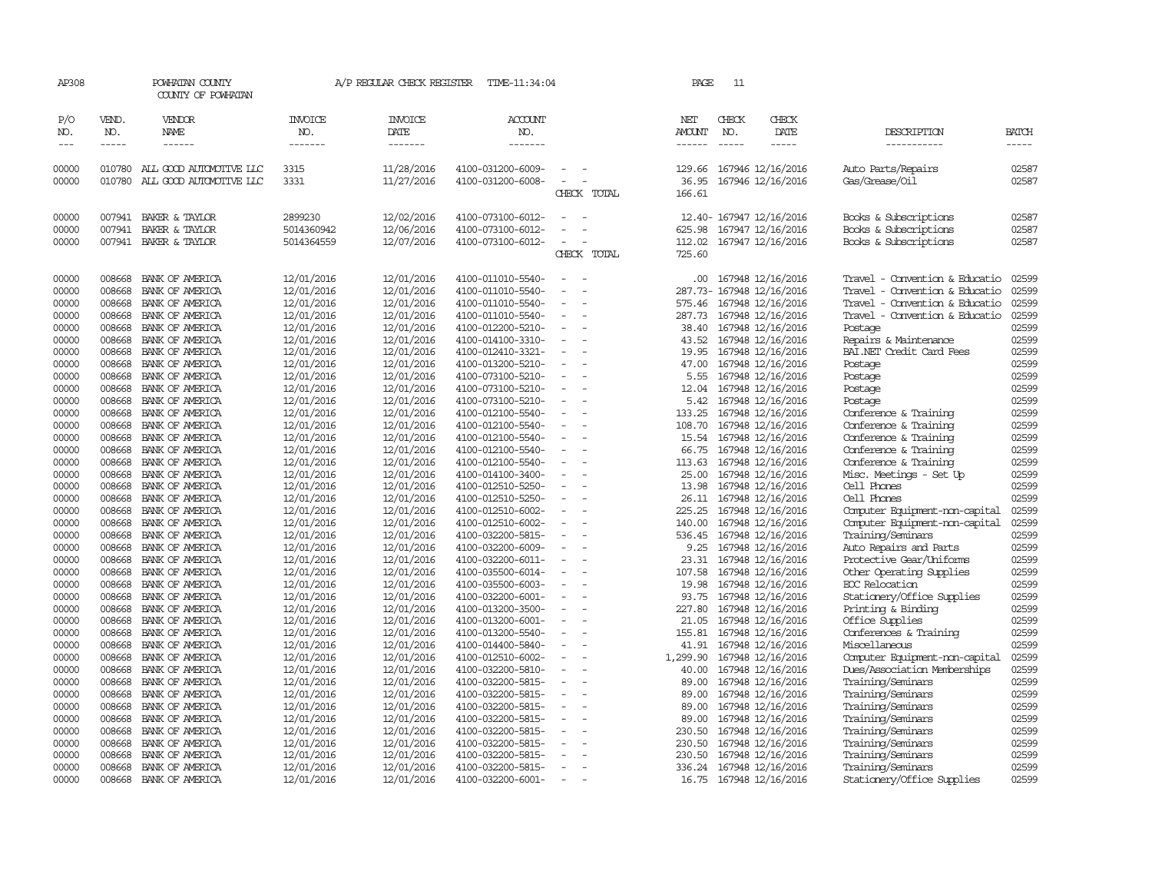| AP308               |                             | POWHATAN COUNTY<br>COUNTY OF POWHATAN                     |                                  | A/P REGULAR CHECK REGISTER        | TIME-11:34:04                          |                          | PAGE                 | 11                            |                                        |                                                   |                               |
|---------------------|-----------------------------|-----------------------------------------------------------|----------------------------------|-----------------------------------|----------------------------------------|--------------------------|----------------------|-------------------------------|----------------------------------------|---------------------------------------------------|-------------------------------|
| P/O<br>NO.<br>$---$ | VEND.<br>NO.<br>$- - - - -$ | VENDOR<br>NAME<br>$\frac{1}{2}$                           | <b>INVOICE</b><br>NO.<br>------- | <b>INVOICE</b><br>DATE<br>------- | <b>ACCOUNT</b><br>NO.<br>-------       |                          | NET<br><b>AMOUNT</b> | CHECK<br>NO.<br>$\frac{1}{2}$ | CHECK<br>DATE<br>-----                 | DESCRIPTION<br>-----------                        | <b>BATCH</b><br>$\frac{1}{2}$ |
|                     |                             |                                                           |                                  |                                   |                                        |                          |                      |                               |                                        |                                                   |                               |
| 00000<br>00000      | 010780                      | 010780 ALL GOOD AUTOMOTTVE LLC<br>ALL GOOD AUTOMOTTVE LLC | 3315<br>3331                     | 11/28/2016<br>11/27/2016          | 4100-031200-6009-<br>4100-031200-6008- |                          | 129.66<br>36.95      |                               | 167946 12/16/2016<br>167946 12/16/2016 | Auto Parts/Repairs<br>Gas/Grease/Oil              | 02587<br>02587                |
|                     |                             |                                                           |                                  |                                   |                                        | CHECK TOTAL              | 166.61               |                               |                                        |                                                   |                               |
| 00000               | 007941                      | BAKER & TAYLOR                                            | 2899230                          | 12/02/2016                        | 4100-073100-6012-                      |                          |                      |                               | 12.40- 167947 12/16/2016               | Books & Subscriptions                             | 02587                         |
| 00000               | 007941                      | BAKER & TAYLOR                                            | 5014360942                       | 12/06/2016                        | 4100-073100-6012-                      |                          | 625.98               |                               | 167947 12/16/2016                      | Books & Subscriptions                             | 02587                         |
| 00000               |                             | 007941 BAKER & TAYLOR                                     | 5014364559                       | 12/07/2016                        | 4100-073100-6012-                      |                          | 112.02               |                               | 167947 12/16/2016                      | Books & Subscriptions                             | 02587                         |
|                     |                             |                                                           |                                  |                                   |                                        | CHECK TOTAL              | 725.60               |                               |                                        |                                                   |                               |
| 00000               | 008668                      | BANK OF AMERICA                                           | 12/01/2016                       | 12/01/2016                        | 4100-011010-5540-                      |                          | .00.                 |                               | 167948 12/16/2016                      | Travel - Convention & Educatio                    | 02599                         |
| 00000               | 008668                      | BANK OF AMERICA                                           | 12/01/2016                       | 12/01/2016                        | 4100-011010-5540-                      |                          | 287.73-              |                               | 167948 12/16/2016                      | Travel - Convention & Educatio                    | 02599                         |
| 00000               | 008668                      | BANK OF AMERICA                                           | 12/01/2016                       | 12/01/2016                        | 4100-011010-5540-                      | $\overline{\phantom{a}}$ | 575.46               |                               | 167948 12/16/2016                      | Travel - Convention & Educatio                    | 02599                         |
| 00000               | 008668                      | BANK OF AMERICA                                           | 12/01/2016                       | 12/01/2016                        | 4100-011010-5540-                      |                          | 287.73               |                               | 167948 12/16/2016                      | Travel - Convention & Educatio                    | 02599                         |
| 00000               | 008668                      | BANK OF AMERICA                                           | 12/01/2016                       | 12/01/2016                        | 4100-012200-5210-                      |                          | 38.40                |                               | 167948 12/16/2016                      | Postage                                           | 02599<br>02599                |
| 00000               | 008668                      | BANK OF AMERICA                                           | 12/01/2016<br>12/01/2016         | 12/01/2016<br>12/01/2016          | 4100-014100-3310-                      | $\equiv$                 | 43.52<br>19.95       |                               | 167948 12/16/2016<br>167948 12/16/2016 | Repairs & Maintenance<br>BAI.NET Credit Card Fees | 02599                         |
| 00000<br>00000      | 008668<br>008668            | BANK OF AMERICA<br>BANK OF AMERICA                        | 12/01/2016                       | 12/01/2016                        | 4100-012410-3321-<br>4100-013200-5210- |                          | 47.00                |                               | 167948 12/16/2016                      | Postage                                           | 02599                         |
| 00000               | 008668                      | BANK OF AMERICA                                           | 12/01/2016                       | 12/01/2016                        | 4100-073100-5210-                      |                          | 5.55                 |                               | 167948 12/16/2016                      | Postage                                           | 02599                         |
| 00000               | 008668                      | BANK OF AMERICA                                           | 12/01/2016                       | 12/01/2016                        | 4100-073100-5210-                      | $\equiv$                 | 12.04                |                               | 167948 12/16/2016                      | Postage                                           | 02599                         |
| 00000               | 008668                      | BANK OF AMERICA                                           | 12/01/2016                       | 12/01/2016                        | 4100-073100-5210-                      |                          | 5.42                 |                               | 167948 12/16/2016                      | Postage                                           | 02599                         |
| 00000               | 008668                      | BANK OF AMERICA                                           | 12/01/2016                       | 12/01/2016                        | 4100-012100-5540-                      |                          | 133.25               |                               | 167948 12/16/2016                      | Conference & Training                             | 02599                         |
| 00000               | 008668                      | BANK OF AMERICA                                           | 12/01/2016                       | 12/01/2016                        | 4100-012100-5540-                      |                          | 108.70               |                               | 167948 12/16/2016                      | Conference & Training                             | 02599                         |
| 00000               | 008668                      | BANK OF AMERICA                                           | 12/01/2016                       | 12/01/2016                        | 4100-012100-5540-                      | $\equiv$                 | 15.54                |                               | 167948 12/16/2016                      | Conference & Training                             | 02599                         |
| 00000               | 008668                      | BANK OF AMERICA                                           | 12/01/2016                       | 12/01/2016                        | 4100-012100-5540-                      |                          | 66.75                |                               | 167948 12/16/2016                      | Conference & Training                             | 02599                         |
| 00000               | 008668                      | BANK OF AMERICA                                           | 12/01/2016                       | 12/01/2016                        | 4100-012100-5540-                      |                          | 113.63               |                               | 167948 12/16/2016                      | Conference & Training                             | 02599                         |
| 00000               | 008668                      | BANK OF AMERICA                                           | 12/01/2016                       | 12/01/2016                        | 4100-014100-3400-                      | $\overline{\phantom{a}}$ | 25.00                |                               | 167948 12/16/2016                      | Misc. Meetings - Set Up                           | 02599                         |
| 00000               | 008668                      | BANK OF AMERICA                                           | 12/01/2016                       | 12/01/2016                        | 4100-012510-5250-                      |                          | 13.98                |                               | 167948 12/16/2016                      | Cell Phones                                       | 02599                         |
| 00000               | 008668                      | BANK OF AMERICA                                           | 12/01/2016                       | 12/01/2016                        | 4100-012510-5250-                      |                          | 26.11                |                               | 167948 12/16/2016                      | Cell Phones                                       | 02599                         |
| 00000               | 008668                      | BANK OF AMERICA                                           | 12/01/2016                       | 12/01/2016                        | 4100-012510-6002-                      |                          | 225.25               |                               | 167948 12/16/2016                      | Computer Equipment-non-capital                    | 02599                         |
| 00000               | 008668                      | BANK OF AMERICA                                           | 12/01/2016                       | 12/01/2016                        | 4100-012510-6002-                      | $\equiv$                 | 140.00               |                               | 167948 12/16/2016                      | Computer Equipment-non-capital                    | 02599                         |
| 00000               | 008668                      | BANK OF AMERICA                                           | 12/01/2016                       | 12/01/2016                        | 4100-032200-5815-                      |                          | 536.45               |                               | 167948 12/16/2016                      | Training/Seminars                                 | 02599                         |
| 00000               | 008668                      | BANK OF AMERICA                                           | 12/01/2016                       | 12/01/2016                        | 4100-032200-6009-                      |                          | 9.25                 |                               | 167948 12/16/2016                      | Auto Repairs and Parts                            | 02599                         |
| 00000               | 008668                      | BANK OF AMERICA                                           | 12/01/2016                       | 12/01/2016                        | 4100-032200-6011-                      | $\overline{\phantom{a}}$ | 23.31                |                               | 167948 12/16/2016                      | Protective Gear/Uniforms                          | 02599                         |
| 00000               | 008668                      | BANK OF AMERICA                                           | 12/01/2016                       | 12/01/2016                        | 4100-035500-6014-                      |                          | 107.58               |                               | 167948 12/16/2016                      | Other Operating Supplies                          | 02599<br>02599                |
| 00000<br>00000      | 008668<br>008668            | BANK OF AMERICA<br>BANK OF AMERICA                        | 12/01/2016                       | 12/01/2016<br>12/01/2016          | 4100-035500-6003-<br>4100-032200-6001- |                          | 19.98<br>93.75       |                               | 167948 12/16/2016                      | EOC Relocation                                    | 02599                         |
| 00000               | 008668                      | BANK OF AMERICA                                           | 12/01/2016<br>12/01/2016         | 12/01/2016                        | 4100-013200-3500-                      | $\equiv$                 | 227.80               |                               | 167948 12/16/2016<br>167948 12/16/2016 | Stationery/Office Supplies<br>Printing & Binding  | 02599                         |
| 00000               | 008668                      | BANK OF AMERICA                                           | 12/01/2016                       | 12/01/2016                        | 4100-013200-6001-                      |                          | 21.05                |                               | 167948 12/16/2016                      | Office Supplies                                   | 02599                         |
| 00000               | 008668                      | BANK OF AMERICA                                           | 12/01/2016                       | 12/01/2016                        | 4100-013200-5540-                      |                          | 155.81               |                               | 167948 12/16/2016                      | Conferences & Training                            | 02599                         |
| 00000               | 008668                      | BANK OF AMERICA                                           | 12/01/2016                       | 12/01/2016                        | 4100-014400-5840-                      |                          | 41.91                |                               | 167948 12/16/2016                      | Miscellaneous                                     | 02599                         |
| 00000               | 008668                      | BANK OF AMERICA                                           | 12/01/2016                       | 12/01/2016                        | 4100-012510-6002-                      | $\equiv$                 | 1,299.90             |                               | 167948 12/16/2016                      | Computer Equipment-non-capital                    | 02599                         |
| 00000               | 008668                      | BANK OF AMERICA                                           | 12/01/2016                       | 12/01/2016                        | 4100-032200-5810-                      | $\equiv$                 | 40.00                |                               | 167948 12/16/2016                      | Dues/Association Memberships                      | 02599                         |
| 00000               | 008668                      | BANK OF AMERICA                                           | 12/01/2016                       | 12/01/2016                        | 4100-032200-5815-                      |                          | 89.00                |                               | 167948 12/16/2016                      | Training/Seminars                                 | 02599                         |
| 00000               | 008668                      | BANK OF AMERICA                                           | 12/01/2016                       | 12/01/2016                        | 4100-032200-5815-                      | $\equiv$                 | 89.00                |                               | 167948 12/16/2016                      | Training/Seminars                                 | 02599                         |
| 00000               | 008668                      | BANK OF AMERICA                                           | 12/01/2016                       | 12/01/2016                        | 4100-032200-5815-                      |                          | 89.00                |                               | 167948 12/16/2016                      | Training/Seminars                                 | 02599                         |
| 00000               | 008668                      | BANK OF AMERICA                                           | 12/01/2016                       | 12/01/2016                        | 4100-032200-5815-                      |                          | 89.00                |                               | 167948 12/16/2016                      | Training/Seminars                                 | 02599                         |
| 00000               | 008668                      | BANK OF AMERICA                                           | 12/01/2016                       | 12/01/2016                        | 4100-032200-5815-                      |                          | 230.50               |                               | 167948 12/16/2016                      | Training/Seminars                                 | 02599                         |
| 00000               | 008668                      | BANK OF AMERICA                                           | 12/01/2016                       | 12/01/2016                        | 4100-032200-5815-                      | $\equiv$                 | 230.50               |                               | 167948 12/16/2016                      | Training/Seminars                                 | 02599                         |
| 00000               | 008668                      | BANK OF AMERICA                                           | 12/01/2016                       | 12/01/2016                        | 4100-032200-5815-                      |                          | 230.50               |                               | 167948 12/16/2016                      | Training/Seminars                                 | 02599                         |
| 00000               | 008668                      | BANK OF AMERICA                                           | 12/01/2016                       | 12/01/2016                        | 4100-032200-5815-                      |                          | 336.24               |                               | 167948 12/16/2016                      | Training/Seminars                                 | 02599                         |
| 00000               |                             | 008668 BANK OF AMERICA                                    | 12/01/2016                       | 12/01/2016                        | 4100-032200-6001-                      | $\overline{\phantom{a}}$ |                      |                               | 16.75 167948 12/16/2016                | Stationery/Office Supplies                        | 02599                         |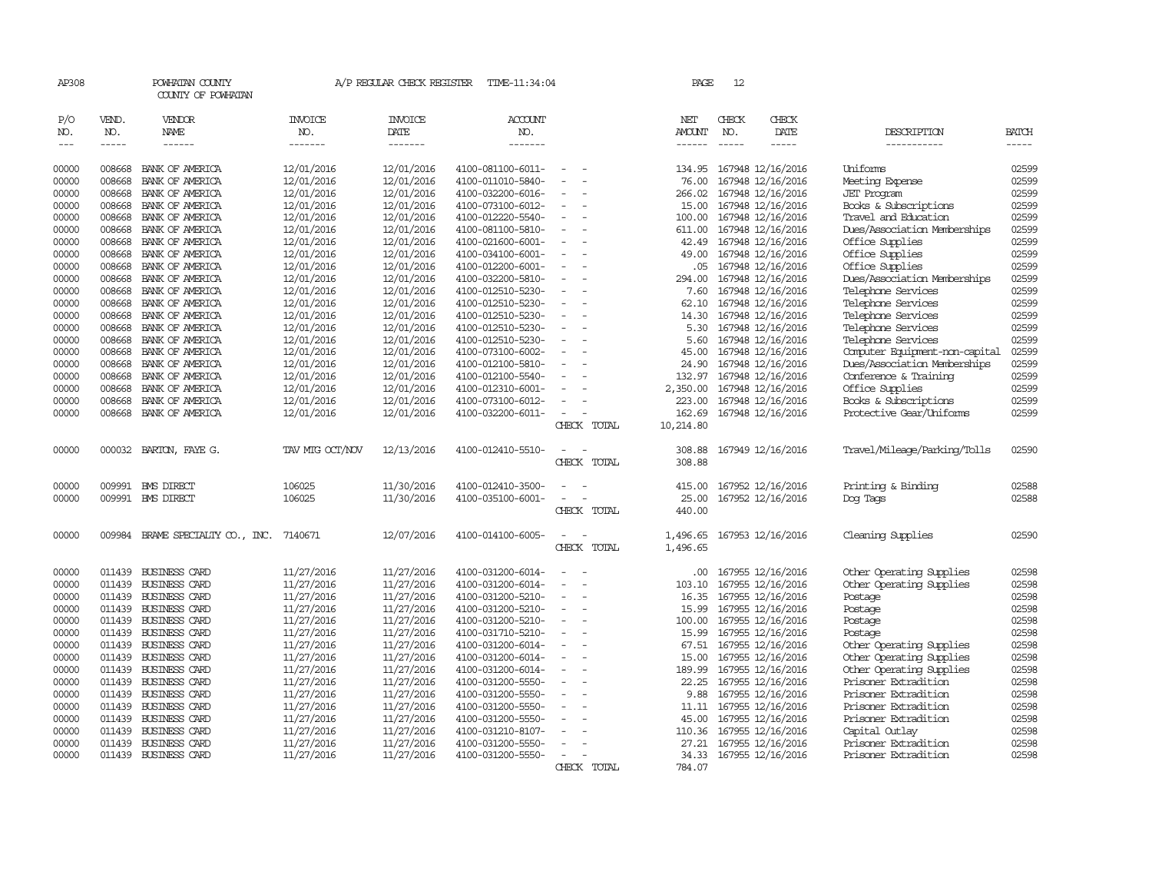| AP308               |                             | POWHATAN COUNTY<br>COUNTY OF POWHATAN |                                  | A/P REGULAR CHECK REGISTER        | TIME-11:34:04                    |                                         | PAGE                           | 12                            |                          |                                |                       |
|---------------------|-----------------------------|---------------------------------------|----------------------------------|-----------------------------------|----------------------------------|-----------------------------------------|--------------------------------|-------------------------------|--------------------------|--------------------------------|-----------------------|
| P/O<br>NO.<br>$---$ | VEND.<br>NO.<br>$- - - - -$ | VENDOR<br>NAME<br>$- - - - - -$       | <b>INVOICE</b><br>NO.<br>------- | <b>INVOICE</b><br>DATE<br>------- | <b>ACCOUNT</b><br>NO.<br>------- |                                         | NET<br>AMOUNT<br>$- - - - - -$ | CHECK<br>NO.<br>$\frac{1}{2}$ | CHECK<br>DATE<br>-----   | DESCRIPTION<br>-----------     | <b>BATCH</b><br>----- |
| 00000               | 008668                      | BANK OF AMERICA                       | 12/01/2016                       | 12/01/2016                        | 4100-081100-6011-                |                                         | 134.95                         |                               | 167948 12/16/2016        | <b>Uniforms</b>                | 02599                 |
| 00000               | 008668                      | BANK OF AMERICA                       | 12/01/2016                       | 12/01/2016                        | 4100-011010-5840-                |                                         | 76.00                          |                               | 167948 12/16/2016        | Meeting Expense                | 02599                 |
| 00000               | 008668                      | BANK OF AMERICA                       | 12/01/2016                       | 12/01/2016                        | 4100-032200-6016-                |                                         | 266.02                         |                               | 167948 12/16/2016        | <b>JET</b> Program             | 02599                 |
| 00000               | 008668                      | BANK OF AMERICA                       | 12/01/2016                       | 12/01/2016                        | 4100-073100-6012-                | $\equiv$                                | 15.00                          |                               | 167948 12/16/2016        | Books & Subscriptions          | 02599                 |
| 00000               | 008668                      | BANK OF AMERICA                       | 12/01/2016                       | 12/01/2016                        | 4100-012220-5540-                | $\overline{\phantom{a}}$                | 100.00                         |                               | 167948 12/16/2016        | Travel and Education           | 02599                 |
| 00000               | 008668                      | BANK OF AMERICA                       | 12/01/2016                       | 12/01/2016                        | 4100-081100-5810-                |                                         | 611.00                         |                               | 167948 12/16/2016        | Dues/Association Memberships   | 02599                 |
| 00000               | 008668                      | BANK OF AMERICA                       | 12/01/2016                       | 12/01/2016                        | 4100-021600-6001-                | $\equiv$                                | 42.49                          |                               | 167948 12/16/2016        | Office Supplies                | 02599                 |
| 00000               | 008668                      | BANK OF AMERICA                       | 12/01/2016                       | 12/01/2016                        | 4100-034100-6001-                |                                         | 49.00                          |                               | 167948 12/16/2016        | Office Supplies                | 02599                 |
| 00000               | 008668                      | BANK OF AMERICA                       | 12/01/2016                       | 12/01/2016                        | 4100-012200-6001-                |                                         | .05                            |                               | 167948 12/16/2016        | Office Supplies                | 02599                 |
| 00000               | 008668                      | BANK OF AMERICA                       | 12/01/2016                       | 12/01/2016                        | 4100-032200-5810-                |                                         | 294.00                         |                               | 167948 12/16/2016        | Dues/Association Memberships   | 02599                 |
| 00000               | 008668                      | BANK OF AMERICA                       | 12/01/2016                       | 12/01/2016                        | 4100-012510-5230-                |                                         | 7.60                           |                               | 167948 12/16/2016        | Telephone Services             | 02599                 |
| 00000               | 008668                      | BANK OF AMERICA                       | 12/01/2016                       | 12/01/2016                        | 4100-012510-5230-                |                                         | 62.10                          |                               | 167948 12/16/2016        | Telephone Services             | 02599                 |
| 00000               | 008668                      | BANK OF AMERICA                       | 12/01/2016                       | 12/01/2016                        | 4100-012510-5230-                |                                         | 14.30                          |                               | 167948 12/16/2016        | Telephone Services             | 02599                 |
| 00000               | 008668                      | BANK OF AMERICA                       | 12/01/2016                       | 12/01/2016                        | 4100-012510-5230-                | $\equiv$                                | 5.30                           |                               | 167948 12/16/2016        | Telephone Services             | 02599                 |
| 00000               | 008668                      | BANK OF AMERICA                       | 12/01/2016                       | 12/01/2016                        | 4100-012510-5230-                | $\overline{\phantom{a}}$                | 5.60                           |                               | 167948 12/16/2016        | Telephone Services             | 02599                 |
| 00000               | 008668                      | BANK OF AMERICA                       | 12/01/2016                       | 12/01/2016                        | 4100-073100-6002-                |                                         | 45.00                          |                               | 167948 12/16/2016        | Computer Equipment-non-capital | 02599                 |
| 00000               | 008668                      | BANK OF AMERICA                       | 12/01/2016                       | 12/01/2016                        | 4100-012100-5810-                | $\equiv$                                | 24.90                          |                               | 167948 12/16/2016        | Dues/Association Memberships   | 02599                 |
| 00000               | 008668                      | BANK OF AMERICA                       | 12/01/2016                       | 12/01/2016                        | 4100-012100-5540-                |                                         | 132.97                         |                               | 167948 12/16/2016        | Conference & Training          | 02599                 |
| 00000               | 008668                      | BANK OF AMERICA                       | 12/01/2016                       | 12/01/2016                        | 4100-012310-6001-                |                                         | 2,350.00                       |                               | 167948 12/16/2016        | Office Supplies                | 02599                 |
| 00000               | 008668                      | BANK OF AMERICA                       | 12/01/2016                       | 12/01/2016                        | 4100-073100-6012-                | $\equiv$                                | 223.00                         |                               | 167948 12/16/2016        | Books & Subscriptions          | 02599                 |
| 00000               | 008668                      | BANK OF AMERICA                       | 12/01/2016                       | 12/01/2016                        | 4100-032200-6011-                | $\overline{\phantom{a}}$<br>CHECK TOTAL | 162.69<br>10,214.80            |                               | 167948 12/16/2016        | Protective Gear/Uniforms       | 02599                 |
| 00000               | 000032                      | BARTON, FAYE G.                       | TAV MTG OCT/NOV                  | 12/13/2016                        | 4100-012410-5510-                |                                         | 308.88                         |                               | 167949 12/16/2016        | Travel/Mileage/Parking/Tolls   | 02590                 |
|                     |                             |                                       |                                  |                                   |                                  | CHECK TOTAL                             | 308.88                         |                               |                          |                                |                       |
| 00000               | 009991                      | <b>EMS DIRECT</b>                     | 106025                           | 11/30/2016                        | 4100-012410-3500-                |                                         | 415.00                         |                               | 167952 12/16/2016        | Printing & Binding             | 02588                 |
| 00000               |                             | 009991 BMS DIRECT                     | 106025                           | 11/30/2016                        | 4100-035100-6001-                | $\overline{\phantom{a}}$<br>CHECK TOTAL | 25.00<br>440.00                |                               | 167952 12/16/2016        | Dog Tags                       | 02588                 |
| 00000               | 009984                      | BRAME SPECIALIY CO., INC. 7140671     |                                  | 12/07/2016                        | 4100-014100-6005-                | $\overline{\phantom{a}}$                | 1,496.65                       |                               | 167953 12/16/2016        | Cleaning Supplies              | 02590                 |
|                     |                             |                                       |                                  |                                   |                                  | CHECK TOTAL                             | 1,496.65                       |                               |                          |                                |                       |
| 00000               | 011439                      | <b>BUSINESS CARD</b>                  | 11/27/2016                       | 11/27/2016                        | 4100-031200-6014-                | $\overline{\phantom{a}}$                | .00                            |                               | 167955 12/16/2016        | Other Operating Supplies       | 02598                 |
| 00000               | 011439                      | <b>BUSINESS CARD</b>                  | 11/27/2016                       | 11/27/2016                        | 4100-031200-6014-                |                                         | 103.10                         |                               | 167955 12/16/2016        | Other Operating Supplies       | 02598                 |
| 00000               | 011439                      | BUSINESS CARD                         | 11/27/2016                       | 11/27/2016                        | 4100-031200-5210-                |                                         | 16.35                          |                               | 167955 12/16/2016        | Postage                        | 02598                 |
| 00000               | 011439                      | <b>BUSINESS CARD</b>                  | 11/27/2016                       | 11/27/2016                        | 4100-031200-5210-                | $\equiv$                                | 15.99                          |                               | 167955 12/16/2016        | Postage                        | 02598                 |
| 00000               | 011439                      | <b>BUSINESS CARD</b>                  | 11/27/2016                       | 11/27/2016                        | 4100-031200-5210-                | $\overline{\phantom{a}}$                | 100.00                         |                               | 167955 12/16/2016        | Postage                        | 02598                 |
| 00000               | 011439                      | <b>BUSINESS CARD</b>                  | 11/27/2016                       | 11/27/2016                        | 4100-031710-5210-                | $\equiv$                                | 15.99                          |                               | 167955 12/16/2016        | Postage                        | 02598                 |
| 00000               | 011439                      | <b>BUSINESS CARD</b>                  | 11/27/2016                       | 11/27/2016                        | 4100-031200-6014-                |                                         | 67.51                          |                               | 167955 12/16/2016        | Other Operating Supplies       | 02598                 |
| 00000               | 011439                      | <b>BUSINESS CARD</b>                  | 11/27/2016                       | 11/27/2016                        | 4100-031200-6014-                | $\overline{\phantom{a}}$                | 15.00                          |                               | 167955 12/16/2016        | Other Operating Supplies       | 02598                 |
| 00000               | 011439                      | <b>BUSINESS CARD</b>                  | 11/27/2016                       | 11/27/2016                        | 4100-031200-6014-                |                                         | 189.99                         |                               | 167955 12/16/2016        | Other Operating Supplies       | 02598                 |
| 00000               | 011439                      | <b>BUSINESS CARD</b>                  | 11/27/2016                       | 11/27/2016                        | 4100-031200-5550-                |                                         | 22.25                          |                               | 167955 12/16/2016        | Prisoner Extradition           | 02598                 |
| 00000               | 011439                      | <b>BUSINESS CARD</b>                  | 11/27/2016                       | 11/27/2016                        | 4100-031200-5550-                | $\sim$                                  | 9.88                           |                               | 167955 12/16/2016        | Prisoner Extradition           | 02598                 |
| 00000               | 011439                      | <b>BUSINESS CARD</b>                  | 11/27/2016                       | 11/27/2016                        | 4100-031200-5550-                |                                         | 11.11                          |                               | 167955 12/16/2016        | Prisoner Extradition           | 02598                 |
| 00000               | 011439                      | <b>BUSINESS CARD</b>                  | 11/27/2016                       | 11/27/2016                        | 4100-031200-5550-                |                                         | 45.00                          |                               | 167955 12/16/2016        | Prisoner Extradition           | 02598                 |
| 00000               | 011439                      | <b>BUSINESS CARD</b>                  | 11/27/2016                       | 11/27/2016                        | 4100-031210-8107-                | $\overline{\phantom{a}}$                |                                |                               | 110.36 167955 12/16/2016 | Capital Outlay                 | 02598                 |
| 00000               | 011439                      | <b>BUSINESS CARD</b>                  | 11/27/2016                       | 11/27/2016                        | 4100-031200-5550-                | $\sim$                                  | 27.21                          |                               | 167955 12/16/2016        | Prisoner Extradition           | 02598                 |
| 00000               |                             | 011439 BUSINESS CARD                  | 11/27/2016                       | 11/27/2016                        | 4100-031200-5550-                | CHECK TOTAL                             |                                |                               | 34.33 167955 12/16/2016  | Prisoner Extradition           | 02598                 |
|                     |                             |                                       |                                  |                                   |                                  |                                         | 784.07                         |                               |                          |                                |                       |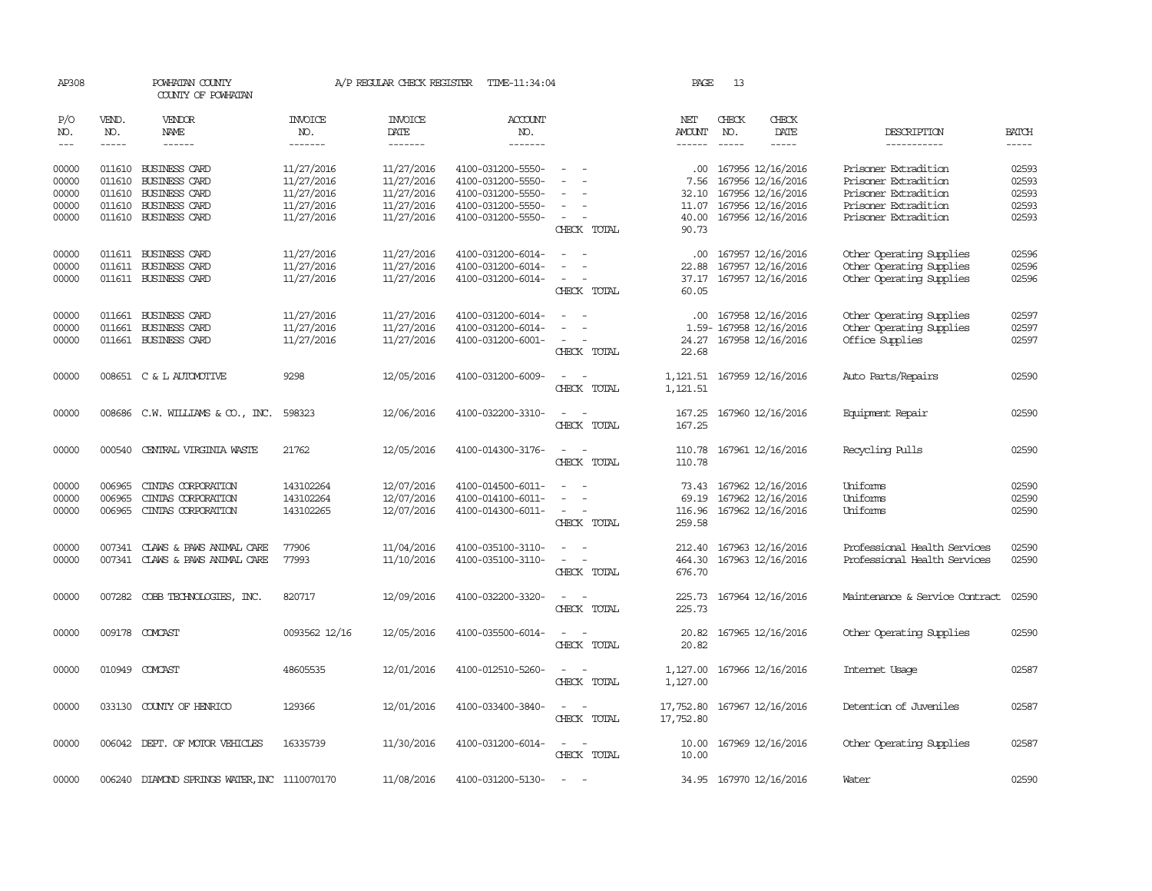| AP308                       |                             | POWHATAN COUNTY<br>COUNTY OF POWHATAN                                |                                        | A/P REGULAR CHECK REGISTER               | TIME-11:34:04                                               |                                                                             | PAGE                                      | 13                          |                                                                   |                                                                                  |                             |
|-----------------------------|-----------------------------|----------------------------------------------------------------------|----------------------------------------|------------------------------------------|-------------------------------------------------------------|-----------------------------------------------------------------------------|-------------------------------------------|-----------------------------|-------------------------------------------------------------------|----------------------------------------------------------------------------------|-----------------------------|
| P/O<br>NO.<br>$\frac{1}{2}$ | VEND.<br>NO.<br>$- - - - -$ | <b>VENDOR</b><br>NAME                                                | <b>INVOICE</b><br>NO.<br>-------       | <b>INVOICE</b><br><b>DATE</b><br>------- | <b>ACCOUNT</b><br>NO.<br>-------                            |                                                                             | NET<br><b>AMOUNT</b><br>$- - - - - -$     | CHECK<br>NO.<br>$- - - - -$ | CHECK<br>DATE<br>$- - - - -$                                      | DESCRIPTION<br>-----------                                                       | <b>BATCH</b><br>$- - - - -$ |
| 00000<br>00000              |                             | 011610 BUSINESS CARD<br>011610 BUSINESS CARD                         | 11/27/2016<br>11/27/2016               | 11/27/2016<br>11/27/2016                 | 4100-031200-5550-<br>4100-031200-5550-                      | $\sim$                                                                      | $.00 \,$<br>7.56                          |                             | 167956 12/16/2016<br>167956 12/16/2016                            | Prisoner Extradition<br>Prisoner Extradition                                     | 02593<br>02593              |
| 00000<br>00000<br>00000     | 011610                      | <b>BUSINESS CARD</b><br>011610 BUSINESS CARD<br>011610 BUSINESS CARD | 11/27/2016<br>11/27/2016<br>11/27/2016 | 11/27/2016<br>11/27/2016<br>11/27/2016   | 4100-031200-5550-<br>4100-031200-5550-<br>4100-031200-5550- | $\overline{\phantom{a}}$<br>$\sim$<br>CHECK TOTAL                           | 32.10<br>40.00<br>90.73                   |                             | 167956 12/16/2016<br>11.07 167956 12/16/2016<br>167956 12/16/2016 | Prisoner Extradition<br>Prisoner Extradition<br>Prisoner Extradition             | 02593<br>02593<br>02593     |
| 00000<br>00000<br>00000     |                             | 011611 BUSINESS CARD<br>011611 BUSINESS CARD<br>011611 BUSINESS CARD | 11/27/2016<br>11/27/2016<br>11/27/2016 | 11/27/2016<br>11/27/2016<br>11/27/2016   | 4100-031200-6014-<br>4100-031200-6014-<br>4100-031200-6014- | $\sim$<br>$\sim$<br>$\overline{\phantom{a}}$<br>CHECK TOTAL                 | $.00 \times$<br>22.88<br>60.05            |                             | 167957 12/16/2016<br>167957 12/16/2016<br>37.17 167957 12/16/2016 | Other Operating Supplies<br>Other Operating Supplies<br>Other Operating Supplies | 02596<br>02596<br>02596     |
| 00000<br>00000<br>00000     |                             | 011661 BUSINESS CARD<br>011661 BUSINESS CARD<br>011661 BUSINESS CARD | 11/27/2016<br>11/27/2016<br>11/27/2016 | 11/27/2016<br>11/27/2016<br>11/27/2016   | 4100-031200-6014-<br>4100-031200-6014-<br>4100-031200-6001- | $\equiv$<br>$\equiv$<br>$\overline{\phantom{a}}$<br>$\sim$<br>CHECK TOTAL   | $.00 \cdot$<br>24.27<br>22.68             |                             | 167958 12/16/2016<br>1.59- 167958 12/16/2016<br>167958 12/16/2016 | Other Operating Supplies<br>Other Operating Supplies<br>Office Supplies          | 02597<br>02597<br>02597     |
| 00000                       |                             | 008651 C & L AUTOMOTIVE                                              | 9298                                   | 12/05/2016                               | 4100-031200-6009-                                           | $\overline{\phantom{0}}$<br>CHECK TOTAL                                     | 1,121.51<br>1,121.51                      |                             | 167959 12/16/2016                                                 | Auto Parts/Repairs                                                               | 02590                       |
| 00000                       |                             | 008686 C.W. WILLIAMS & CO., INC.                                     | 598323                                 | 12/06/2016                               | 4100-032200-3310-                                           | $\sim$<br>$\sim$<br>CHECK TOTAL                                             | 167.25                                    |                             | 167.25 167960 12/16/2016                                          | Equipment Repair                                                                 | 02590                       |
| 00000                       |                             | 000540 CENTRAL VIRGINIA WASTE                                        | 21762                                  | 12/05/2016                               | 4100-014300-3176-                                           | $\sim$<br>$\sim$<br>CHECK TOTAL                                             | 110.78<br>110.78                          |                             | 167961 12/16/2016                                                 | Recycling Pulls                                                                  | 02590                       |
| 00000<br>00000<br>00000     | 006965<br>006965<br>006965  | CINIAS CORPORATION<br>CINIAS CORPORATION<br>CINIAS CORPORATION       | 143102264<br>143102264<br>143102265    | 12/07/2016<br>12/07/2016<br>12/07/2016   | 4100-014500-6011-<br>4100-014100-6011-<br>4100-014300-6011- | $\equiv$<br>$\sim$<br>$\equiv$<br>$\sim$<br>$\sim$<br>$\sim$<br>CHECK TOTAL | 73.43<br>116.96<br>259.58                 |                             | 167962 12/16/2016<br>69.19 167962 12/16/2016<br>167962 12/16/2016 | Uniforms<br>Uniforms<br>Uniforms                                                 | 02590<br>02590<br>02590     |
| 00000<br>00000              |                             | 007341 CLAWS & PAWS ANIMAL CARE<br>007341 CLAWS & PAWS ANIMAL CARE   | 77906<br>77993                         | 11/04/2016<br>11/10/2016                 | 4100-035100-3110-<br>4100-035100-3110-                      | $\sim$<br>$\sim$<br>$\sim$ $ \sim$<br>CHECK TOTAL                           | 212.40<br>676.70                          |                             | 167963 12/16/2016<br>464.30 167963 12/16/2016                     | Professional Health Services<br>Professional Health Services                     | 02590<br>02590              |
| 00000                       | 007282                      | COBB TECHNOLOGIES, INC.                                              | 820717                                 | 12/09/2016                               | 4100-032200-3320-                                           | $\overline{a}$<br>$\sim$<br>CHECK TOTAL                                     | 225.73<br>225.73                          |                             | 167964 12/16/2016                                                 | Maintenance & Service Contract                                                   | 02590                       |
| 00000                       |                             | 009178 COMCAST                                                       | 0093562 12/16                          | 12/05/2016                               | 4100-035500-6014-                                           | $\sim$<br>$\sim$<br>CHECK TOTAL                                             | 20.82<br>20.82                            |                             | 167965 12/16/2016                                                 | Other Operating Supplies                                                         | 02590                       |
| 00000                       |                             | 010949 COMCAST                                                       | 48605535                               | 12/01/2016                               | 4100-012510-5260-                                           | $\sim$<br>$\sim$<br>CHECK TOTAL                                             | 1,127.00<br>1,127.00                      |                             | 167966 12/16/2016                                                 | Internet Usage                                                                   | 02587                       |
| 00000                       |                             | 033130 COUNTY OF HENRICO                                             | 129366                                 | 12/01/2016                               | 4100-033400-3840-                                           | $\sim$<br>$\sim$<br>CHECK TOTAL                                             | 17, 752.80 167967 12/16/2016<br>17,752.80 |                             |                                                                   | Detention of Juveniles                                                           | 02587                       |
| 00000                       |                             | 006042 DEPT. OF MOTOR VEHICLES                                       | 16335739                               | 11/30/2016                               | 4100-031200-6014-                                           | $\sim$<br>$\sim$<br>CHECK TOTAL                                             | 10.00<br>10.00                            |                             | 167969 12/16/2016                                                 | Other Operating Supplies                                                         | 02587                       |
| 00000                       |                             | 006240 DIAMOND SPRINGS WATER, INC 1110070170                         |                                        | 11/08/2016                               | 4100-031200-5130-                                           |                                                                             |                                           |                             | 34.95 167970 12/16/2016                                           | Water                                                                            | 02590                       |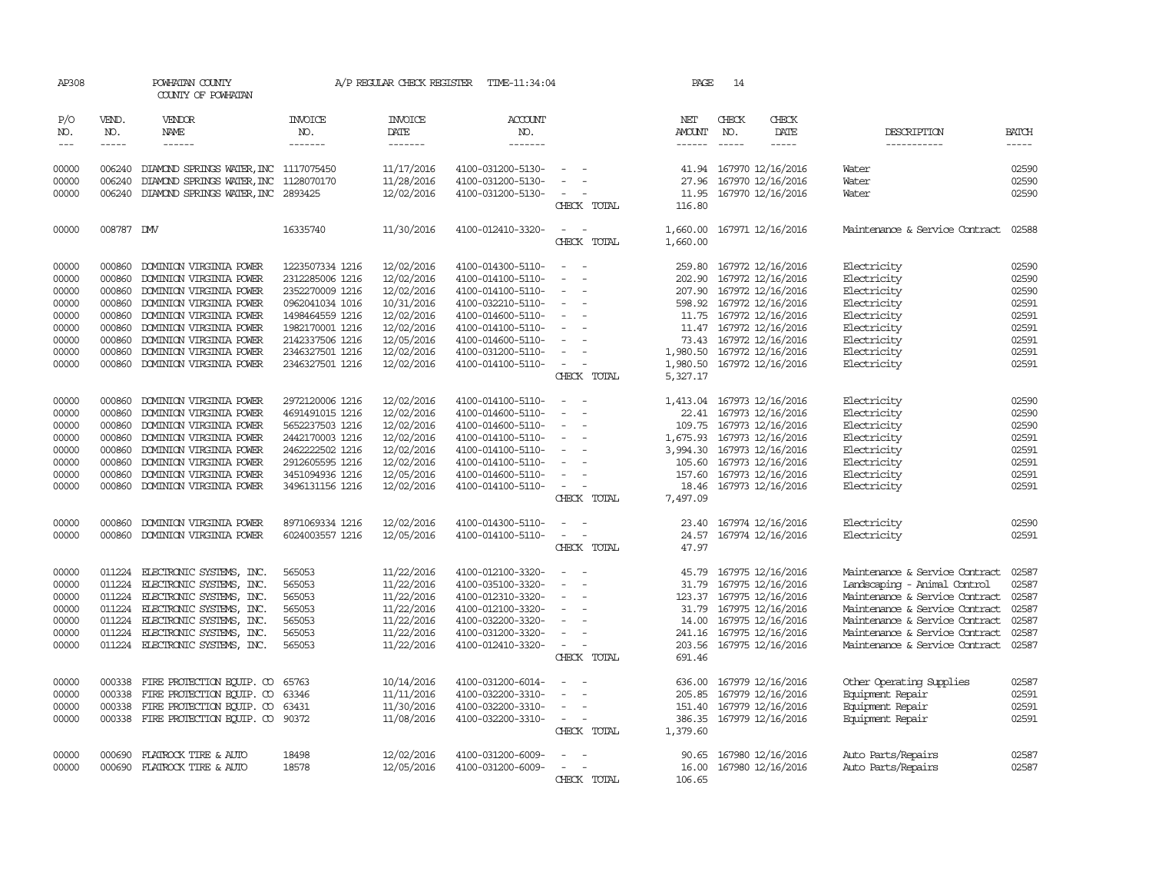| AP308               |                             | POWHATAN COUNTY<br>COUNTY OF POWHATAN                |                                  | A/P REGULAR CHECK REGISTER                | TIME-11:34:04                          |                                                      | PAGE                                  | 14                            |                                               |                                                                  |                             |
|---------------------|-----------------------------|------------------------------------------------------|----------------------------------|-------------------------------------------|----------------------------------------|------------------------------------------------------|---------------------------------------|-------------------------------|-----------------------------------------------|------------------------------------------------------------------|-----------------------------|
| P/O<br>NO.<br>$---$ | VEND.<br>NO.<br>$- - - - -$ | VENDOR<br>NAME<br>$- - - - - -$                      | <b>INVOICE</b><br>NO.<br>------- | <b>INVOICE</b><br>DATE<br>$- - - - - - -$ | <b>ACCOUNT</b><br>NO.<br>--------      |                                                      | NET<br><b>AMOUNT</b><br>$- - - - - -$ | CHECK<br>NO.<br>$\frac{1}{2}$ | CHECK<br>DATE                                 | DESCRIPTION<br>-----------                                       | <b>BATCH</b><br>$- - - - -$ |
| 00000               | 006240                      | DIAMOND SPRINGS WATER, INC 1117075450                |                                  | 11/17/2016                                | 4100-031200-5130-                      |                                                      | 41.94                                 |                               | 167970 12/16/2016                             | Water                                                            | 02590                       |
| 00000               | 006240                      | DIAMOND SPRINGS WATER, INC                           | 1128070170                       | 11/28/2016                                | 4100-031200-5130-                      |                                                      | 27.96                                 |                               | 167970 12/16/2016                             | Water                                                            | 02590                       |
| 00000               |                             | 006240 DIAMOND SPRINGS WATER, INC 2893425            |                                  | 12/02/2016                                | 4100-031200-5130-                      | $\sim$                                               | 11.95                                 |                               | 167970 12/16/2016                             | Water                                                            | 02590                       |
|                     |                             |                                                      |                                  |                                           |                                        | CHECK TOTAL                                          | 116.80                                |                               |                                               |                                                                  |                             |
| 00000               | 008787 DW                   |                                                      | 16335740                         | 11/30/2016                                | 4100-012410-3320-                      | $\sim$<br>$\sim$<br>CHECK TOTAL                      | 1,660.00<br>1,660.00                  |                               | 167971 12/16/2016                             | Maintenance & Service Contract                                   | 02588                       |
| 00000               | 000860                      | DOMINION VIRGINIA POWER                              | 1223507334 1216                  | 12/02/2016                                | 4100-014300-5110-                      |                                                      | 259.80                                |                               | 167972 12/16/2016                             | Electricity                                                      | 02590                       |
| 00000               | 000860                      | DOMINION VIRGINIA POWER                              | 2312285006 1216                  | 12/02/2016                                | 4100-014100-5110-                      | $\overline{\phantom{a}}$<br>$\overline{\phantom{a}}$ |                                       |                               | 202.90 167972 12/16/2016                      | Electricity                                                      | 02590                       |
| 00000               | 000860                      | DOMINION VIRGINIA POWER                              | 2352270009 1216                  | 12/02/2016                                | 4100-014100-5110-                      | $\overline{\phantom{a}}$                             | 207.90                                |                               | 167972 12/16/2016                             | Electricity                                                      | 02590                       |
| 00000               | 000860                      | DOMINION VIRGINIA POWER                              | 0962041034 1016                  | 10/31/2016                                | 4100-032210-5110-                      | $\overline{\phantom{a}}$                             |                                       |                               | 598.92 167972 12/16/2016                      | Electricity                                                      | 02591                       |
| 00000               | 000860                      | DOMINION VIRGINIA POWER                              | 1498464559 1216                  | 12/02/2016                                | 4100-014600-5110-                      | $\sim$<br>$\overline{\phantom{a}}$                   |                                       |                               | 11.75 167972 12/16/2016                       | Electricity                                                      | 02591                       |
| 00000               | 000860                      | DOMINION VIRGINIA POWER                              | 1982170001 1216                  | 12/02/2016                                | 4100-014100-5110-                      | $\overline{\phantom{a}}$                             |                                       |                               | 11.47 167972 12/16/2016                       | Electricity                                                      | 02591                       |
| 00000               | 000860                      | DOMINION VIRGINIA POWER                              | 2142337506 1216                  | 12/05/2016                                | 4100-014600-5110-                      |                                                      |                                       |                               | 73.43 167972 12/16/2016                       | Electricity                                                      | 02591                       |
| 00000               | 000860                      | DOMINION VIRGINIA POWER                              | 2346327501 1216                  | 12/02/2016                                | 4100-031200-5110-                      | $\equiv$                                             | 1,980.50                              |                               | 167972 12/16/2016                             | Electricity                                                      | 02591                       |
| 00000               | 000860                      | DOMINION VIRGINIA POWER                              | 2346327501 1216                  | 12/02/2016                                | 4100-014100-5110-                      | $\sim$<br>CHECK TOTAL                                | 1,980.50<br>5,327.17                  |                               | 167972 12/16/2016                             | Electricity                                                      | 02591                       |
| 00000               | 000860                      | DOMINION VIRGINIA POWER                              | 2972120006 1216                  | 12/02/2016                                | 4100-014100-5110-                      | $\overline{\phantom{a}}$<br>$\overline{\phantom{a}}$ | 1,413.04                              |                               | 167973 12/16/2016                             | Electricity                                                      | 02590                       |
| 00000               | 000860                      | DOMINION VIRGINIA POWER                              | 4691491015 1216                  | 12/02/2016                                | 4100-014600-5110-                      | $\overline{\phantom{a}}$                             | 22.41                                 |                               | 167973 12/16/2016                             | Electricity                                                      | 02590                       |
| 00000               | 000860                      | DOMINION VIRGINIA POWER                              | 5652237503 1216                  | 12/02/2016                                | 4100-014600-5110-                      | $\equiv$                                             | 109.75                                |                               | 167973 12/16/2016                             | Electricity                                                      | 02590                       |
| 00000               | 000860                      | DOMINION VIRGINIA POWER                              | 2442170003 1216                  | 12/02/2016                                | 4100-014100-5110-                      | $\sim$                                               | 1,675.93                              |                               | 167973 12/16/2016                             | Electricity                                                      | 02591                       |
| 00000               | 000860                      | DOMINION VIRGINIA POWER                              | 2462222502 1216                  | 12/02/2016                                | 4100-014100-5110-                      | $\sim$                                               |                                       |                               | 3,994.30 167973 12/16/2016                    | Electricity                                                      | 02591                       |
| 00000               | 000860                      | DOMINION VIRGINIA POWER                              | 2912605595 1216                  | 12/02/2016                                | 4100-014100-5110-                      | $\overline{\phantom{a}}$                             | 105.60                                |                               | 167973 12/16/2016                             | Electricity                                                      | 02591                       |
| 00000               | 000860                      | DOMINION VIRGINIA POWER                              | 3451094936 1216                  | 12/05/2016                                | 4100-014600-5110-                      | $\overline{\phantom{a}}$                             | 157.60                                |                               | 167973 12/16/2016                             | Electricity                                                      | 02591                       |
| 00000               |                             | 000860 DOMINION VIRGINIA POWER                       | 3496131156 1216                  | 12/02/2016                                | 4100-014100-5110-                      | $\sim$                                               |                                       |                               | 18.46 167973 12/16/2016                       | Electricity                                                      | 02591                       |
|                     |                             |                                                      |                                  |                                           |                                        | CHECK TOTAL                                          | 7,497.09                              |                               |                                               |                                                                  |                             |
| 00000               | 000860                      | DOMINION VIRGINIA POWER                              | 8971069334 1216                  | 12/02/2016                                | 4100-014300-5110-                      | $\sim$<br>$\sim$                                     | 23.40                                 |                               | 167974 12/16/2016                             | Electricity                                                      | 02590                       |
| 00000               | 000860                      | DOMINION VIRGINIA POWER                              | 6024003557 1216                  | 12/05/2016                                | 4100-014100-5110-                      | $\equiv$<br>$\sim$                                   | 24.57                                 |                               | 167974 12/16/2016                             | Electricity                                                      | 02591                       |
|                     |                             |                                                      |                                  |                                           |                                        | CHECK TOTAL                                          | 47.97                                 |                               |                                               |                                                                  |                             |
| 00000               |                             | 011224 ELECTRONIC SYSTEMS, INC.                      | 565053                           | 11/22/2016                                | 4100-012100-3320-                      | $\overline{\phantom{a}}$                             | 45.79                                 |                               | 167975 12/16/2016                             | Maintenance & Service Contract                                   | 02587                       |
| 00000               | 011224                      | ELECTRONIC SYSTEMS, INC.                             | 565053                           | 11/22/2016                                | 4100-035100-3320-                      | $\overline{\phantom{a}}$                             | 31.79                                 |                               | 167975 12/16/2016                             | Landscaping - Animal Control                                     | 02587                       |
| 00000               | 011224                      | ELECTRONIC SYSTEMS, INC.                             | 565053                           | 11/22/2016                                | 4100-012310-3320-                      | $\sim$                                               |                                       |                               | 123.37 167975 12/16/2016                      | Maintenance & Service Contract                                   | 02587                       |
| 00000               | 011224                      | ELECTRONIC SYSTEMS, INC.                             | 565053                           | 11/22/2016                                | 4100-012100-3320-                      | $\sim$                                               |                                       |                               | 31.79 167975 12/16/2016                       | Maintenance & Service Contract                                   | 02587                       |
| 00000<br>00000      | 011224<br>011224            | ELECTRONIC SYSTEMS, INC.<br>ELECTRONIC SYSTEMS, INC. | 565053<br>565053                 | 11/22/2016<br>11/22/2016                  | 4100-032200-3320-                      | $\overline{\phantom{a}}$<br>$\sim$                   | 14.00                                 |                               | 167975 12/16/2016                             | Maintenance & Service Contract                                   | 02587<br>02587              |
| 00000               |                             | 011224 ELECTRONIC SYSTEMS, INC.                      | 565053                           | 11/22/2016                                | 4100-031200-3320-<br>4100-012410-3320- | $\sim$                                               | 241.16                                |                               | 167975 12/16/2016<br>203.56 167975 12/16/2016 | Maintenance & Service Contract<br>Maintenance & Service Contract | 02587                       |
|                     |                             |                                                      |                                  |                                           |                                        | CHECK TOTAL                                          | 691.46                                |                               |                                               |                                                                  |                             |
| 00000               | 000338                      | FIRE PROTECTION EQUIP. CO                            | 65763                            | 10/14/2016                                | 4100-031200-6014-                      |                                                      | 636.00                                |                               | 167979 12/16/2016                             | Other Operating Supplies                                         | 02587                       |
| 00000               | 000338                      | FIRE PROTECTION EQUIP. CO                            | 63346                            | 11/11/2016                                | 4100-032200-3310-                      | $\equiv$                                             | 205.85                                |                               | 167979 12/16/2016                             | Equipment Repair                                                 | 02591                       |
| 00000               | 000338                      | FIRE PROTECTION EQUIP. CO                            | 63431                            | 11/30/2016                                | 4100-032200-3310-                      | $\sim$                                               | 151.40                                |                               | 167979 12/16/2016                             | Equipment Repair                                                 | 02591                       |
| 00000               | 000338                      | FIRE PROTECTION EQUIP. CO                            | 90372                            | 11/08/2016                                | 4100-032200-3310-                      | $\sim$<br>$\overline{\phantom{a}}$                   | 386.35                                |                               | 167979 12/16/2016                             | Equipment Repair                                                 | 02591                       |
|                     |                             |                                                      |                                  |                                           |                                        | CHECK TOTAL                                          | 1,379.60                              |                               |                                               |                                                                  |                             |
| 00000               | 000690                      | FLATROCK TIRE & AUTO                                 | 18498                            | 12/02/2016                                | 4100-031200-6009-                      |                                                      | 90.65                                 |                               | 167980 12/16/2016                             | Auto Parts/Repairs                                               | 02587                       |
| 00000               |                             | 000690 FLATROCK TIRE & AUTO                          | 18578                            | 12/05/2016                                | 4100-031200-6009-                      | $\sim$<br>$\overline{\phantom{a}}$                   | 16.00                                 |                               | 167980 12/16/2016                             | Auto Parts/Repairs                                               | 02587                       |
|                     |                             |                                                      |                                  |                                           |                                        | CHECK TOTAL                                          | 106.65                                |                               |                                               |                                                                  |                             |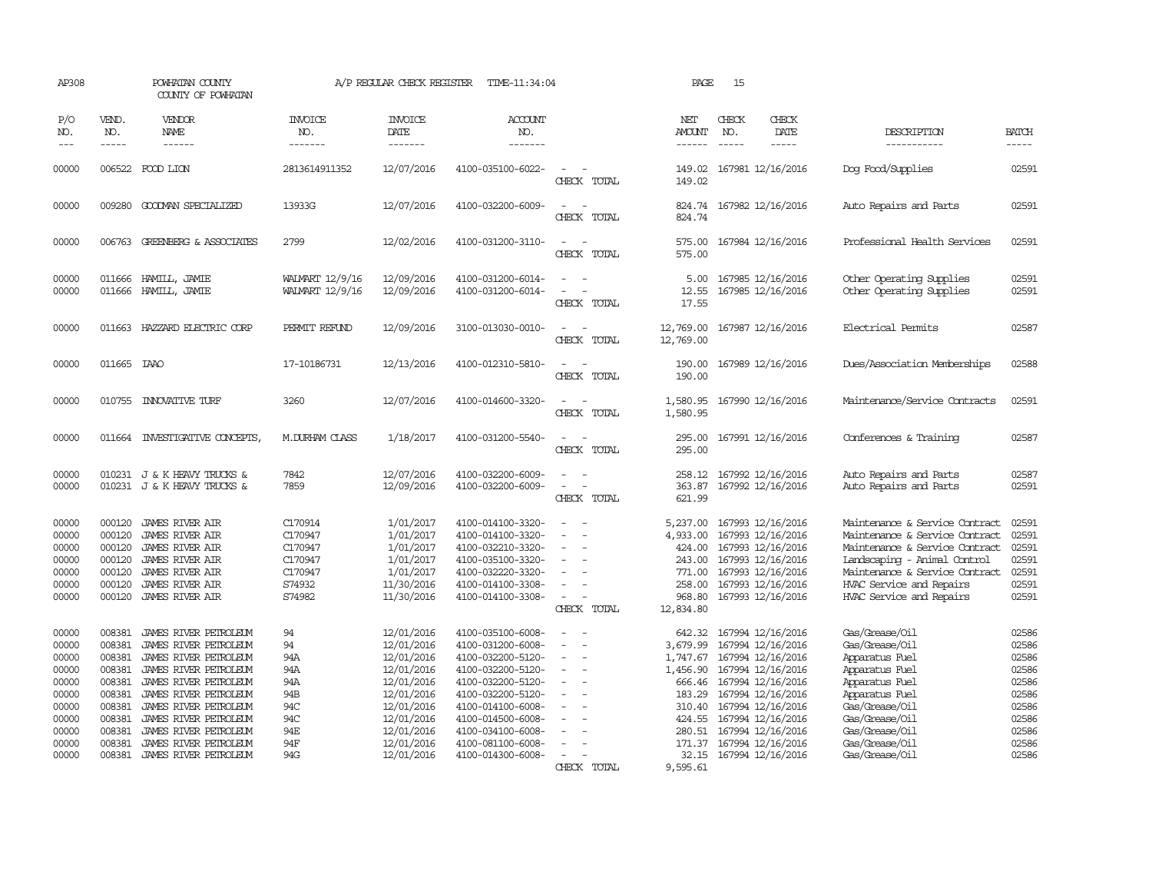| AP308                                                                                           |                                                                                                  | POWHATAN COUNTY<br>COUNTY OF POWHATAN                                                                                                                                                                                                                                                                                                                                                                                                                                                        |                                                                         | A/P REGULAR CHECK REGISTER                                                                                                                             | TIME-11:34:04                                                                                                                                                                                                                       |                                         | PAGE                                                                                                               | 15                            |                                                                                                                                                                                                                                           |                                                                                                                                                                                                                              |                                                                                                 |
|-------------------------------------------------------------------------------------------------|--------------------------------------------------------------------------------------------------|----------------------------------------------------------------------------------------------------------------------------------------------------------------------------------------------------------------------------------------------------------------------------------------------------------------------------------------------------------------------------------------------------------------------------------------------------------------------------------------------|-------------------------------------------------------------------------|--------------------------------------------------------------------------------------------------------------------------------------------------------|-------------------------------------------------------------------------------------------------------------------------------------------------------------------------------------------------------------------------------------|-----------------------------------------|--------------------------------------------------------------------------------------------------------------------|-------------------------------|-------------------------------------------------------------------------------------------------------------------------------------------------------------------------------------------------------------------------------------------|------------------------------------------------------------------------------------------------------------------------------------------------------------------------------------------------------------------------------|-------------------------------------------------------------------------------------------------|
| P/O<br>NO.<br>$---$                                                                             | VEND.<br>NO.<br>$\frac{1}{2}$                                                                    | VENDOR<br>NAME<br>$\frac{1}{2} \left( \frac{1}{2} \right) \left( \frac{1}{2} \right) \left( \frac{1}{2} \right) \left( \frac{1}{2} \right) \left( \frac{1}{2} \right) \left( \frac{1}{2} \right) \left( \frac{1}{2} \right) \left( \frac{1}{2} \right) \left( \frac{1}{2} \right) \left( \frac{1}{2} \right) \left( \frac{1}{2} \right) \left( \frac{1}{2} \right) \left( \frac{1}{2} \right) \left( \frac{1}{2} \right) \left( \frac{1}{2} \right) \left( \frac{1}{2} \right) \left( \frac$ | INVOICE<br>NO.<br>--------                                              | <b>INVOICE</b><br>DATE<br>--------                                                                                                                     | ACCOUNT<br>NO.<br>-------                                                                                                                                                                                                           |                                         | NET<br><b>AMOUNT</b><br>$- - - - - -$                                                                              | CHECK<br>NO.<br>$\frac{1}{2}$ | CHECK<br>DATE<br>$\frac{1}{2}$                                                                                                                                                                                                            | DESCRIPTION<br>-----------                                                                                                                                                                                                   | <b>BATCH</b><br>-----                                                                           |
| 00000                                                                                           |                                                                                                  | 006522 FOOD LION                                                                                                                                                                                                                                                                                                                                                                                                                                                                             | 2813614911352                                                           | 12/07/2016                                                                                                                                             | 4100-035100-6022-                                                                                                                                                                                                                   | CHECK TOTAL                             | 149.02<br>149.02                                                                                                   |                               | 167981 12/16/2016                                                                                                                                                                                                                         | Dog Food/Supplies                                                                                                                                                                                                            | 02591                                                                                           |
| 00000                                                                                           | 009280                                                                                           | GOODMAN SPECIALIZED                                                                                                                                                                                                                                                                                                                                                                                                                                                                          | 13933G                                                                  | 12/07/2016                                                                                                                                             | 4100-032200-6009-                                                                                                                                                                                                                   | CHECK TOTAL                             | 824.74<br>824.74                                                                                                   |                               | 167982 12/16/2016                                                                                                                                                                                                                         | Auto Repairs and Parts                                                                                                                                                                                                       | 02591                                                                                           |
| 00000                                                                                           |                                                                                                  | 006763 GREENBERG & ASSOCIATES                                                                                                                                                                                                                                                                                                                                                                                                                                                                | 2799                                                                    | 12/02/2016                                                                                                                                             | 4100-031200-3110-                                                                                                                                                                                                                   | CHECK TOTAL                             | 575.00<br>575.00                                                                                                   |                               | 167984 12/16/2016                                                                                                                                                                                                                         | Professional Health Services                                                                                                                                                                                                 | 02591                                                                                           |
| 00000<br>00000                                                                                  |                                                                                                  | 011666 HAMILL, JAMIE<br>011666 HAMILL, JAMIE                                                                                                                                                                                                                                                                                                                                                                                                                                                 | WALMART 12/9/16<br>WALMART 12/9/16                                      | 12/09/2016<br>12/09/2016                                                                                                                               | 4100-031200-6014-<br>4100-031200-6014-                                                                                                                                                                                              | CHECK TOTAL                             | 5.00<br>12.55<br>17.55                                                                                             |                               | 167985 12/16/2016<br>167985 12/16/2016                                                                                                                                                                                                    | Other Operating Supplies<br>Other Operating Supplies                                                                                                                                                                         | 02591<br>02591                                                                                  |
| 00000                                                                                           | 011663                                                                                           | HAZZARD ELECTRIC CORP                                                                                                                                                                                                                                                                                                                                                                                                                                                                        | PERMIT REFUND                                                           | 12/09/2016                                                                                                                                             | 3100-013030-0010-                                                                                                                                                                                                                   | $\overline{\phantom{a}}$<br>CHECK TOTAL | 12,769.00<br>12,769.00                                                                                             |                               | 167987 12/16/2016                                                                                                                                                                                                                         | Electrical Permits                                                                                                                                                                                                           | 02587                                                                                           |
| 00000                                                                                           | 011665 IAAO                                                                                      |                                                                                                                                                                                                                                                                                                                                                                                                                                                                                              | 17-10186731                                                             | 12/13/2016                                                                                                                                             | 4100-012310-5810-                                                                                                                                                                                                                   | $\equiv$<br>CHECK TOTAL                 | 190.00<br>190.00                                                                                                   |                               | 167989 12/16/2016                                                                                                                                                                                                                         | Dues/Association Memberships                                                                                                                                                                                                 | 02588                                                                                           |
| 00000                                                                                           | 010755                                                                                           | <b>INNOVATIVE TURF</b>                                                                                                                                                                                                                                                                                                                                                                                                                                                                       | 3260                                                                    | 12/07/2016                                                                                                                                             | 4100-014600-3320-                                                                                                                                                                                                                   | CHECK TOTAL                             | 1,580.95<br>1,580.95                                                                                               |                               | 167990 12/16/2016                                                                                                                                                                                                                         | Maintenance/Service Contracts                                                                                                                                                                                                | 02591                                                                                           |
| 00000                                                                                           | 011664                                                                                           | INVESTIGATIVE CONCEPTS                                                                                                                                                                                                                                                                                                                                                                                                                                                                       | <b>M.DURHAM CLASS</b>                                                   | 1/18/2017                                                                                                                                              | 4100-031200-5540-                                                                                                                                                                                                                   | $\overline{\phantom{a}}$<br>CHECK TOTAL | 295.00<br>295.00                                                                                                   |                               | 167991 12/16/2016                                                                                                                                                                                                                         | Conferences & Training                                                                                                                                                                                                       | 02587                                                                                           |
| 00000<br>00000                                                                                  |                                                                                                  | 010231 J & K HEAVY TRUCKS &<br>010231 J & K HEAVY TRUCKS &                                                                                                                                                                                                                                                                                                                                                                                                                                   | 7842<br>7859                                                            | 12/07/2016<br>12/09/2016                                                                                                                               | 4100-032200-6009-<br>4100-032200-6009-                                                                                                                                                                                              | $\equiv$<br>CHECK TOTAL                 | 258.12<br>363.87<br>621.99                                                                                         |                               | 167992 12/16/2016<br>167992 12/16/2016                                                                                                                                                                                                    | Auto Repairs and Parts<br>Auto Repairs and Parts                                                                                                                                                                             | 02587<br>02591                                                                                  |
| 00000<br>00000<br>00000<br>00000<br>00000<br>00000<br>00000                                     | 000120<br>000120<br>000120<br>000120<br>000120<br>000120<br>000120                               | <b>JAMES RIVER AIR</b><br><b>JAMES RIVER AIR</b><br><b>JAMES RIVER AIR</b><br>JAMES RIVER AIR<br><b>JAMES RIVER AIR</b><br><b>JAMES RIVER AIR</b><br><b>JAMES RIVER AIR</b>                                                                                                                                                                                                                                                                                                                  | C170914<br>C170947<br>C170947<br>C170947<br>C170947<br>S74932<br>S74982 | 1/01/2017<br>1/01/2017<br>1/01/2017<br>1/01/2017<br>1/01/2017<br>11/30/2016<br>11/30/2016                                                              | 4100-014100-3320-<br>4100-014100-3320-<br>4100-032210-3320-<br>4100-035100-3320-<br>4100-032220-3320-<br>4100-014100-3308-<br>4100-014100-3308-                                                                                     | $\equiv$<br>CHECK TOTAL                 | 5,237.00<br>4,933.00<br>424.00<br>243.00<br>771.00<br>258.00<br>968.80<br>12,834.80                                |                               | 167993 12/16/2016<br>167993 12/16/2016<br>167993 12/16/2016<br>167993 12/16/2016<br>167993 12/16/2016<br>167993 12/16/2016<br>167993 12/16/2016                                                                                           | Maintenance & Service Contract<br>Maintenance & Service Contract<br>Maintenance & Service Contract<br>Landscaping - Animal Control<br>Maintenance & Service Contract<br>HVAC Service and Repairs<br>HVAC Service and Repairs | 02591<br>02591<br>02591<br>02591<br>02591<br>02591<br>02591                                     |
| 00000<br>00000<br>00000<br>00000<br>00000<br>00000<br>00000<br>00000<br>00000<br>00000<br>00000 | 008381<br>008381<br>008381<br>008381<br>008381<br>008381<br>008381<br>008381<br>008381<br>008381 | JAMES RIVER PETROLEUM<br>JAMES RIVER PEIROLEUM<br>JAMES RIVER PETROLEUM<br>JAMES RIVER PETROLEUM<br>JAMES RIVER PEIROLEUM<br>JAMES RIVER PETROLEUM<br>JAMES RIVER PETROLEUM<br>JAMES RIVER PETROLEUM<br>JAMES RIVER PETROLEUM<br>JAMES RIVER PEIROLEUM<br>008381 JAMES RIVER PETROLEUM                                                                                                                                                                                                       | 94<br>94<br>94A<br>94A<br>94A<br>94B<br>94C<br>94C<br>94E<br>94F<br>94G | 12/01/2016<br>12/01/2016<br>12/01/2016<br>12/01/2016<br>12/01/2016<br>12/01/2016<br>12/01/2016<br>12/01/2016<br>12/01/2016<br>12/01/2016<br>12/01/2016 | 4100-035100-6008-<br>4100-031200-6008-<br>4100-032200-5120-<br>4100-032200-5120-<br>4100-032200-5120-<br>4100-032200-5120-<br>4100-014100-6008-<br>4100-014500-6008-<br>4100-034100-6008-<br>4100-081100-6008-<br>4100-014300-6008- | CHECK TOTAL                             | 642.32<br>3,679.99<br>1,747.67<br>1,456.90<br>666.46<br>183.29<br>310.40<br>424.55<br>280.51<br>171.37<br>9,595.61 |                               | 167994 12/16/2016<br>167994 12/16/2016<br>167994 12/16/2016<br>167994 12/16/2016<br>167994 12/16/2016<br>167994 12/16/2016<br>167994 12/16/2016<br>167994 12/16/2016<br>167994 12/16/2016<br>167994 12/16/2016<br>32.15 167994 12/16/2016 | Gas/Grease/Oil<br>Gas/Grease/Oil<br>Apparatus Fuel<br>Apparatus Fuel<br>Apparatus Fuel<br>Apparatus Fuel<br>Gas/Grease/Oil<br>Gas/Grease/Oil<br>Gas/Grease/Oil<br>Gas/Grease/Oil<br>Gas/Grease/Oil                           | 02586<br>02586<br>02586<br>02586<br>02586<br>02586<br>02586<br>02586<br>02586<br>02586<br>02586 |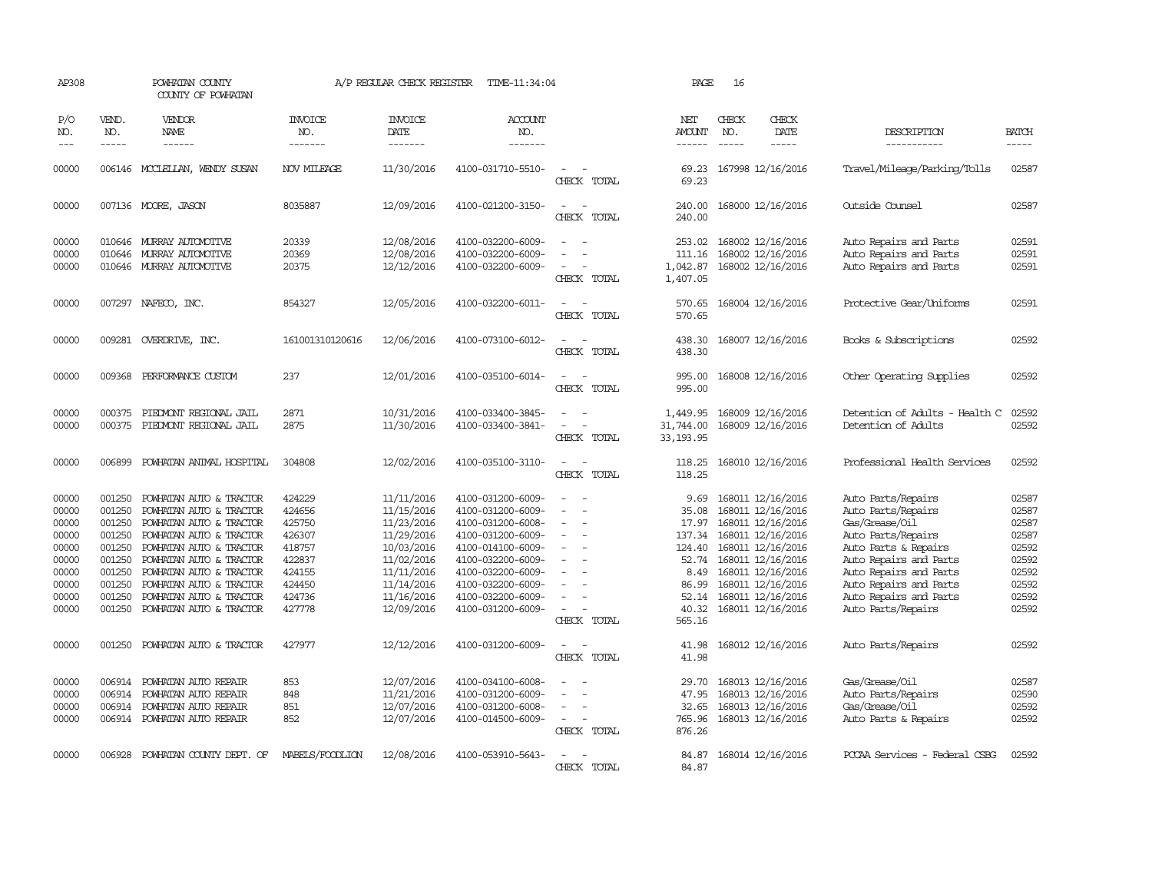| AP308               |                               | POWHATAN COUNTY<br>COUNTY OF POWHATAN                                                                                                                                                                                                                                                                                                                                                                                                                                                        |                                  | A/P REGULAR CHECK REGISTER         | TIME-11:34:04             |                                                      | PAGE                                  | 16                            |                                |                                |                               |
|---------------------|-------------------------------|----------------------------------------------------------------------------------------------------------------------------------------------------------------------------------------------------------------------------------------------------------------------------------------------------------------------------------------------------------------------------------------------------------------------------------------------------------------------------------------------|----------------------------------|------------------------------------|---------------------------|------------------------------------------------------|---------------------------------------|-------------------------------|--------------------------------|--------------------------------|-------------------------------|
| P/O<br>NO.<br>$---$ | VEND.<br>NO.<br>$\frac{1}{2}$ | VENDOR<br>NAME<br>$\frac{1}{2} \left( \frac{1}{2} \right) \left( \frac{1}{2} \right) \left( \frac{1}{2} \right) \left( \frac{1}{2} \right) \left( \frac{1}{2} \right) \left( \frac{1}{2} \right) \left( \frac{1}{2} \right) \left( \frac{1}{2} \right) \left( \frac{1}{2} \right) \left( \frac{1}{2} \right) \left( \frac{1}{2} \right) \left( \frac{1}{2} \right) \left( \frac{1}{2} \right) \left( \frac{1}{2} \right) \left( \frac{1}{2} \right) \left( \frac{1}{2} \right) \left( \frac$ | <b>INVOICE</b><br>NO.<br>------- | <b>INVOICE</b><br>DATE<br>-------- | ACCOUNT<br>NO.<br>------- |                                                      | NET<br><b>AMOUNT</b><br>$- - - - - -$ | CHECK<br>NO.<br>$\frac{1}{2}$ | CHECK<br>DATE<br>$\frac{1}{2}$ | DESCRIPTION<br>-----------     | <b>BATCH</b><br>$\frac{1}{2}$ |
| 00000               |                               | 006146 MCCLELLAN, WENDY SUSAN                                                                                                                                                                                                                                                                                                                                                                                                                                                                | NOV MILEAGE                      | 11/30/2016                         | 4100-031710-5510-         |                                                      | 69.23                                 |                               | 167998 12/16/2016              | Travel/Mileage/Parking/Tolls   | 02587                         |
|                     |                               |                                                                                                                                                                                                                                                                                                                                                                                                                                                                                              |                                  |                                    |                           | CHECK TOTAL                                          | 69.23                                 |                               |                                |                                |                               |
| 00000               |                               | 007136 MOORE, JASON                                                                                                                                                                                                                                                                                                                                                                                                                                                                          | 8035887                          | 12/09/2016                         | 4100-021200-3150-         | CHECK TOTAL                                          | 240.00<br>240.00                      |                               | 168000 12/16/2016              | Outside Counsel                | 02587                         |
| 00000               |                               | 010646 MURRAY AUTOMOTTVE                                                                                                                                                                                                                                                                                                                                                                                                                                                                     | 20339                            | 12/08/2016                         | 4100-032200-6009-         |                                                      | 253.02                                |                               | 168002 12/16/2016              | Auto Repairs and Parts         | 02591                         |
| 00000               | 010646                        | MURRAY AUTOMOTTVE                                                                                                                                                                                                                                                                                                                                                                                                                                                                            | 20369                            | 12/08/2016                         | 4100-032200-6009-         |                                                      | 111.16                                |                               | 168002 12/16/2016              | Auto Repairs and Parts         | 02591                         |
| 00000               |                               | 010646 MURRAY AUTOMOTTVE                                                                                                                                                                                                                                                                                                                                                                                                                                                                     | 20375                            | 12/12/2016                         | 4100-032200-6009-         | $\equiv$<br>CHECK TOTAL                              | 1,042.87<br>1,407.05                  |                               | 168002 12/16/2016              | Auto Repairs and Parts         | 02591                         |
| 00000               |                               | 007297 NAFECO, INC.                                                                                                                                                                                                                                                                                                                                                                                                                                                                          | 854327                           | 12/05/2016                         | 4100-032200-6011-         |                                                      | 570.65                                |                               | 168004 12/16/2016              | Protective Gear/Uniforms       | 02591                         |
|                     |                               |                                                                                                                                                                                                                                                                                                                                                                                                                                                                                              |                                  |                                    |                           | CHECK TOTAL                                          | 570.65                                |                               |                                |                                |                               |
| 00000               |                               | 009281 OVERDRIVE, INC.                                                                                                                                                                                                                                                                                                                                                                                                                                                                       | 161001310120616                  | 12/06/2016                         | 4100-073100-6012-         |                                                      | 438.30                                |                               | 168007 12/16/2016              | Books & Subscriptions          | 02592                         |
|                     |                               |                                                                                                                                                                                                                                                                                                                                                                                                                                                                                              |                                  |                                    |                           | CHECK TOTAL                                          | 438.30                                |                               |                                |                                |                               |
| 00000               |                               | 009368 PERFORMANCE CUSTOM                                                                                                                                                                                                                                                                                                                                                                                                                                                                    | 237                              | 12/01/2016                         | 4100-035100-6014-         |                                                      | 995.00                                |                               | 168008 12/16/2016              | Other Operating Supplies       | 02592                         |
|                     |                               |                                                                                                                                                                                                                                                                                                                                                                                                                                                                                              |                                  |                                    |                           | CHECK TOTAL                                          | 995.00                                |                               |                                |                                |                               |
| 00000               | 000375                        | PIEDMONT REGIONAL JAIL                                                                                                                                                                                                                                                                                                                                                                                                                                                                       | 2871                             | 10/31/2016                         | 4100-033400-3845-         |                                                      | 1,449.95                              |                               | 168009 12/16/2016              | Detention of Adults - Health C | 02592                         |
| 00000               |                               | 000375 PIEDMONT REGIONAL JAIL                                                                                                                                                                                                                                                                                                                                                                                                                                                                | 2875                             | 11/30/2016                         | 4100-033400-3841-         | $\sim$<br>$\overline{a}$                             | 31,744.00                             |                               | 168009 12/16/2016              | Detention of Adults            | 02592                         |
|                     |                               |                                                                                                                                                                                                                                                                                                                                                                                                                                                                                              |                                  |                                    |                           | CHECK TOTAL                                          | 33, 193.95                            |                               |                                |                                |                               |
| 00000               |                               | 006899 POWHATAN ANIMAL HOSPITAL                                                                                                                                                                                                                                                                                                                                                                                                                                                              | 304808                           | 12/02/2016                         | 4100-035100-3110-         |                                                      | 118.25                                |                               | 168010 12/16/2016              | Professional Health Services   | 02592                         |
|                     |                               |                                                                                                                                                                                                                                                                                                                                                                                                                                                                                              |                                  |                                    |                           | CHECK TOTAL                                          | 118.25                                |                               |                                |                                |                               |
| 00000               | 001250                        | POWHATAN AUTO & TRACTOR                                                                                                                                                                                                                                                                                                                                                                                                                                                                      | 424229                           | 11/11/2016                         | 4100-031200-6009-         |                                                      | 9.69                                  |                               | 168011 12/16/2016              | Auto Parts/Repairs             | 02587                         |
| 00000               | 001250                        | POWHATAN AUTO & TRACTOR                                                                                                                                                                                                                                                                                                                                                                                                                                                                      | 424656                           | 11/15/2016                         | 4100-031200-6009-         | $\equiv$<br>$\sim$                                   | 35.08                                 |                               | 168011 12/16/2016              | Auto Parts/Repairs             | 02587                         |
| 00000               | 001250                        | POWHATAN AUTO & TRACTOR                                                                                                                                                                                                                                                                                                                                                                                                                                                                      | 425750                           | 11/23/2016                         | 4100-031200-6008-         |                                                      | 17.97                                 |                               | 168011 12/16/2016              | Gas/Grease/Oil                 | 02587                         |
| 00000               | 001250                        | POWHATAN AUTO & TRACTOR                                                                                                                                                                                                                                                                                                                                                                                                                                                                      | 426307                           | 11/29/2016                         | 4100-031200-6009-         | $\equiv$                                             | 137.34                                |                               | 168011 12/16/2016              | Auto Parts/Repairs             | 02587                         |
| 00000               | 001250                        | POWHATAN AUTO & TRACTOR                                                                                                                                                                                                                                                                                                                                                                                                                                                                      | 418757                           | 10/03/2016                         | 4100-014100-6009-         |                                                      | 124.40                                |                               | 168011 12/16/2016              | Auto Parts & Repairs           | 02592                         |
| 00000               | 001250                        | POWHATAN AUTO & TRACTOR                                                                                                                                                                                                                                                                                                                                                                                                                                                                      | 422837                           | 11/02/2016                         | 4100-032200-6009-         |                                                      | 52.74                                 |                               | 168011 12/16/2016              | Auto Repairs and Parts         | 02592                         |
| 00000               | 001250                        | POWHATAN AUTO & TRACTOR                                                                                                                                                                                                                                                                                                                                                                                                                                                                      | 424155                           | 11/11/2016                         | 4100-032200-6009-         |                                                      | 8.49                                  |                               | 168011 12/16/2016              | Auto Repairs and Parts         | 02592                         |
| 00000               | 001250                        | POWHATAN AUTO & TRACTOR                                                                                                                                                                                                                                                                                                                                                                                                                                                                      | 424450                           | 11/14/2016                         | 4100-032200-6009-         |                                                      | 86.99                                 |                               | 168011 12/16/2016              | Auto Repairs and Parts         | 02592                         |
| 00000               | 001250                        | POWHATAN AUTO & TRACTOR                                                                                                                                                                                                                                                                                                                                                                                                                                                                      | 424736                           | 11/16/2016                         | 4100-032200-6009-         |                                                      | 52.14                                 |                               | 168011 12/16/2016              | Auto Repairs and Parts         | 02592                         |
| 00000               |                               | 001250 POWHATAN AUTO & TRACTOR                                                                                                                                                                                                                                                                                                                                                                                                                                                               | 427778                           | 12/09/2016                         | 4100-031200-6009-         | $\sim$<br>CHECK TOTAL                                | 40.32<br>565.16                       |                               | 168011 12/16/2016              | Auto Parts/Repairs             | 02592                         |
|                     |                               |                                                                                                                                                                                                                                                                                                                                                                                                                                                                                              | 427977                           |                                    |                           | - 14                                                 |                                       |                               |                                |                                | 02592                         |
| 00000               | 001250                        | POWHATAN AUTO & TRACTOR                                                                                                                                                                                                                                                                                                                                                                                                                                                                      |                                  | 12/12/2016                         | 4100-031200-6009-         | CHECK TOTAL                                          | 41.98<br>41.98                        |                               | 168012 12/16/2016              | Auto Parts/Repairs             |                               |
| 00000               | 006914                        | POWHATAN AUTO REPAIR                                                                                                                                                                                                                                                                                                                                                                                                                                                                         | 853                              | 12/07/2016                         | 4100-034100-6008-         |                                                      | 29.70                                 |                               | 168013 12/16/2016              | Gas/Grease/Oil                 | 02587                         |
| 00000               | 006914                        | POWHATAN AUTO REPAIR                                                                                                                                                                                                                                                                                                                                                                                                                                                                         | 848                              | 11/21/2016                         | 4100-031200-6009-         |                                                      | 47.95                                 |                               | 168013 12/16/2016              | Auto Parts/Repairs             | 02590                         |
| 00000               |                               | 006914 POWHATAN AUTO REPAIR                                                                                                                                                                                                                                                                                                                                                                                                                                                                  | 851                              | 12/07/2016                         | 4100-031200-6008-         | $\sim$                                               | 32.65                                 |                               | 168013 12/16/2016              | Gas/Grease/Oil                 | 02592                         |
| 00000               |                               | 006914 POWHATAN AUTO REPAIR                                                                                                                                                                                                                                                                                                                                                                                                                                                                  | 852                              | 12/07/2016                         | 4100-014500-6009-         | $\overline{\phantom{a}}$<br>$\overline{\phantom{a}}$ | 765.96                                |                               | 168013 12/16/2016              | Auto Parts & Repairs           | 02592                         |
|                     |                               |                                                                                                                                                                                                                                                                                                                                                                                                                                                                                              |                                  |                                    |                           | CHECK TOTAL                                          | 876.26                                |                               |                                |                                |                               |
| 00000               |                               | 006928 POWHATAN COUNTY DEPT. OF                                                                                                                                                                                                                                                                                                                                                                                                                                                              | MABELS/FOODLION                  | 12/08/2016                         | 4100-053910-5643-         |                                                      |                                       |                               | 84.87 168014 12/16/2016        | PCCAA Services - Federal CSBG  | 02592                         |
|                     |                               |                                                                                                                                                                                                                                                                                                                                                                                                                                                                                              |                                  |                                    |                           | CHECK TOTAL                                          | 84.87                                 |                               |                                |                                |                               |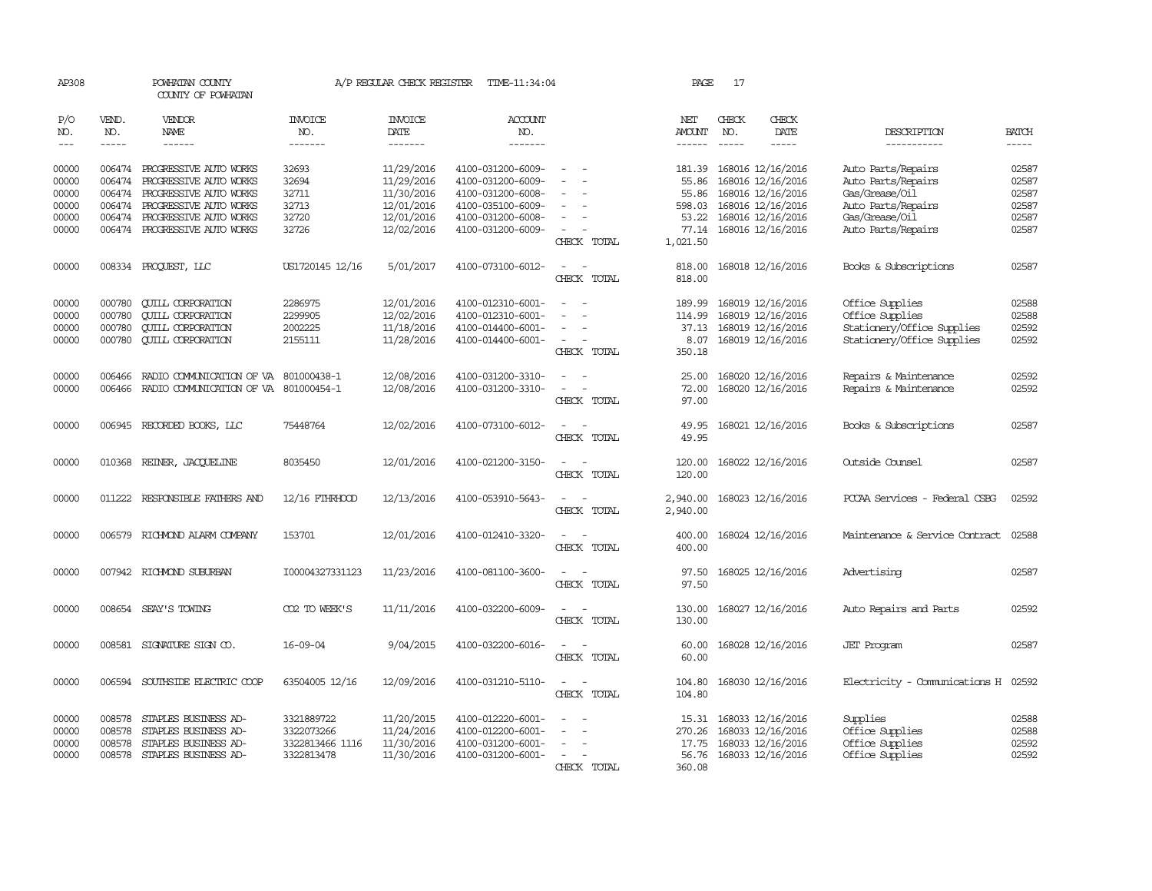| AP308                           |                             | POWHATAN COUNTY<br>COUNTY OF POWHATAN  |                                  | A/P REGULAR CHECK REGISTER               | TIME-11:34:04                          |                                    | PAGE                 | 17                          |                                        |                                     |                             |
|---------------------------------|-----------------------------|----------------------------------------|----------------------------------|------------------------------------------|----------------------------------------|------------------------------------|----------------------|-----------------------------|----------------------------------------|-------------------------------------|-----------------------------|
| P/O<br>NO.<br>$\qquad \qquad -$ | VEND.<br>NO.<br>$- - - - -$ | VENDOR<br><b>NAME</b><br>$- - - - - -$ | <b>INVOICE</b><br>NO.<br>------- | <b>INVOICE</b><br><b>DATE</b><br>------- | <b>ACCOUNT</b><br>NO.<br>-------       |                                    | NET<br><b>AMOUNT</b> | CHECK<br>NO.<br>$- - - - -$ | CHECK<br>DATE<br>-----                 | DESCRIPTION<br>-----------          | <b>BATCH</b><br>$- - - - -$ |
| 00000                           |                             | 006474 PROGRESSIVE AUTO WORKS          | 32693                            | 11/29/2016                               | 4100-031200-6009-                      |                                    | 181.39               |                             | 168016 12/16/2016                      | Auto Parts/Repairs                  | 02587                       |
| 00000                           | 006474                      | PROGRESSIVE AUTO WORKS                 | 32694                            | 11/29/2016                               | 4100-031200-6009-                      |                                    | 55.86                |                             | 168016 12/16/2016                      | Auto Parts/Repairs                  | 02587                       |
|                                 |                             | 006474 PROGRESSIVE AUTO WORKS          | 32711                            |                                          | 4100-031200-6008-                      |                                    | 55.86                |                             |                                        | Gas/Grease/Oil                      | 02587                       |
| 00000<br>00000                  |                             | 006474 PROGRESSIVE AUTO WORKS          | 32713                            | 11/30/2016                               |                                        |                                    | 598.03               |                             | 168016 12/16/2016                      | Auto Parts/Repairs                  | 02587                       |
| 00000                           |                             | 006474 PROGRESSIVE AUTO WORKS          | 32720                            | 12/01/2016<br>12/01/2016                 | 4100-035100-6009-<br>4100-031200-6008- |                                    | 53.22                |                             | 168016 12/16/2016<br>168016 12/16/2016 | Gas/Grease/Oil                      | 02587                       |
|                                 |                             |                                        |                                  |                                          |                                        | $\sim$                             |                      |                             |                                        |                                     |                             |
| 00000                           |                             | 006474 PROGRESSIVE AUTO WORKS          | 32726                            | 12/02/2016                               | 4100-031200-6009-                      | CHECK TOTAL                        | 77.14<br>1,021.50    |                             | 168016 12/16/2016                      | Auto Parts/Repairs                  | 02587                       |
| 00000                           |                             | 008334 PROQUEST, LLC                   | US1720145 12/16                  | 5/01/2017                                | 4100-073100-6012-                      |                                    | 818.00               |                             | 168018 12/16/2016                      | Books & Subscriptions               | 02587                       |
|                                 |                             |                                        |                                  |                                          |                                        | CHECK TOTAL                        | 818.00               |                             |                                        |                                     |                             |
| 00000                           | 000780                      | <b>QUILL CORPORATION</b>               | 2286975                          | 12/01/2016                               | 4100-012310-6001-                      |                                    | 189.99               |                             | 168019 12/16/2016                      | Office Supplies                     | 02588                       |
| 00000                           | 000780                      | <b>CUILL CORPORATION</b>               | 2299905                          | 12/02/2016                               | 4100-012310-6001-                      | $\sim$<br>$\sim$                   | 114.99               |                             | 168019 12/16/2016                      | Office Supplies                     | 02588                       |
| 00000                           | 000780                      | <b>CUILL CORPORATION</b>               | 2002225                          | 11/18/2016                               | 4100-014400-6001-                      | $\overline{\phantom{a}}$           | 37.13                |                             | 168019 12/16/2016                      | Stationery/Office Supplies          | 02592                       |
| 00000                           | 000780                      | <b>QUILL CORPORATION</b>               | 2155111                          | 11/28/2016                               | 4100-014400-6001-                      |                                    | 8.07                 |                             | 168019 12/16/2016                      | Stationery/Office Supplies          | 02592                       |
|                                 |                             |                                        |                                  |                                          |                                        | CHECK TOTAL                        | 350.18               |                             |                                        |                                     |                             |
| 00000                           | 006466                      | RADIO COMMUNICATION OF VA              | 801000438-1                      | 12/08/2016                               | 4100-031200-3310-                      |                                    | 25.00                |                             | 168020 12/16/2016                      | Repairs & Maintenance               | 02592                       |
| 00000                           | 006466                      | RADIO COMMUNICATION OF VA 801000454-1  |                                  | 12/08/2016                               | 4100-031200-3310-                      | $\sim$<br>$\sim$                   | 72.00                |                             | 168020 12/16/2016                      | Repairs & Maintenance               | 02592                       |
|                                 |                             |                                        |                                  |                                          |                                        | CHECK TOTAL                        | 97.00                |                             |                                        |                                     |                             |
| 00000                           |                             | 006945 RECORDED BOOKS, LLC             | 75448764                         | 12/02/2016                               | 4100-073100-6012-                      | $\sim$<br>$\overline{\phantom{a}}$ | 49.95                |                             | 168021 12/16/2016                      | Books & Subscriptions               | 02587                       |
|                                 |                             |                                        |                                  |                                          |                                        | CHECK TOTAL                        | 49.95                |                             |                                        |                                     |                             |
| 00000                           |                             | 010368 REINER, JACOUELINE              | 8035450                          | 12/01/2016                               | 4100-021200-3150-                      | $\sim$                             | 120.00               |                             | 168022 12/16/2016                      | Outside Counsel                     | 02587                       |
|                                 |                             |                                        |                                  |                                          |                                        | CHECK TOTAL                        | 120.00               |                             |                                        |                                     |                             |
| 00000                           |                             | 011222 RESPONSIBLE FAIHERS AND         | 12/16 FTHRHOOD                   | 12/13/2016                               | 4100-053910-5643-                      | $\sim$                             | 2,940.00             |                             | 168023 12/16/2016                      | PCCAA Services - Federal CSBG       | 02592                       |
|                                 |                             |                                        |                                  |                                          |                                        | CHECK TOTAL                        | 2,940.00             |                             |                                        |                                     |                             |
| 00000                           |                             | 006579 RICHMOND ALARM COMPANY          | 153701                           | 12/01/2016                               | 4100-012410-3320-                      | $\sim$ $\sim$                      | 400.00               |                             | 168024 12/16/2016                      | Maintenance & Service Contract      | 02588                       |
|                                 |                             |                                        |                                  |                                          |                                        | CHECK TOTAL                        | 400.00               |                             |                                        |                                     |                             |
| 00000                           |                             | 007942 RICHMOND SUBURBAN               | I00004327331123                  | 11/23/2016                               | 4100-081100-3600-                      | $\sim$                             | 97.50                |                             | 168025 12/16/2016                      | Advertising                         | 02587                       |
|                                 |                             |                                        |                                  |                                          |                                        | CHECK TOTAL                        | 97.50                |                             |                                        |                                     |                             |
| 00000                           |                             | 008654 SEAY'S TOWING                   | CO2 TO WEEK'S                    | 11/11/2016                               | 4100-032200-6009-                      | $\sim$                             | 130.00               |                             | 168027 12/16/2016                      | Auto Repairs and Parts              | 02592                       |
|                                 |                             |                                        |                                  |                                          |                                        | CHECK TOTAL                        | 130.00               |                             |                                        |                                     |                             |
| 00000                           |                             | 008581 SIGNATURE SIGN CO.              | $16 - 09 - 04$                   | 9/04/2015                                | 4100-032200-6016-                      | $\sim$<br>$\sim$                   | 60.00                |                             | 168028 12/16/2016                      | <b>JET Program</b>                  | 02587                       |
|                                 |                             |                                        |                                  |                                          |                                        | CHECK TOTAL                        | 60.00                |                             |                                        |                                     |                             |
| 00000                           |                             | 006594 SOUTHSIDE ELECTRIC COOP         | 63504005 12/16                   | 12/09/2016                               | 4100-031210-5110-                      | $\sim$<br>$\sim$                   | 104.80               |                             | 168030 12/16/2016                      | Electricity - Comunications H 02592 |                             |
|                                 |                             |                                        |                                  |                                          |                                        | CHECK TOTAL                        | 104.80               |                             |                                        |                                     |                             |
| 00000                           | 008578                      | STAPLES BUSINESS AD-                   | 3321889722                       | 11/20/2015                               | 4100-012220-6001-                      |                                    |                      |                             | 15.31 168033 12/16/2016                | Supplies                            | 02588                       |
| 00000                           | 008578                      | STAPLES BUSINESS AD-                   | 3322073266                       | 11/24/2016                               | 4100-012200-6001-                      |                                    | 270.26               |                             | 168033 12/16/2016                      | Office Supplies                     | 02588                       |
| 00000                           | 008578                      | STAPLES BUSINESS AD-                   | 3322813466 1116                  | 11/30/2016                               | 4100-031200-6001-                      |                                    | 17.75                |                             | 168033 12/16/2016                      | Office Supplies                     | 02592                       |
| 00000                           |                             | 008578 STAPLES BUSINESS AD-            | 3322813478                       | 11/30/2016                               | 4100-031200-6001-                      | $\sim$<br>$\overline{\phantom{a}}$ | 56.76                |                             | 168033 12/16/2016                      | Office Supplies                     | 02592                       |
|                                 |                             |                                        |                                  |                                          |                                        | CHECK TOTAL                        | 360.08               |                             |                                        |                                     |                             |
|                                 |                             |                                        |                                  |                                          |                                        |                                    |                      |                             |                                        |                                     |                             |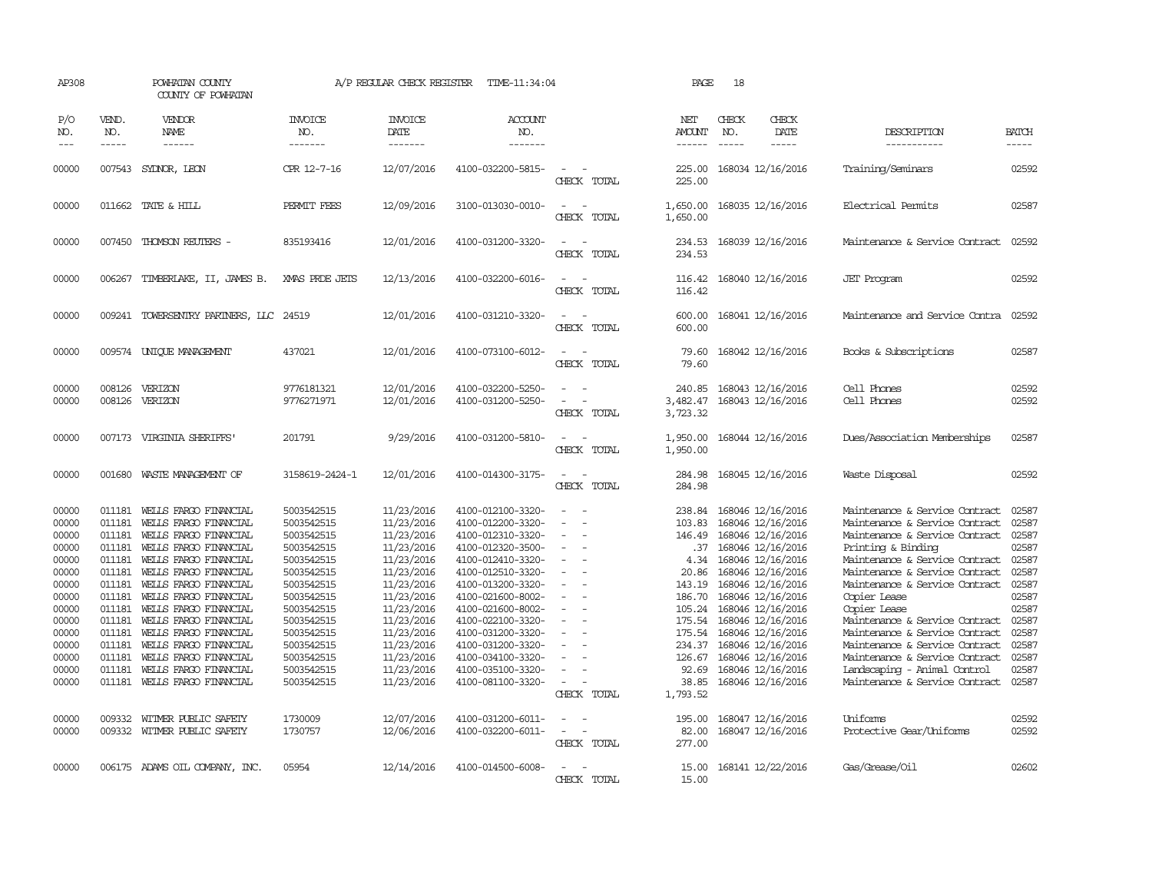| AP308                                                                                                                                                 |                                                                                                                                          | POWHATAN COUNTY<br>COUNTY OF POWHATAN                                                                                                                                                                                                                                                                                                                                                                                                                    |                                                                                                                                                                                                                                      | A/P REGULAR CHECK REGISTER                                                                                                                                                                                                                 | TIME-11:34:04                                                                                                                                                                                                                                                                                                                                                     |                                                                                                                                                                                    | PAGE                                                                                                                                                            | 18                            |                                                                                                                                                                                                                                                                                                                                                                                 |                                                                                                                                                                                                                                                                                                                                                                                                                                                                                                                  |                                                                                                                                                       |
|-------------------------------------------------------------------------------------------------------------------------------------------------------|------------------------------------------------------------------------------------------------------------------------------------------|----------------------------------------------------------------------------------------------------------------------------------------------------------------------------------------------------------------------------------------------------------------------------------------------------------------------------------------------------------------------------------------------------------------------------------------------------------|--------------------------------------------------------------------------------------------------------------------------------------------------------------------------------------------------------------------------------------|--------------------------------------------------------------------------------------------------------------------------------------------------------------------------------------------------------------------------------------------|-------------------------------------------------------------------------------------------------------------------------------------------------------------------------------------------------------------------------------------------------------------------------------------------------------------------------------------------------------------------|------------------------------------------------------------------------------------------------------------------------------------------------------------------------------------|-----------------------------------------------------------------------------------------------------------------------------------------------------------------|-------------------------------|---------------------------------------------------------------------------------------------------------------------------------------------------------------------------------------------------------------------------------------------------------------------------------------------------------------------------------------------------------------------------------|------------------------------------------------------------------------------------------------------------------------------------------------------------------------------------------------------------------------------------------------------------------------------------------------------------------------------------------------------------------------------------------------------------------------------------------------------------------------------------------------------------------|-------------------------------------------------------------------------------------------------------------------------------------------------------|
| P/O<br>NO.<br>$\frac{1}{2}$                                                                                                                           | VEND.<br>NO.<br>$- - - - -$                                                                                                              | VENDOR<br><b>NAME</b><br>$- - - - - -$                                                                                                                                                                                                                                                                                                                                                                                                                   | <b>INVOICE</b><br>NO.<br>-------                                                                                                                                                                                                     | <b>INVOICE</b><br>DATE<br>-------                                                                                                                                                                                                          | <b>ACCOUNT</b><br>NO.<br>-------                                                                                                                                                                                                                                                                                                                                  |                                                                                                                                                                                    | NET<br>AMOUNT<br>------                                                                                                                                         | CHECK<br>NO.<br>$\frac{1}{2}$ | CHECK<br>DATE<br>-----                                                                                                                                                                                                                                                                                                                                                          | DESCRIPTION<br>-----------                                                                                                                                                                                                                                                                                                                                                                                                                                                                                       | <b>BATCH</b><br>-----                                                                                                                                 |
| 00000                                                                                                                                                 | 007543                                                                                                                                   | SYDNOR, LEON                                                                                                                                                                                                                                                                                                                                                                                                                                             | CPR 12-7-16                                                                                                                                                                                                                          | 12/07/2016                                                                                                                                                                                                                                 | 4100-032200-5815-                                                                                                                                                                                                                                                                                                                                                 | $\equiv$<br>CHECK TOTAL                                                                                                                                                            | 225.00<br>225.00                                                                                                                                                |                               | 168034 12/16/2016                                                                                                                                                                                                                                                                                                                                                               | Training/Seminars                                                                                                                                                                                                                                                                                                                                                                                                                                                                                                | 02592                                                                                                                                                 |
| 00000                                                                                                                                                 |                                                                                                                                          | 011662 TATE & HILL                                                                                                                                                                                                                                                                                                                                                                                                                                       | PERMIT FEES                                                                                                                                                                                                                          | 12/09/2016                                                                                                                                                                                                                                 | 3100-013030-0010-                                                                                                                                                                                                                                                                                                                                                 | $\equiv$<br>CHECK TOTAL                                                                                                                                                            | 1,650.00<br>1,650.00                                                                                                                                            |                               | 168035 12/16/2016                                                                                                                                                                                                                                                                                                                                                               | Electrical Permits                                                                                                                                                                                                                                                                                                                                                                                                                                                                                               | 02587                                                                                                                                                 |
| 00000                                                                                                                                                 |                                                                                                                                          | 007450 THOMSON REUTERS -                                                                                                                                                                                                                                                                                                                                                                                                                                 | 835193416                                                                                                                                                                                                                            | 12/01/2016                                                                                                                                                                                                                                 | 4100-031200-3320-                                                                                                                                                                                                                                                                                                                                                 | $\equiv$<br>$\sim$<br>CHECK TOTAL                                                                                                                                                  | 234.53<br>234.53                                                                                                                                                |                               | 168039 12/16/2016                                                                                                                                                                                                                                                                                                                                                               | Maintenance & Service Contract                                                                                                                                                                                                                                                                                                                                                                                                                                                                                   | 02592                                                                                                                                                 |
| 00000                                                                                                                                                 | 006267                                                                                                                                   | TIMBERLAKE, II, JAMES B.                                                                                                                                                                                                                                                                                                                                                                                                                                 | XMAS PRDE JEIS                                                                                                                                                                                                                       | 12/13/2016                                                                                                                                                                                                                                 | 4100-032200-6016-                                                                                                                                                                                                                                                                                                                                                 | $\sim$ $ \sim$<br>CHECK TOTAL                                                                                                                                                      | 116.42<br>116.42                                                                                                                                                |                               | 168040 12/16/2016                                                                                                                                                                                                                                                                                                                                                               | <b>JET</b> Program                                                                                                                                                                                                                                                                                                                                                                                                                                                                                               | 02592                                                                                                                                                 |
| 00000                                                                                                                                                 |                                                                                                                                          | 009241 TOWERSENTRY PARINERS, LLC 24519                                                                                                                                                                                                                                                                                                                                                                                                                   |                                                                                                                                                                                                                                      | 12/01/2016                                                                                                                                                                                                                                 | 4100-031210-3320-                                                                                                                                                                                                                                                                                                                                                 | $\sim$<br>CHECK TOTAL                                                                                                                                                              | 600.00<br>600.00                                                                                                                                                |                               | 168041 12/16/2016                                                                                                                                                                                                                                                                                                                                                               | Maintenance and Service Contra                                                                                                                                                                                                                                                                                                                                                                                                                                                                                   | 02592                                                                                                                                                 |
| 00000                                                                                                                                                 |                                                                                                                                          | 009574 UNIOUE MANAGEMENT                                                                                                                                                                                                                                                                                                                                                                                                                                 | 437021                                                                                                                                                                                                                               | 12/01/2016                                                                                                                                                                                                                                 | 4100-073100-6012-                                                                                                                                                                                                                                                                                                                                                 | $\equiv$<br>CHECK TOTAL                                                                                                                                                            | 79.60<br>79.60                                                                                                                                                  |                               | 168042 12/16/2016                                                                                                                                                                                                                                                                                                                                                               | Books & Subscriptions                                                                                                                                                                                                                                                                                                                                                                                                                                                                                            | 02587                                                                                                                                                 |
| 00000<br>00000                                                                                                                                        | 008126<br>008126                                                                                                                         | VERIZON<br>VERIZON                                                                                                                                                                                                                                                                                                                                                                                                                                       | 9776181321<br>9776271971                                                                                                                                                                                                             | 12/01/2016<br>12/01/2016                                                                                                                                                                                                                   | 4100-032200-5250-<br>4100-031200-5250-                                                                                                                                                                                                                                                                                                                            | $\sim$<br>$\equiv$<br>CHECK TOTAL                                                                                                                                                  | 240.85<br>3,482.47<br>3,723.32                                                                                                                                  |                               | 168043 12/16/2016<br>168043 12/16/2016                                                                                                                                                                                                                                                                                                                                          | Cell Phones<br>Cell Phones                                                                                                                                                                                                                                                                                                                                                                                                                                                                                       | 02592<br>02592                                                                                                                                        |
| 00000                                                                                                                                                 | 007173                                                                                                                                   | VIRGINIA SHERIFFS'                                                                                                                                                                                                                                                                                                                                                                                                                                       | 201791                                                                                                                                                                                                                               | 9/29/2016                                                                                                                                                                                                                                  | 4100-031200-5810-                                                                                                                                                                                                                                                                                                                                                 | $\overline{\phantom{a}}$<br>CHECK TOTAL                                                                                                                                            | 1,950.00<br>1,950.00                                                                                                                                            |                               | 168044 12/16/2016                                                                                                                                                                                                                                                                                                                                                               | Dues/Association Memberships                                                                                                                                                                                                                                                                                                                                                                                                                                                                                     | 02587                                                                                                                                                 |
| 00000                                                                                                                                                 | 001680                                                                                                                                   | WASTE MANAGEMENT OF                                                                                                                                                                                                                                                                                                                                                                                                                                      | 3158619-2424-1                                                                                                                                                                                                                       | 12/01/2016                                                                                                                                                                                                                                 | 4100-014300-3175-                                                                                                                                                                                                                                                                                                                                                 | $\equiv$<br>CHECK TOTAL                                                                                                                                                            | 284.98<br>284.98                                                                                                                                                |                               | 168045 12/16/2016                                                                                                                                                                                                                                                                                                                                                               | Waste Disposal                                                                                                                                                                                                                                                                                                                                                                                                                                                                                                   | 02592                                                                                                                                                 |
| 00000<br>00000<br>00000<br>00000<br>00000<br>00000<br>00000<br>00000<br>00000<br>00000<br>00000<br>00000<br>00000<br>00000<br>00000<br>00000<br>00000 | 011181<br>011181<br>011181<br>011181<br>011181<br>011181<br>011181<br>011181<br>011181<br>011181<br>011181<br>011181<br>011181<br>009332 | WELLS FARGO FINANCIAL<br>WEILS FARGO FINANCIAL<br>WEILS FARGO FINANCIAL<br>WEILS FARGO FINANCIAL<br>WELLS FARGO FINANCIAL<br>WELLS FARGO FINANCIAL<br>011181 WELLS FARGO FINANCIAL<br>WELLS FARGO FINANCIAL<br>WELLS FARGO FINANCIAL<br>WELLS FARGO FINANCIAL<br>WEILS FARGO FINANCIAL<br>WELLS FARGO FINANCIAL<br>WELLS FARGO FINANCIAL<br>WELLS FARGO FINANCIAL<br>011181 WELLS FARGO FINANCIAL<br>WITMER PUBLIC SAFETY<br>009332 WITMER PUBLIC SAFETY | 5003542515<br>5003542515<br>5003542515<br>5003542515<br>5003542515<br>5003542515<br>5003542515<br>5003542515<br>5003542515<br>5003542515<br>5003542515<br>5003542515<br>5003542515<br>5003542515<br>5003542515<br>1730009<br>1730757 | 11/23/2016<br>11/23/2016<br>11/23/2016<br>11/23/2016<br>11/23/2016<br>11/23/2016<br>11/23/2016<br>11/23/2016<br>11/23/2016<br>11/23/2016<br>11/23/2016<br>11/23/2016<br>11/23/2016<br>11/23/2016<br>11/23/2016<br>12/07/2016<br>12/06/2016 | 4100-012100-3320-<br>4100-012200-3320-<br>4100-012310-3320-<br>4100-012320-3500-<br>4100-012410-3320-<br>4100-012510-3320-<br>4100-013200-3320-<br>4100-021600-8002-<br>4100-021600-8002-<br>4100-022100-3320-<br>4100-031200-3320-<br>4100-031200-3320-<br>4100-034100-3320-<br>4100-035100-3320-<br>4100-081100-3320-<br>4100-031200-6011-<br>4100-032200-6011- | $\sim$<br>$\sim$<br>$\equiv$<br>$\equiv$<br>$\overline{\phantom{a}}$<br>$\equiv$<br>$\equiv$<br>$\equiv$<br>$\sim$<br>$\sim$<br>CHECK TOTAL<br>$\equiv$<br>$\equiv$<br>CHECK TOTAL | 238.84<br>103.83<br>146.49<br>.37<br>4.34<br>20.86<br>143.19<br>186.70<br>105.24<br>175.54<br>126.67<br>92.69<br>38.85<br>1,793.52<br>195.00<br>82.00<br>277.00 |                               | 168046 12/16/2016<br>168046 12/16/2016<br>168046 12/16/2016<br>168046 12/16/2016<br>168046 12/16/2016<br>168046 12/16/2016<br>168046 12/16/2016<br>168046 12/16/2016<br>168046 12/16/2016<br>175.54 168046 12/16/2016<br>168046 12/16/2016<br>234.37 168046 12/16/2016<br>168046 12/16/2016<br>168046 12/16/2016<br>168046 12/16/2016<br>168047 12/16/2016<br>168047 12/16/2016 | Maintenance & Service Contract<br>Maintenance & Service Contract<br>Maintenance & Service Contract<br>Printing & Binding<br>Maintenance & Service Contract<br>Maintenance & Service Contract<br>Maintenance & Service Contract<br>Copier Lease<br>Copier Lease<br>Maintenance & Service Contract<br>Maintenance & Service Contract<br>Maintenance & Service Contract<br>Maintenance & Service Contract<br>Landscaping - Animal Control<br>Maintenance & Service Contract<br>Uniforms<br>Protective Gear/Uniforms | 02587<br>02587<br>02587<br>02587<br>02587<br>02587<br>02587<br>02587<br>02587<br>02587<br>02587<br>02587<br>02587<br>02587<br>02587<br>02592<br>02592 |
| 00000                                                                                                                                                 |                                                                                                                                          | 006175 ADAMS OIL COMPANY, INC.                                                                                                                                                                                                                                                                                                                                                                                                                           | 05954                                                                                                                                                                                                                                | 12/14/2016                                                                                                                                                                                                                                 | 4100-014500-6008-                                                                                                                                                                                                                                                                                                                                                 | $\overline{\phantom{a}}$<br>CHECK TOTAL                                                                                                                                            | 15.00<br>15.00                                                                                                                                                  |                               | 168141 12/22/2016                                                                                                                                                                                                                                                                                                                                                               | Gas/Grease/Oil                                                                                                                                                                                                                                                                                                                                                                                                                                                                                                   | 02602                                                                                                                                                 |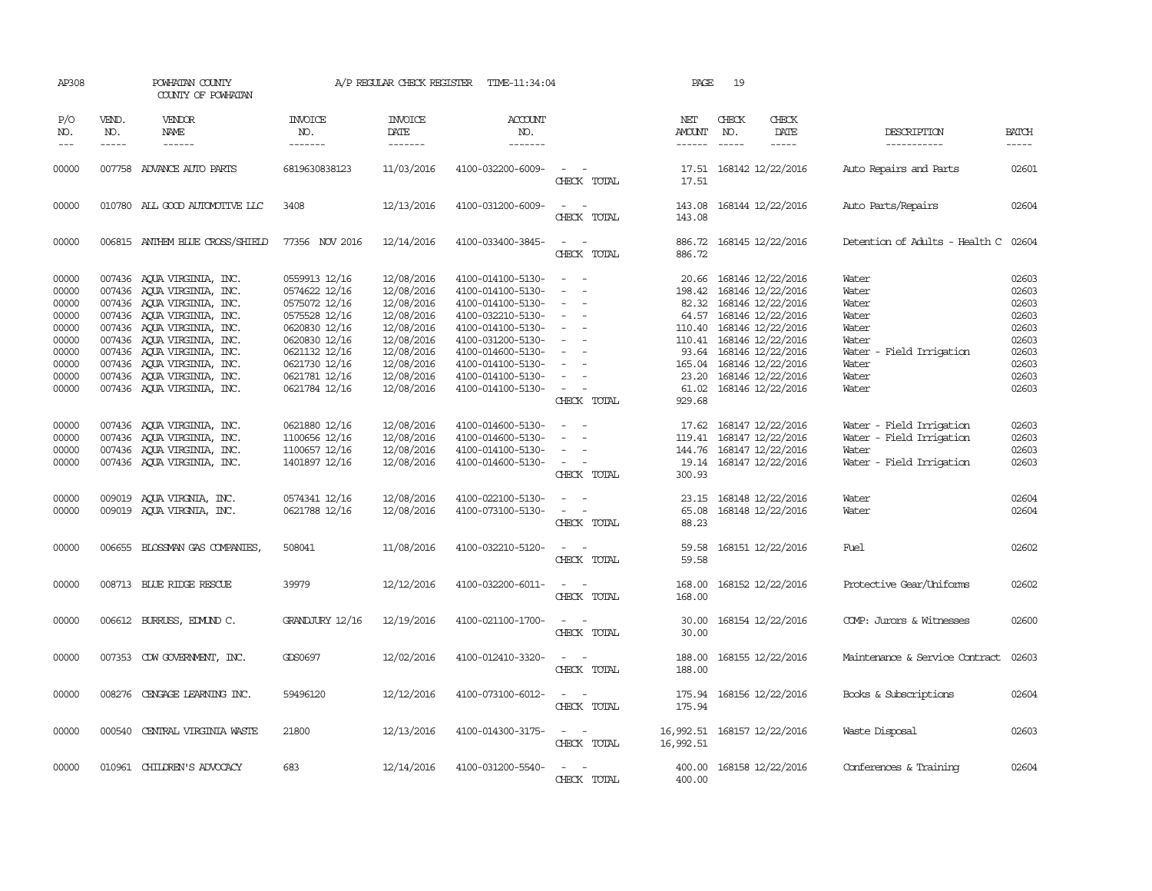| AP308                                                                                  |                             | POWHATAN COUNTY<br>COUNTY OF POWHATAN                                                                                                                                                                                                                                                                    |                                                                                                                                                                        | A/P REGULAR CHECK REGISTER                                                                                                               | TIME-11:34:04                                                                                                                                                                                                  |                                                                                                                                                             | PAGE                                                                    | 19           |                                                                                                                                                                                                                                    |                                                                                                              |                                                                                        |
|----------------------------------------------------------------------------------------|-----------------------------|----------------------------------------------------------------------------------------------------------------------------------------------------------------------------------------------------------------------------------------------------------------------------------------------------------|------------------------------------------------------------------------------------------------------------------------------------------------------------------------|------------------------------------------------------------------------------------------------------------------------------------------|----------------------------------------------------------------------------------------------------------------------------------------------------------------------------------------------------------------|-------------------------------------------------------------------------------------------------------------------------------------------------------------|-------------------------------------------------------------------------|--------------|------------------------------------------------------------------------------------------------------------------------------------------------------------------------------------------------------------------------------------|--------------------------------------------------------------------------------------------------------------|----------------------------------------------------------------------------------------|
| P/O<br>NO.<br>$---$                                                                    | VEND.<br>NO.<br>$- - - - -$ | VENDOR<br><b>NAME</b><br>------                                                                                                                                                                                                                                                                          | <b>INVOICE</b><br>NO.<br>-------                                                                                                                                       | <b>INVOICE</b><br>DATE<br>-------                                                                                                        | <b>ACCOUNT</b><br>NO.<br>-------                                                                                                                                                                               |                                                                                                                                                             | NET<br>AMOUNT<br>------                                                 | CHECK<br>NO. | CHECK<br>DATE<br>$- - - - -$                                                                                                                                                                                                       | DESCRIPTION<br>-----------                                                                                   | <b>BATCH</b><br>-----                                                                  |
| 00000                                                                                  |                             | 007758 ADVANCE AUTO PARTS                                                                                                                                                                                                                                                                                | 6819630838123                                                                                                                                                          | 11/03/2016                                                                                                                               | 4100-032200-6009-                                                                                                                                                                                              | $\sim$<br>CHECK TOTAL                                                                                                                                       | 17.51<br>17.51                                                          |              | 168142 12/22/2016                                                                                                                                                                                                                  | Auto Repairs and Parts                                                                                       | 02601                                                                                  |
| 00000                                                                                  |                             | 010780 ALL GOOD AUTOMOTTVE LLC                                                                                                                                                                                                                                                                           | 3408                                                                                                                                                                   | 12/13/2016                                                                                                                               | 4100-031200-6009-                                                                                                                                                                                              | $\overline{\phantom{a}}$<br>CHECK TOTAL                                                                                                                     | 143.08<br>143.08                                                        |              | 168144 12/22/2016                                                                                                                                                                                                                  | Auto Parts/Repairs                                                                                           | 02604                                                                                  |
| 00000                                                                                  |                             | 006815 ANTHEM BLUE CROSS/SHIELD                                                                                                                                                                                                                                                                          | 77356 NOV 2016                                                                                                                                                         | 12/14/2016                                                                                                                               | 4100-033400-3845-                                                                                                                                                                                              | $\sim$<br>CHECK TOTAL                                                                                                                                       | 886.72                                                                  |              | 886.72 168145 12/22/2016                                                                                                                                                                                                           | Detention of Adults - Health C 02604                                                                         |                                                                                        |
| 00000<br>00000<br>00000<br>00000<br>00000<br>00000<br>00000<br>00000<br>00000<br>00000 |                             | 007436 AQUA VIRGINIA, INC.<br>007436 AQUA VIRGINIA, INC.<br>007436 AQUA VIRGINIA, INC.<br>007436 AQUA VIRGINIA, INC.<br>007436 AOUA VIRGINIA, INC.<br>007436 AQUA VIRGINIA, INC.<br>007436 AQUA VIRGINIA, INC.<br>007436 AQUA VIRGINIA, INC.<br>007436 AQUA VIRGINIA, INC.<br>007436 AQUA VIRGINIA, INC. | 0559913 12/16<br>0574622 12/16<br>0575072 12/16<br>0575528 12/16<br>0620830 12/16<br>0620830 12/16<br>0621132 12/16<br>0621730 12/16<br>0621781 12/16<br>0621784 12/16 | 12/08/2016<br>12/08/2016<br>12/08/2016<br>12/08/2016<br>12/08/2016<br>12/08/2016<br>12/08/2016<br>12/08/2016<br>12/08/2016<br>12/08/2016 | 4100-014100-5130-<br>4100-014100-5130-<br>4100-014100-5130-<br>4100-032210-5130-<br>4100-014100-5130-<br>4100-031200-5130-<br>4100-014600-5130-<br>4100-014100-5130-<br>4100-014100-5130-<br>4100-014100-5130- | $\sim$<br>$\sim$<br>$\equiv$<br>$\equiv$<br>$\equiv$<br>$\sim$<br>$\overline{\phantom{a}}$<br>$\overline{\phantom{a}}$<br>$\equiv$<br>$\sim$<br>CHECK TOTAL | 20.66<br>198.42<br>82.32<br>110.41<br>93.64<br>23.20<br>61.02<br>929.68 |              | 168146 12/22/2016<br>168146 12/22/2016<br>168146 12/22/2016<br>64.57 168146 12/22/2016<br>110.40 168146 12/22/2016<br>168146 12/22/2016<br>168146 12/22/2016<br>165.04 168146 12/22/2016<br>168146 12/22/2016<br>168146 12/22/2016 | Water<br>Water<br>Water<br>Water<br>Water<br>Water<br>Water<br>- Field Irrigation<br>Water<br>Water<br>Water | 02603<br>02603<br>02603<br>02603<br>02603<br>02603<br>02603<br>02603<br>02603<br>02603 |
| 00000<br>00000<br>00000<br>00000                                                       |                             | 007436 AQUA VIRGINIA, INC.<br>007436 AQUA VIRGINIA, INC.<br>007436 AQUA VIRGINIA, INC.<br>007436 AQUA VIRGINIA, INC.                                                                                                                                                                                     | 0621880 12/16<br>1100656 12/16<br>1100657 12/16<br>1401897 12/16                                                                                                       | 12/08/2016<br>12/08/2016<br>12/08/2016<br>12/08/2016                                                                                     | 4100-014600-5130-<br>4100-014600-5130-<br>4100-014100-5130-<br>4100-014600-5130-                                                                                                                               | $\equiv$<br>$\equiv$<br>$\sim$<br>CHECK TOTAL                                                                                                               | 17.62<br>119.41<br>144.76<br>300.93                                     |              | 168147 12/22/2016<br>168147 12/22/2016<br>168147 12/22/2016<br>19.14 168147 12/22/2016                                                                                                                                             | Water - Field Irrigation<br>Water - Field Irrigation<br>Water<br>Water - Field Irrigation                    | 02603<br>02603<br>02603<br>02603                                                       |
| 00000<br>00000                                                                         |                             | 009019 AQUA VIRGNIA, INC.<br>009019 AQUA VIRGNIA, INC.                                                                                                                                                                                                                                                   | 0574341 12/16<br>0621788 12/16                                                                                                                                         | 12/08/2016<br>12/08/2016                                                                                                                 | 4100-022100-5130-<br>4100-073100-5130-                                                                                                                                                                         | $\overline{\phantom{a}}$<br>$\overline{\phantom{a}}$<br>CHECK TOTAL                                                                                         | 23.15<br>65.08<br>88.23                                                 |              | 168148 12/22/2016<br>168148 12/22/2016                                                                                                                                                                                             | Water<br>Water                                                                                               | 02604<br>02604                                                                         |
| 00000                                                                                  |                             | 006655 BLOSSMAN GAS COMPANIES,                                                                                                                                                                                                                                                                           | 508041                                                                                                                                                                 | 11/08/2016                                                                                                                               | 4100-032210-5120-                                                                                                                                                                                              | $\sim$<br>CHECK TOTAL                                                                                                                                       | 59.58<br>59.58                                                          |              | 168151 12/22/2016                                                                                                                                                                                                                  | Fuel                                                                                                         | 02602                                                                                  |
| 00000                                                                                  |                             | 008713 BLUE RIDGE RESCUE                                                                                                                                                                                                                                                                                 | 39979                                                                                                                                                                  | 12/12/2016                                                                                                                               | 4100-032200-6011-                                                                                                                                                                                              | $\sim$ 100 $\mu$<br>$\overline{\phantom{a}}$<br>CHECK TOTAL                                                                                                 | 168.00<br>168,00                                                        |              | 168152 12/22/2016                                                                                                                                                                                                                  | Protective Gear/Uniforms                                                                                     | 02602                                                                                  |
| 00000                                                                                  |                             | 006612 BURRUSS, EDMUND C.                                                                                                                                                                                                                                                                                | <b>GRANDJURY 12/16</b>                                                                                                                                                 | 12/19/2016                                                                                                                               | 4100-021100-1700-                                                                                                                                                                                              | $\frac{1}{2} \left( \frac{1}{2} \right) \left( \frac{1}{2} \right) = \frac{1}{2} \left( \frac{1}{2} \right)$<br>CHECK TOTAL                                 | 30.00<br>30.00                                                          |              | 168154 12/22/2016                                                                                                                                                                                                                  | COMP: Jurors & Witnesses                                                                                     | 02600                                                                                  |
| 00000                                                                                  |                             | 007353 CDW GOVERNMENT, INC.                                                                                                                                                                                                                                                                              | GDS0697                                                                                                                                                                | 12/02/2016                                                                                                                               | 4100-012410-3320-                                                                                                                                                                                              | $\frac{1}{2} \left( \frac{1}{2} \right) \left( \frac{1}{2} \right) = \frac{1}{2} \left( \frac{1}{2} \right)$<br>CHECK TOTAL                                 | 188.00<br>188.00                                                        |              | 168155 12/22/2016                                                                                                                                                                                                                  | Maintenance & Service Contract                                                                               | 02603                                                                                  |
| 00000                                                                                  |                             | 008276 CENGAGE LEARNING INC.                                                                                                                                                                                                                                                                             | 59496120                                                                                                                                                               | 12/12/2016                                                                                                                               | 4100-073100-6012-                                                                                                                                                                                              | $\frac{1}{2} \left( \frac{1}{2} \right) \left( \frac{1}{2} \right) = \frac{1}{2} \left( \frac{1}{2} \right)$<br>CHECK TOTAL                                 | 175.94<br>175.94                                                        |              | 168156 12/22/2016                                                                                                                                                                                                                  | Books & Subscriptions                                                                                        | 02604                                                                                  |
| 00000                                                                                  |                             | 000540 CENTRAL VIRGINIA WASTE                                                                                                                                                                                                                                                                            | 21800                                                                                                                                                                  | 12/13/2016                                                                                                                               | 4100-014300-3175-                                                                                                                                                                                              | $\sim$ $ -$<br>CHECK TOTAL                                                                                                                                  | 16,992.51                                                               |              | 16,992.51 168157 12/22/2016                                                                                                                                                                                                        | Waste Disposal                                                                                               | 02603                                                                                  |
| 00000                                                                                  |                             | 010961 CHILDREN'S ADVOCACY                                                                                                                                                                                                                                                                               | 683                                                                                                                                                                    | 12/14/2016                                                                                                                               | 4100-031200-5540-                                                                                                                                                                                              | CHECK TOTAL                                                                                                                                                 | 400.00<br>400.00                                                        |              | 168158 12/22/2016                                                                                                                                                                                                                  | Conferences & Training                                                                                       | 02604                                                                                  |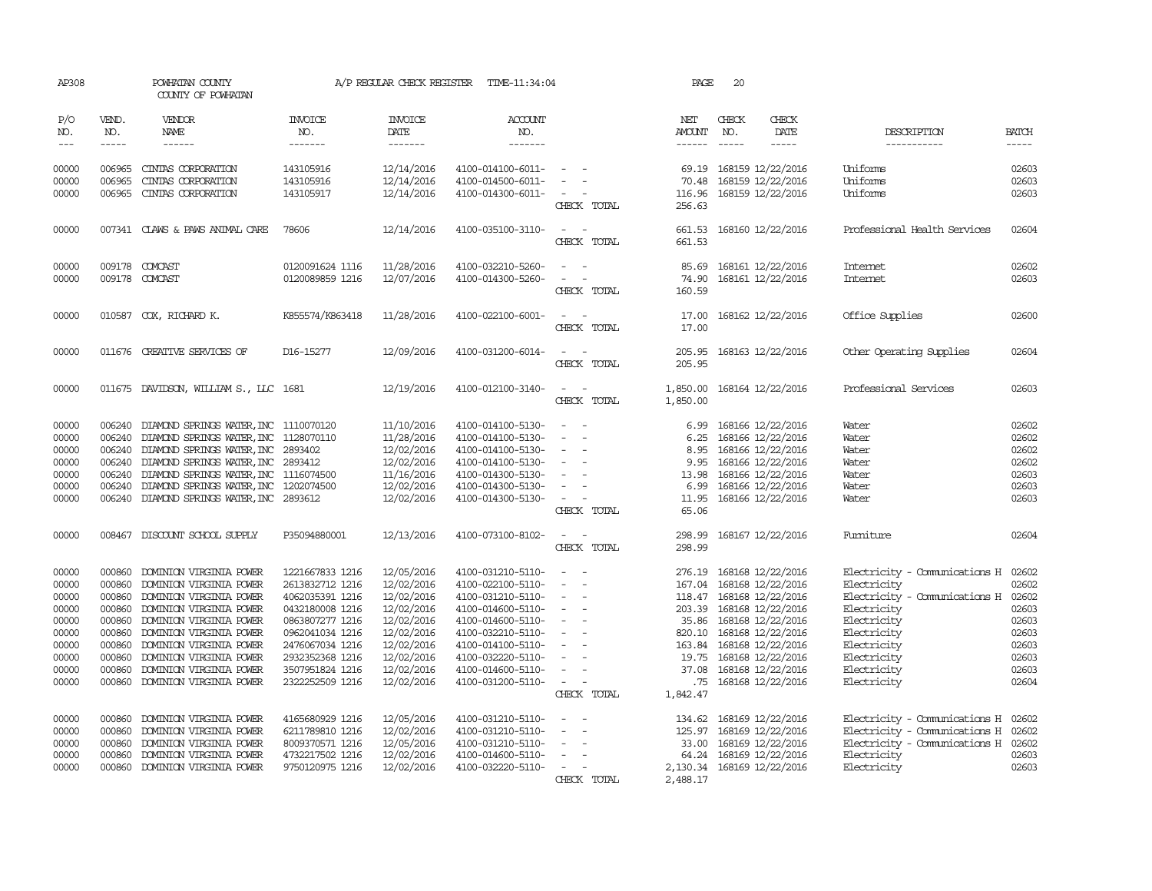| AP308                                                                                  |                                                                                                  | POWHATAN COUNTY<br>COUNTY OF POWHATAN                                                                                                                                                                                                                                                                   |                                                                                                                                                                                            |                                                                                                                                          | A/P REGULAR CHECK REGISTER TIME-11:34:04                                                                                                                                                                       |                                                                                                                                                                                                                                                   | PAGE                                                    | 20                                                                                                                                                                                                                                                  |                                                                                                                                                                                        |                                                                                        |
|----------------------------------------------------------------------------------------|--------------------------------------------------------------------------------------------------|---------------------------------------------------------------------------------------------------------------------------------------------------------------------------------------------------------------------------------------------------------------------------------------------------------|--------------------------------------------------------------------------------------------------------------------------------------------------------------------------------------------|------------------------------------------------------------------------------------------------------------------------------------------|----------------------------------------------------------------------------------------------------------------------------------------------------------------------------------------------------------------|---------------------------------------------------------------------------------------------------------------------------------------------------------------------------------------------------------------------------------------------------|---------------------------------------------------------|-----------------------------------------------------------------------------------------------------------------------------------------------------------------------------------------------------------------------------------------------------|----------------------------------------------------------------------------------------------------------------------------------------------------------------------------------------|----------------------------------------------------------------------------------------|
| P/O<br>NO.<br>$\frac{1}{2}$                                                            | VEND.<br>NO.<br>$- - - - -$                                                                      | VENDOR<br>NAME<br>------                                                                                                                                                                                                                                                                                | <b>INVOICE</b><br>NO.<br>-------                                                                                                                                                           | <b>INVOICE</b><br>DATE<br>-------                                                                                                        | <b>ACCOUNT</b><br>NO.<br>-------                                                                                                                                                                               |                                                                                                                                                                                                                                                   | NET<br>AMOUNT                                           | CHECK<br>CHECK<br>NO.<br>DATE<br>-----<br>$\frac{1}{2}$                                                                                                                                                                                             | DESCRIPTION<br>-----------                                                                                                                                                             | <b>BATCH</b><br>-----                                                                  |
| 00000<br>00000<br>00000                                                                | 006965<br>006965<br>006965                                                                       | CINIAS CORPORATION<br>CINIAS CORPORATION<br>CINIAS CORPORATION                                                                                                                                                                                                                                          | 143105916<br>143105916<br>143105917                                                                                                                                                        | 12/14/2016<br>12/14/2016<br>12/14/2016                                                                                                   | 4100-014100-6011-<br>4100-014500-6011-<br>4100-014300-6011-                                                                                                                                                    | $\sim$<br>$\sim$<br>$\frac{1}{2} \left( \frac{1}{2} \right) = \frac{1}{2} \left( \frac{1}{2} \right) = \frac{1}{2}$<br>CHECK TOTAL                                                                                                                | 69.19<br>70.48<br>116.96<br>256.63                      | 168159 12/22/2016<br>168159 12/22/2016<br>168159 12/22/2016                                                                                                                                                                                         | Uniforms<br>Uniforms<br>Uniforms                                                                                                                                                       | 02603<br>02603<br>02603                                                                |
| 00000                                                                                  |                                                                                                  | 007341 CLAWS & PAWS ANIMAL CARE                                                                                                                                                                                                                                                                         | 78606                                                                                                                                                                                      | 12/14/2016                                                                                                                               | 4100-035100-3110-                                                                                                                                                                                              | $\overline{\phantom{a}}$<br>$\overline{\phantom{a}}$<br>CHECK TOTAL                                                                                                                                                                               | 661.53<br>661.53                                        | 168160 12/22/2016                                                                                                                                                                                                                                   | Professional Health Services                                                                                                                                                           | 02604                                                                                  |
| 00000<br>00000                                                                         |                                                                                                  | 009178 COMCAST<br>009178 COMCAST                                                                                                                                                                                                                                                                        | 0120091624 1116<br>0120089859 1216                                                                                                                                                         | 11/28/2016<br>12/07/2016                                                                                                                 | 4100-032210-5260-<br>4100-014300-5260-                                                                                                                                                                         | CHECK TOTAL                                                                                                                                                                                                                                       | 85.69<br>74.90<br>160.59                                | 168161 12/22/2016<br>168161 12/22/2016                                                                                                                                                                                                              | Internet<br>Internet                                                                                                                                                                   | 02602<br>02603                                                                         |
| 00000                                                                                  |                                                                                                  | 010587 COX, RICHARD K.                                                                                                                                                                                                                                                                                  | K855574/K863418                                                                                                                                                                            | 11/28/2016                                                                                                                               | 4100-022100-6001-                                                                                                                                                                                              | $\overline{\phantom{a}}$<br>CHECK TOTAL                                                                                                                                                                                                           | 17.00<br>17.00                                          | 168162 12/22/2016                                                                                                                                                                                                                                   | Office Supplies                                                                                                                                                                        | 02600                                                                                  |
| 00000                                                                                  |                                                                                                  | 011676 CREATIVE SERVICES OF                                                                                                                                                                                                                                                                             | D16-15277                                                                                                                                                                                  | 12/09/2016                                                                                                                               | 4100-031200-6014-                                                                                                                                                                                              | $\frac{1}{2} \left( \frac{1}{2} \right) \left( \frac{1}{2} \right) = \frac{1}{2} \left( \frac{1}{2} \right)$<br>CHECK TOTAL                                                                                                                       | 205.95<br>205.95                                        | 168163 12/22/2016                                                                                                                                                                                                                                   | Other Operating Supplies                                                                                                                                                               | 02604                                                                                  |
| 00000                                                                                  |                                                                                                  | 011675 DAVIDSON, WILLIAM S., LLC 1681                                                                                                                                                                                                                                                                   |                                                                                                                                                                                            | 12/19/2016                                                                                                                               | 4100-012100-3140-                                                                                                                                                                                              | $\sim$<br>CHECK TOTAL                                                                                                                                                                                                                             | 1,850.00<br>1,850.00                                    | 168164 12/22/2016                                                                                                                                                                                                                                   | Professional Services                                                                                                                                                                  | 02603                                                                                  |
| 00000<br>00000<br>00000<br>00000<br>00000<br>00000<br>00000                            | 006240<br>006240<br>006240<br>006240                                                             | DIAMOND SPRINGS WATER, INC 1110070120<br>DIAMOND SPRINGS WATER, INC 1128070110<br>006240 DIAMOND SPRINGS WATER, INC 2893402<br>006240 DIAMOND SPRINGS WATER, INC 2893412<br>DIAMOND SPRINGS WATER, INC 1116074500<br>DIAMOND SPRINGS WATER, INC 1202074500<br>006240 DIAMOND SPRINGS WATER, INC 2893612 |                                                                                                                                                                                            | 11/10/2016<br>11/28/2016<br>12/02/2016<br>12/02/2016<br>11/16/2016<br>12/02/2016<br>12/02/2016                                           | 4100-014100-5130-<br>4100-014100-5130-<br>4100-014100-5130-<br>4100-014100-5130-<br>4100-014300-5130-<br>4100-014300-5130-<br>4100-014300-5130-                                                                | $\sim$<br>$\overline{\phantom{a}}$<br>$\overline{\phantom{a}}$<br>$\overline{\phantom{a}}$<br>$\overline{\phantom{a}}$<br>$\overline{\phantom{a}}$<br>$\sim$<br>$\overline{\phantom{a}}$<br>CHECK TOTAL                                           | 6.99<br>6.25<br>8.95<br>13.98<br>6.99<br>11.95<br>65.06 | 168166 12/22/2016<br>168166 12/22/2016<br>168166 12/22/2016<br>9.95 168166 12/22/2016<br>168166 12/22/2016<br>168166 12/22/2016<br>168166 12/22/2016                                                                                                | Water<br>Water<br>Water<br>Water<br>Water<br>Water<br>Water                                                                                                                            | 02602<br>02602<br>02602<br>02602<br>02603<br>02603<br>02603                            |
| 00000                                                                                  |                                                                                                  | 008467 DISCOUNT SCHOOL SUPPLY                                                                                                                                                                                                                                                                           | P35094880001                                                                                                                                                                               | 12/13/2016                                                                                                                               | 4100-073100-8102-                                                                                                                                                                                              | $\overline{\phantom{a}}$<br>$\sim$<br>CHECK TOTAL                                                                                                                                                                                                 | 298.99<br>298.99                                        | 168167 12/22/2016                                                                                                                                                                                                                                   | Furniture                                                                                                                                                                              | 02604                                                                                  |
| 00000<br>00000<br>00000<br>00000<br>00000<br>00000<br>00000<br>00000<br>00000<br>00000 | 000860<br>000860<br>000860<br>000860<br>000860<br>000860<br>000860<br>000860<br>000860<br>000860 | DOMINION VIRGINIA POWER<br>DOMINION VIRGINIA POWER<br>DOMINION VIRGINIA POWER<br>DOMINION VIRGINIA POWER<br>DOMINION VIRGINIA POWER<br>DOMINION VIRGINIA POWER<br>DOMINION VIRGINIA POWER<br>DOMINION VIRGINIA POWER<br>DOMINION VIRGINIA POWER<br>DOMINION VIRGINIA POWER                              | 1221667833 1216<br>2613832712 1216<br>4062035391 1216<br>0432180008 1216<br>0863807277 1216<br>0962041034 1216<br>2476067034 1216<br>2932352368 1216<br>3507951824 1216<br>2322252509 1216 | 12/05/2016<br>12/02/2016<br>12/02/2016<br>12/02/2016<br>12/02/2016<br>12/02/2016<br>12/02/2016<br>12/02/2016<br>12/02/2016<br>12/02/2016 | 4100-031210-5110-<br>4100-022100-5110-<br>4100-031210-5110-<br>4100-014600-5110-<br>4100-014600-5110-<br>4100-032210-5110-<br>4100-014100-5110-<br>4100-032220-5110-<br>4100-014600-5110-<br>4100-031200-5110- | $\sim$ $-$<br>$\overline{\phantom{a}}$<br>$\overline{\phantom{a}}$<br>$\overline{\phantom{a}}$<br>$\overline{\phantom{a}}$<br>$\overline{\phantom{a}}$<br>$\overline{\phantom{a}}$<br>$\overline{\phantom{a}}$<br>$\sim$ 100 $\mu$<br>CHECK TOTAL | 276.19<br>167.04<br>820.10<br>37.08<br>1,842.47         | 168168 12/22/2016<br>168168 12/22/2016<br>118.47 168168 12/22/2016<br>203.39 168168 12/22/2016<br>35.86 168168 12/22/2016<br>168168 12/22/2016<br>163.84 168168 12/22/2016<br>19.75 168168 12/22/2016<br>168168 12/22/2016<br>.75 168168 12/22/2016 | Electricity - Comunications H<br>Electricity<br>Electricity - Comunications H<br>Electricity<br>Electricity<br>Electricity<br>Electricity<br>Electricity<br>Electricity<br>Electricity | 02602<br>02602<br>02602<br>02603<br>02603<br>02603<br>02603<br>02603<br>02603<br>02604 |
| 00000<br>00000<br>00000<br>00000<br>00000                                              | 000860<br>000860<br>000860<br>000860                                                             | DOMINION VIRGINIA POWER<br>DOMINION VIRGINIA POWER<br>DOMINION VIRGINIA POWER<br>DOMINION VIRGINIA POWER<br>000860 DOMINION VIRGINIA POWER                                                                                                                                                              | 4165680929 1216<br>6211789810 1216<br>8009370571 1216<br>4732217502 1216<br>9750120975 1216                                                                                                | 12/05/2016<br>12/02/2016<br>12/05/2016<br>12/02/2016<br>12/02/2016                                                                       | 4100-031210-5110-<br>4100-031210-5110-<br>4100-031210-5110-<br>4100-014600-5110-<br>4100-032220-5110-                                                                                                          | $\overline{\phantom{a}}$<br>$\overline{\phantom{a}}$<br>$\equiv$<br>$\overline{\phantom{a}}$<br>$\sim$<br>CHECK TOTAL                                                                                                                             | 134.62<br>2,488.17                                      | 168169 12/22/2016<br>125.97 168169 12/22/2016<br>33.00 168169 12/22/2016<br>64.24 168169 12/22/2016<br>2, 130.34 168169 12/22/2016                                                                                                                  | Electricity - Comunications H<br>Electricity - Comunications H<br>Electricity - Comunications H 02602<br>Electricity<br>Electricity                                                    | 02602<br>02602<br>02603<br>02603                                                       |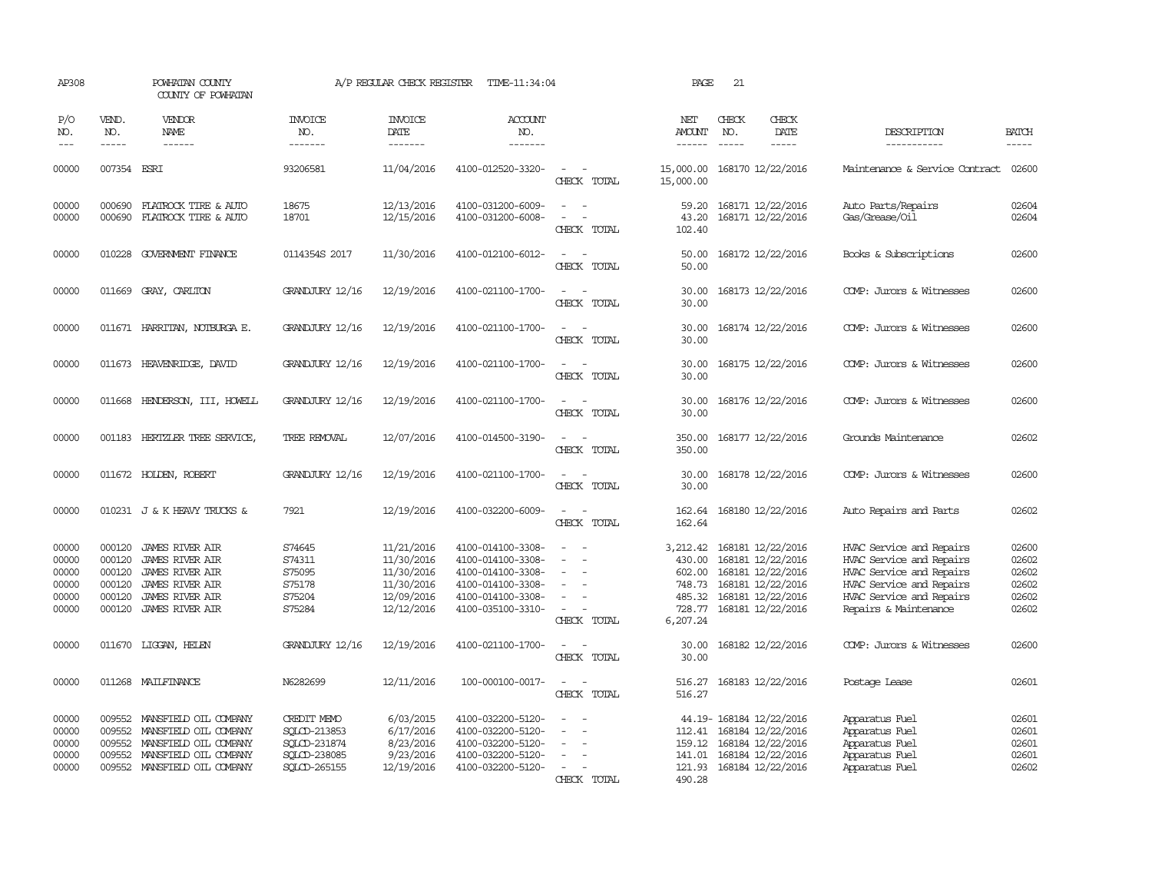| AP308                                              |                                                          | POWHATAN COUNTY<br>COUNTY OF POWHATAN                                                                                                                                                                                                                                                                                                                                                                                                                                                               |                                                                             | A/P REGULAR CHECK REGISTER                                                       | TIME-11:34:04                                                                                                              |                                                   | PAGE                                                                   | 21                            |                                                                                                                            |                                                                                                                                                                   |                                                    |
|----------------------------------------------------|----------------------------------------------------------|-----------------------------------------------------------------------------------------------------------------------------------------------------------------------------------------------------------------------------------------------------------------------------------------------------------------------------------------------------------------------------------------------------------------------------------------------------------------------------------------------------|-----------------------------------------------------------------------------|----------------------------------------------------------------------------------|----------------------------------------------------------------------------------------------------------------------------|---------------------------------------------------|------------------------------------------------------------------------|-------------------------------|----------------------------------------------------------------------------------------------------------------------------|-------------------------------------------------------------------------------------------------------------------------------------------------------------------|----------------------------------------------------|
| P/O<br>NO.<br>$---$                                | VEND.<br>NO.<br>$\frac{1}{2}$                            | <b>VENDOR</b><br>NAME<br>$\frac{1}{2} \left( \frac{1}{2} \right) \left( \frac{1}{2} \right) \left( \frac{1}{2} \right) \left( \frac{1}{2} \right) \left( \frac{1}{2} \right) \left( \frac{1}{2} \right) \left( \frac{1}{2} \right) \left( \frac{1}{2} \right) \left( \frac{1}{2} \right) \left( \frac{1}{2} \right) \left( \frac{1}{2} \right) \left( \frac{1}{2} \right) \left( \frac{1}{2} \right) \left( \frac{1}{2} \right) \left( \frac{1}{2} \right) \left( \frac{1}{2} \right) \left( \frac$ | <b>INVOICE</b><br>NO.<br>-------                                            | <b>INVOICE</b><br>DATE<br>-------                                                | ACCOUNT<br>NO.<br>-------                                                                                                  |                                                   | NET<br>AMOUNT<br>$- - - - - -$                                         | CHECK<br>NO.<br>$\frac{1}{2}$ | CHECK<br>DATE<br>-----                                                                                                     | DESCRIPTION<br>------------                                                                                                                                       | <b>BATCH</b><br>-----                              |
| 00000                                              | 007354 ESRI                                              |                                                                                                                                                                                                                                                                                                                                                                                                                                                                                                     | 93206581                                                                    | 11/04/2016                                                                       | 4100-012520-3320-                                                                                                          | $\overline{\phantom{a}}$<br>CHECK TOTAL           | 15,000.00<br>15,000.00                                                 |                               | 168170 12/22/2016                                                                                                          | Maintenance & Service Contract                                                                                                                                    | 02600                                              |
| 00000<br>00000                                     | 000690<br>000690                                         | FLATROCK TIRE & AUTO<br>FLATROCK TIRE & AUTO                                                                                                                                                                                                                                                                                                                                                                                                                                                        | 18675<br>18701                                                              | 12/13/2016<br>12/15/2016                                                         | 4100-031200-6009-<br>4100-031200-6008-                                                                                     | $\overline{\phantom{a}}$<br>$\sim$<br>CHECK TOTAL | 59.20<br>43.20<br>102.40                                               |                               | 168171 12/22/2016<br>168171 12/22/2016                                                                                     | Auto Parts/Repairs<br>Gas/Grease/Oil                                                                                                                              | 02604<br>02604                                     |
| 00000                                              | 010228                                                   | GOVERNMENT FINANCE                                                                                                                                                                                                                                                                                                                                                                                                                                                                                  | 0114354S 2017                                                               | 11/30/2016                                                                       | 4100-012100-6012-                                                                                                          | $\sim$<br>CHECK TOTAL                             | 50.00<br>50.00                                                         |                               | 168172 12/22/2016                                                                                                          | Books & Subscriptions                                                                                                                                             | 02600                                              |
| 00000                                              | 011669                                                   | GRAY, CARLTON                                                                                                                                                                                                                                                                                                                                                                                                                                                                                       | <b>GRANDJURY 12/16</b>                                                      | 12/19/2016                                                                       | 4100-021100-1700-                                                                                                          | $\equiv$<br>CHECK TOTAL                           | 30.00<br>30.00                                                         |                               | 168173 12/22/2016                                                                                                          | COMP: Jurors & Witnesses                                                                                                                                          | 02600                                              |
| 00000                                              |                                                          | 011671 HARRITAN, NOTBURGA E.                                                                                                                                                                                                                                                                                                                                                                                                                                                                        | <b>GRANDJURY 12/16</b>                                                      | 12/19/2016                                                                       | 4100-021100-1700-                                                                                                          | $\overline{\phantom{a}}$<br>CHECK TOTAL           | 30.00<br>30.00                                                         |                               | 168174 12/22/2016                                                                                                          | COMP: Jurors & Witnesses                                                                                                                                          | 02600                                              |
| 00000                                              |                                                          | 011673 HEAVENRIDGE, DAVID                                                                                                                                                                                                                                                                                                                                                                                                                                                                           | GRANDJURY 12/16                                                             | 12/19/2016                                                                       | 4100-021100-1700-                                                                                                          | $\sim$<br>$\sim$<br>CHECK TOTAL                   | 30.00<br>30.00                                                         |                               | 168175 12/22/2016                                                                                                          | COMP: Jurors & Witnesses                                                                                                                                          | 02600                                              |
| 00000                                              |                                                          | 011668 HENDERSON, III, HOWELL                                                                                                                                                                                                                                                                                                                                                                                                                                                                       | <b>GRANDJURY 12/16</b>                                                      | 12/19/2016                                                                       | 4100-021100-1700-                                                                                                          | CHECK TOTAL                                       | 30.00<br>30.00                                                         |                               | 168176 12/22/2016                                                                                                          | COMP: Jurors & Witnesses                                                                                                                                          | 02600                                              |
| 00000                                              |                                                          | 001183 HERTZLER TREE SERVICE,                                                                                                                                                                                                                                                                                                                                                                                                                                                                       | TREE REMOVAL                                                                | 12/07/2016                                                                       | 4100-014500-3190-                                                                                                          | CHECK TOTAL                                       | 350.00<br>350.00                                                       |                               | 168177 12/22/2016                                                                                                          | Grounds Maintenance                                                                                                                                               | 02602                                              |
| 00000                                              |                                                          | 011672 HOLDEN, ROBERT                                                                                                                                                                                                                                                                                                                                                                                                                                                                               | <b>GRANDJURY 12/16</b>                                                      | 12/19/2016                                                                       | 4100-021100-1700-                                                                                                          | CHECK TOTAL                                       | 30.00<br>30.00                                                         |                               | 168178 12/22/2016                                                                                                          | COMP: Jurors & Witnesses                                                                                                                                          | 02600                                              |
| 00000                                              |                                                          | 010231 J & K HEAVY TRUCKS &                                                                                                                                                                                                                                                                                                                                                                                                                                                                         | 7921                                                                        | 12/19/2016                                                                       | 4100-032200-6009-                                                                                                          | CHECK TOTAL                                       | 162.64<br>162.64                                                       |                               | 168180 12/22/2016                                                                                                          | Auto Repairs and Parts                                                                                                                                            | 02602                                              |
| 00000<br>00000<br>00000<br>00000<br>00000<br>00000 | 000120<br>000120<br>000120<br>000120<br>000120<br>000120 | <b>JAMES RIVER AIR</b><br><b>JAMES RIVER AIR</b><br><b>JAMES RIVER AIR</b><br><b>JAMES RIVER AIR</b><br><b>JAMES RIVER AIR</b><br><b>JAMES RIVER AIR</b>                                                                                                                                                                                                                                                                                                                                            | S74645<br>S74311<br>S75095<br>S75178<br>S75204<br>S75284                    | 11/21/2016<br>11/30/2016<br>11/30/2016<br>11/30/2016<br>12/09/2016<br>12/12/2016 | 4100-014100-3308-<br>4100-014100-3308-<br>4100-014100-3308-<br>4100-014100-3308-<br>4100-014100-3308-<br>4100-035100-3310- | CHECK TOTAL                                       | 3,212.42<br>430.00<br>602.00<br>748.73<br>485.32<br>728.77<br>6,207.24 |                               | 168181 12/22/2016<br>168181 12/22/2016<br>168181 12/22/2016<br>168181 12/22/2016<br>168181 12/22/2016<br>168181 12/22/2016 | HVAC Service and Repairs<br>HVAC Service and Repairs<br>HVAC Service and Repairs<br>HVAC Service and Repairs<br>HVAC Service and Repairs<br>Repairs & Maintenance | 02600<br>02602<br>02602<br>02602<br>02602<br>02602 |
| 00000                                              |                                                          | 011670 LIGGAN, HELEN                                                                                                                                                                                                                                                                                                                                                                                                                                                                                | <b>GRANDJURY 12/16</b>                                                      | 12/19/2016                                                                       | 4100-021100-1700-                                                                                                          | CHECK TOTAL                                       | 30.00<br>30.00                                                         |                               | 168182 12/22/2016                                                                                                          | COMP: Jurors & Witnesses                                                                                                                                          | 02600                                              |
| 00000                                              |                                                          | 011268 MAILFINANCE                                                                                                                                                                                                                                                                                                                                                                                                                                                                                  | N6282699                                                                    | 12/11/2016                                                                       | 100-000100-0017-                                                                                                           | CHECK TOTAL                                       | 516.27<br>516.27                                                       |                               | 168183 12/22/2016                                                                                                          | Postage Lease                                                                                                                                                     | 02601                                              |
| 00000<br>00000<br>00000<br>00000<br>00000          | 009552<br>009552<br>009552<br>009552                     | MANSFIELD OIL COMPANY<br>MANSFIELD OIL COMPANY<br>MANSFIELD OIL COMPANY<br>MANSFIELD OIL COMPANY<br>009552 MANSFIELD OIL COMPANY                                                                                                                                                                                                                                                                                                                                                                    | CREDIT MEMO<br>SQLCD-213853<br>SOLCD-231874<br>SQLCD-238085<br>SQLCD-265155 | 6/03/2015<br>6/17/2016<br>8/23/2016<br>9/23/2016<br>12/19/2016                   | 4100-032200-5120-<br>4100-032200-5120-<br>4100-032200-5120-<br>4100-032200-5120-<br>4100-032200-5120-                      | CHECK TOTAL                                       | 112.41<br>141.01<br>121.93<br>490.28                                   |                               | 44.19- 168184 12/22/2016<br>168184 12/22/2016<br>159.12 168184 12/22/2016<br>168184 12/22/2016<br>168184 12/22/2016        | Apparatus Fuel<br>Apparatus Fuel<br>Apparatus Fuel<br>Apparatus Fuel<br>Apparatus Fuel                                                                            | 02601<br>02601<br>02601<br>02601<br>02602          |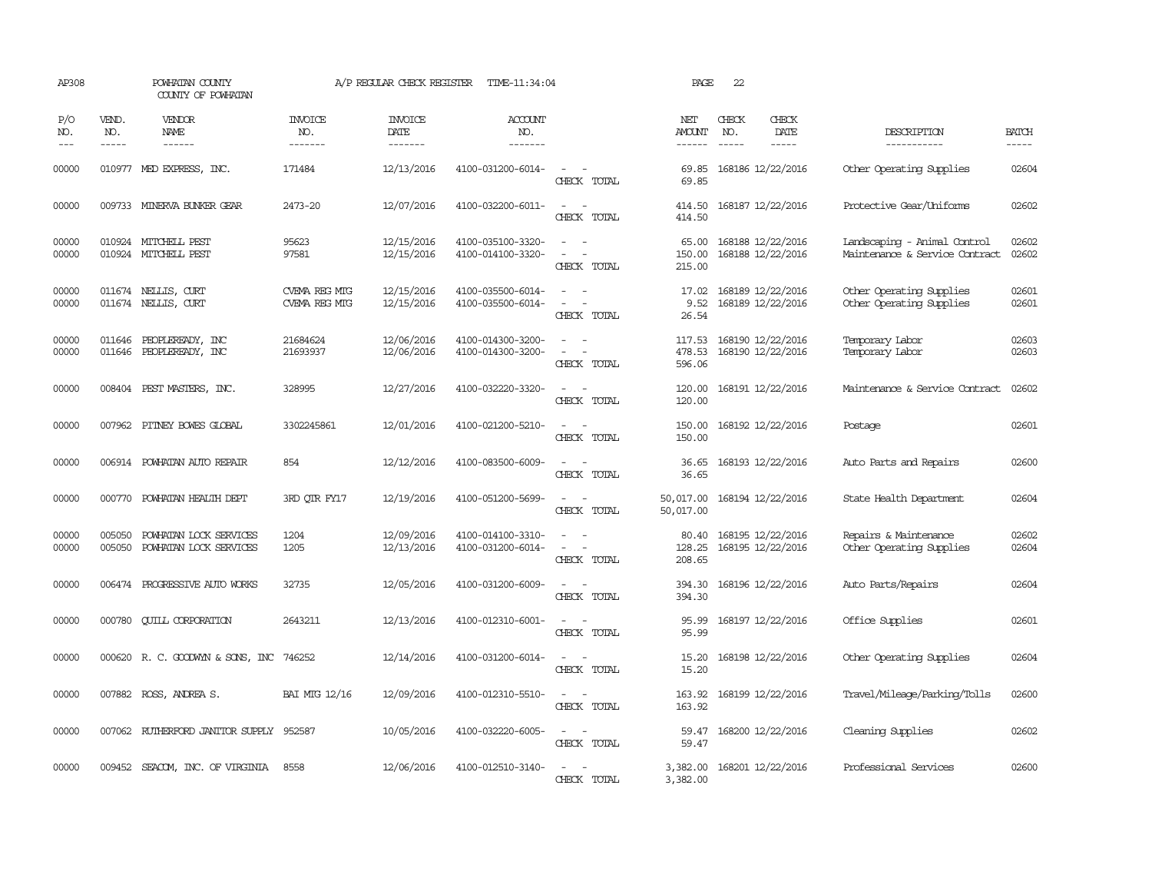| AP308               |                             | POWHATAN COUNTY<br>COUNTY OF POWHATAN              |                                  | A/P REGULAR CHECK REGISTER         | TIME-11:34:04                          |                                                                                                                             | PAGE                           | 22           |                                        |                                                                |                       |
|---------------------|-----------------------------|----------------------------------------------------|----------------------------------|------------------------------------|----------------------------------------|-----------------------------------------------------------------------------------------------------------------------------|--------------------------------|--------------|----------------------------------------|----------------------------------------------------------------|-----------------------|
| P/O<br>NO.<br>$---$ | VEND.<br>NO.<br>$- - - - -$ | VENDOR<br>NAME                                     | <b>INVOICE</b><br>NO.<br>------- | <b>INVOICE</b><br>DATE<br>-------- | <b>ACCOUNT</b><br>NO.<br>-------       |                                                                                                                             | NET<br>AMOUNT<br>$- - - - - -$ | CHECK<br>NO. | CHECK<br>DATE<br>-----                 | DESCRIPTION<br>-----------                                     | <b>BATCH</b><br>----- |
| 00000               |                             | 010977 MED EXPRESS, INC.                           | 171484                           | 12/13/2016                         | 4100-031200-6014-                      | $\sim$<br>CHECK TOTAL                                                                                                       | 69.85<br>69.85                 |              | 168186 12/22/2016                      | Other Operating Supplies                                       | 02604                 |
| 00000               |                             | 009733 MINERVA BUNKER GEAR                         | 2473-20                          | 12/07/2016                         | 4100-032200-6011-                      | $\sim$<br>$\sim$ $-$<br>CHECK TOTAL                                                                                         | 414.50<br>414.50               |              | 168187 12/22/2016                      | Protective Gear/Uniforms                                       | 02602                 |
| 00000<br>00000      |                             | 010924 MITCHELL PEST<br>010924 MITCHELL PEST       | 95623<br>97581                   | 12/15/2016<br>12/15/2016           | 4100-035100-3320-<br>4100-014100-3320- | $\sim$<br>$\sim$<br>CHECK TOTAL                                                                                             | 65.00<br>150.00<br>215.00      |              | 168188 12/22/2016<br>168188 12/22/2016 | Landscaping - Animal Control<br>Maintenance & Service Contract | 02602<br>02602        |
| 00000<br>00000      |                             | 011674 NELLIS, CURT<br>011674 NELLIS, CURT         | CVEMA REG MTG<br>CVEMA REG MTG   | 12/15/2016<br>12/15/2016           | 4100-035500-6014-<br>4100-035500-6014- | $\sim$<br>$\equiv$<br>CHECK TOTAL                                                                                           | 17.02<br>9.52<br>26.54         |              | 168189 12/22/2016<br>168189 12/22/2016 | Other Operating Supplies<br>Other Operating Supplies           | 02601<br>02601        |
| 00000<br>00000      |                             | 011646 PEOPLEREADY, INC<br>011646 PEOPLEREADY, INC | 21684624<br>21693937             | 12/06/2016<br>12/06/2016           | 4100-014300-3200-<br>4100-014300-3200- | $\overline{\phantom{a}}$<br>$\sim$<br>CHECK TOTAL                                                                           | 117.53<br>478.53<br>596.06     |              | 168190 12/22/2016<br>168190 12/22/2016 | Temporary Labor<br>Temporary Labor                             | 02603<br>02603        |
| 00000               |                             | 008404 PEST MASTERS, INC.                          | 328995                           | 12/27/2016                         | 4100-032220-3320-                      | $\sim$<br>CHECK TOTAL                                                                                                       | 120.00<br>120.00               |              | 168191 12/22/2016                      | Maintenance & Service Contract                                 | 02602                 |
| 00000               |                             | 007962 PITNEY BOWES GLOBAL                         | 3302245861                       | 12/01/2016                         | 4100-021200-5210-                      | $\equiv$<br>CHECK TOTAL                                                                                                     | 150.00<br>150.00               |              | 168192 12/22/2016                      | Postage                                                        | 02601                 |
| 00000               |                             | 006914 POWHATAN AUTO REPAIR                        | 854                              | 12/12/2016                         | 4100-083500-6009-                      | CHECK TOTAL                                                                                                                 | 36.65<br>36.65                 |              | 168193 12/22/2016                      | Auto Parts and Repairs                                         | 02600                 |
| 00000               | 000770                      | POWHATAN HEALTH DEPT                               | 3RD QTR FY17                     | 12/19/2016                         | 4100-051200-5699-                      | $ -$<br>CHECK TOTAL                                                                                                         | 50,017.00<br>50,017.00         |              | 168194 12/22/2016                      | State Health Department                                        | 02604                 |
| 00000<br>00000      | 005050<br>005050            | POWHATAN LOCK SERVICES<br>POWHATAN LOCK SERVICES   | 1204<br>1205                     | 12/09/2016<br>12/13/2016           | 4100-014100-3310-<br>4100-031200-6014- | $\equiv$<br>$\overline{\phantom{a}}$<br>CHECK TOTAL                                                                         | 80.40<br>128.25<br>208.65      |              | 168195 12/22/2016<br>168195 12/22/2016 | Repairs & Maintenance<br>Other Operating Supplies              | 02602<br>02604        |
| 00000               |                             | 006474 PROGRESSIVE AUTO WORKS                      | 32735                            | 12/05/2016                         | 4100-031200-6009-                      | $\frac{1}{2} \left( \frac{1}{2} \right) \left( \frac{1}{2} \right) = \frac{1}{2} \left( \frac{1}{2} \right)$<br>CHECK TOTAL | 394.30<br>394.30               |              | 168196 12/22/2016                      | Auto Parts/Repairs                                             | 02604                 |
| 00000               | 000780                      | <b>CUILL CORPORATION</b>                           | 2643211                          | 12/13/2016                         | 4100-012310-6001-                      | $\sim$<br>$\overline{\phantom{a}}$<br>CHECK TOTAL                                                                           | 95.99<br>95.99                 |              | 168197 12/22/2016                      | Office Supplies                                                | 02601                 |
| 00000               |                             | 000620 R. C. GOODWYN & SONS, INC 746252            |                                  | 12/14/2016                         | 4100-031200-6014-                      | $\equiv$<br>CHECK TOTAL                                                                                                     | 15.20<br>15.20                 |              | 168198 12/22/2016                      | Other Operating Supplies                                       | 02604                 |
| 00000               |                             | 007882 ROSS, ANDREA S.                             | <b>BAI MTG 12/16</b>             | 12/09/2016                         | 4100-012310-5510-                      | $\sim$<br>$\overline{\phantom{a}}$<br>CHECK TOTAL                                                                           | 163.92<br>163.92               |              | 168199 12/22/2016                      | Travel/Mileage/Parking/Tolls                                   | 02600                 |
| 00000               | 007062                      | RUTHERFORD JANITOR SUPPLY 952587                   |                                  | 10/05/2016                         | 4100-032220-6005-                      | $\overline{\phantom{a}}$<br>$\sim$<br>CHECK TOTAL                                                                           | 59.47<br>59.47                 |              | 168200 12/22/2016                      | Cleaning Supplies                                              | 02602                 |
| 00000               |                             | 009452 SEACOM, INC. OF VIRGINIA                    | 8558                             | 12/06/2016                         | 4100-012510-3140-                      | CHECK TOTAL                                                                                                                 | 3,382.00<br>3,382.00           |              | 168201 12/22/2016                      | Professional Services                                          | 02600                 |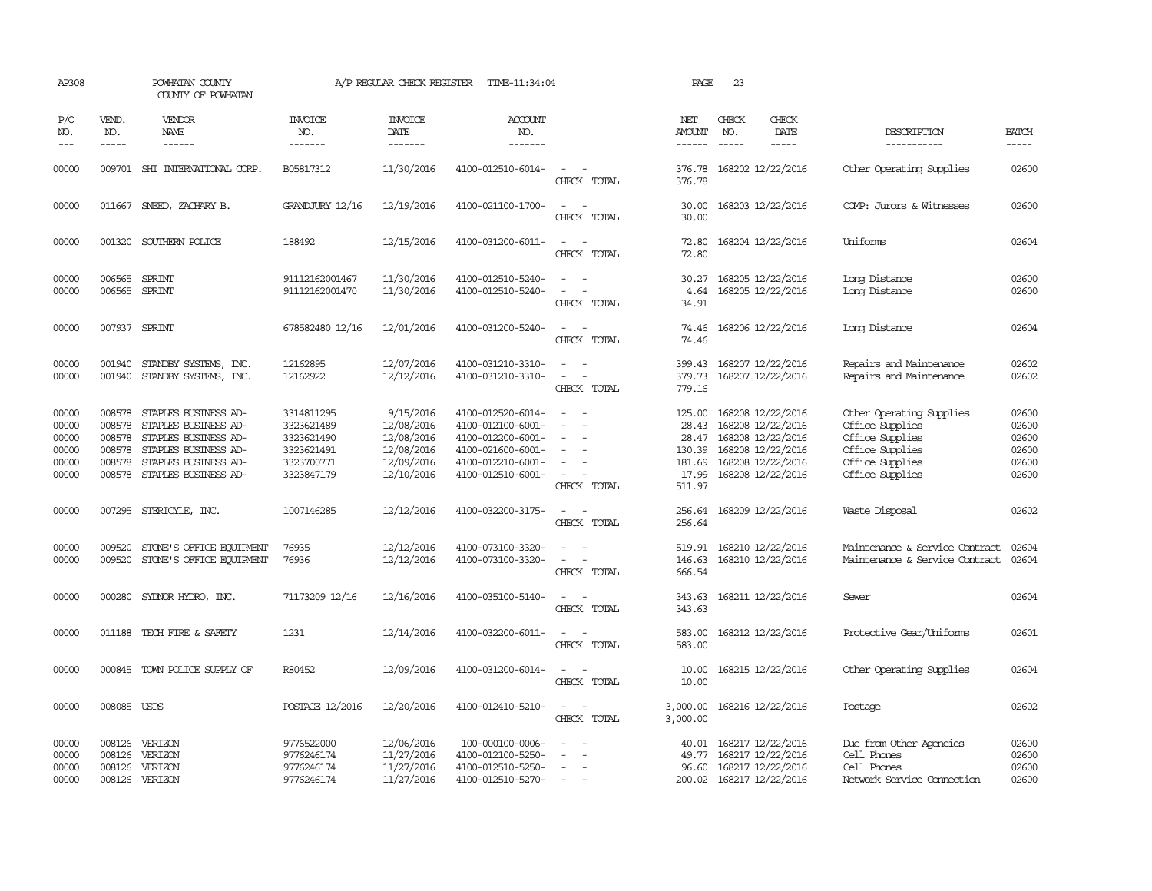| AP308                                              |                                                          | POWHATAN COUNTY<br>COUNTY OF POWHATAN                                                                                                        |                                                                                  | A/P REGULAR CHECK REGISTER                                                      | TIME-11:34:04                                                                                                              |                                                                             | PAGE                                                            | 23                          |                                                                                                                            |                                                                                                                         |                                                    |
|----------------------------------------------------|----------------------------------------------------------|----------------------------------------------------------------------------------------------------------------------------------------------|----------------------------------------------------------------------------------|---------------------------------------------------------------------------------|----------------------------------------------------------------------------------------------------------------------------|-----------------------------------------------------------------------------|-----------------------------------------------------------------|-----------------------------|----------------------------------------------------------------------------------------------------------------------------|-------------------------------------------------------------------------------------------------------------------------|----------------------------------------------------|
| P/O<br>NO.<br>$---$                                | VEND.<br>NO.<br>$- - - - -$                              | <b>VENDOR</b><br><b>NAME</b><br>$- - - - - -$                                                                                                | <b>INVOICE</b><br>NO.<br>-------                                                 | <b>INVOICE</b><br><b>DATE</b><br>--------                                       | <b>ACCOUNT</b><br>NO.<br>-------                                                                                           |                                                                             | NET<br>AMOUNT<br>$- - - - - -$                                  | CHECK<br>NO.<br>$- - - - -$ | CHECK<br>DATE<br>$- - - - -$                                                                                               | DESCRIPTION<br>-----------                                                                                              | <b>BATCH</b><br>$- - - - -$                        |
| 00000                                              |                                                          | 009701 SHI INTERNATIONAL CORP.                                                                                                               | B05817312                                                                        | 11/30/2016                                                                      | 4100-012510-6014-                                                                                                          | $\overline{\phantom{a}}$<br>CHECK TOTAL                                     | 376.78<br>376.78                                                |                             | 168202 12/22/2016                                                                                                          | Other Operating Supplies                                                                                                | 02600                                              |
| 00000                                              |                                                          | 011667 SNEED, ZACHARY B.                                                                                                                     | <b>GRANDJURY 12/16</b>                                                           | 12/19/2016                                                                      | 4100-021100-1700-                                                                                                          | $ -$<br>CHECK TOTAL                                                         | 30.00<br>30.00                                                  |                             | 168203 12/22/2016                                                                                                          | COMP: Jurors & Witnesses                                                                                                | 02600                                              |
| 00000                                              |                                                          | 001320 SOUTHERN POLICE                                                                                                                       | 188492                                                                           | 12/15/2016                                                                      | 4100-031200-6011-                                                                                                          | $\sim$<br>$\sim$<br>CHECK TOTAL                                             | 72.80<br>72.80                                                  |                             | 168204 12/22/2016                                                                                                          | Uniforms                                                                                                                | 02604                                              |
| 00000<br>00000                                     | 006565                                                   | SPRINT<br>006565 SPRINT                                                                                                                      | 91112162001467<br>91112162001470                                                 | 11/30/2016<br>11/30/2016                                                        | 4100-012510-5240-<br>4100-012510-5240-                                                                                     | $\equiv$<br>CHECK TOTAL                                                     | 30.27<br>4.64<br>34.91                                          |                             | 168205 12/22/2016<br>168205 12/22/2016                                                                                     | Long Distance<br>Long Distance                                                                                          | 02600<br>02600                                     |
| 00000                                              |                                                          | 007937 SPRINT                                                                                                                                | 678582480 12/16                                                                  | 12/01/2016                                                                      | 4100-031200-5240-                                                                                                          | $\equiv$<br>CHECK TOTAL                                                     | 74.46<br>74.46                                                  |                             | 168206 12/22/2016                                                                                                          | Long Distance                                                                                                           | 02604                                              |
| 00000<br>00000                                     | 001940<br>001940                                         | STANDBY SYSTEMS, INC.<br>STANDBY SYSTEMS, INC.                                                                                               | 12162895<br>12162922                                                             | 12/07/2016<br>12/12/2016                                                        | 4100-031210-3310-<br>4100-031210-3310-                                                                                     | $\sim$<br>$\equiv$<br>CHECK TOTAL                                           | 399.43<br>379.73<br>779.16                                      |                             | 168207 12/22/2016<br>168207 12/22/2016                                                                                     | Repairs and Maintenance<br>Repairs and Maintenance                                                                      | 02602<br>02602                                     |
| 00000<br>00000<br>00000<br>00000<br>00000<br>00000 | 008578<br>008578<br>008578<br>008578<br>008578<br>008578 | STAPLES BUSINESS AD-<br>STAPLES BUSINESS AD-<br>STAPLES BUSINESS AD-<br>STAPLES BUSINESS AD-<br>STAPLES BUSINESS AD-<br>STAPLES BUSINESS AD- | 3314811295<br>3323621489<br>3323621490<br>3323621491<br>3323700771<br>3323847179 | 9/15/2016<br>12/08/2016<br>12/08/2016<br>12/08/2016<br>12/09/2016<br>12/10/2016 | 4100-012520-6014-<br>4100-012100-6001-<br>4100-012200-6001-<br>4100-021600-6001-<br>4100-012210-6001-<br>4100-012510-6001- | $\overline{\phantom{a}}$<br>$\equiv$<br>$\equiv$<br>$\equiv$<br>CHECK TOTAL | 125.00<br>28.43<br>28.47<br>130.39<br>181.69<br>17.99<br>511.97 |                             | 168208 12/22/2016<br>168208 12/22/2016<br>168208 12/22/2016<br>168208 12/22/2016<br>168208 12/22/2016<br>168208 12/22/2016 | Other Operating Supplies<br>Office Supplies<br>Office Supplies<br>Office Supplies<br>Office Supplies<br>Office Supplies | 02600<br>02600<br>02600<br>02600<br>02600<br>02600 |
| 00000                                              |                                                          | 007295 STERICYLE, INC.                                                                                                                       | 1007146285                                                                       | 12/12/2016                                                                      | 4100-032200-3175-                                                                                                          | $\overline{\phantom{a}}$<br>CHECK TOTAL                                     | 256.64<br>256.64                                                |                             | 168209 12/22/2016                                                                                                          | Waste Disposal                                                                                                          | 02602                                              |
| 00000<br>00000                                     | 009520<br>009520                                         | STONE'S OFFICE EQUIPMENT<br>STONE'S OFFICE EQUIPMENT                                                                                         | 76935<br>76936                                                                   | 12/12/2016<br>12/12/2016                                                        | 4100-073100-3320-<br>4100-073100-3320-                                                                                     | $\sim$<br>$\sim$<br>$\overline{\phantom{a}}$<br>CHECK TOTAL                 | 519.91<br>146.63<br>666.54                                      |                             | 168210 12/22/2016<br>168210 12/22/2016                                                                                     | Maintenance & Service Contract<br>Maintenance & Service Contract                                                        | 02604<br>02604                                     |
| 00000                                              | 000280                                                   | SYLNOR HYDRO, INC.                                                                                                                           | 71173209 12/16                                                                   | 12/16/2016                                                                      | 4100-035100-5140-                                                                                                          | $\equiv$<br>CHECK TOTAL                                                     | 343.63<br>343.63                                                |                             | 168211 12/22/2016                                                                                                          | Sewer                                                                                                                   | 02604                                              |
| 00000                                              |                                                          | 011188 TECH FIRE & SAFETY                                                                                                                    | 1231                                                                             | 12/14/2016                                                                      | 4100-032200-6011-                                                                                                          | $ -$<br>CHECK TOTAL                                                         | 583.00<br>583.00                                                |                             | 168212 12/22/2016                                                                                                          | Protective Gear/Uniforms                                                                                                | 02601                                              |
| 00000                                              | 000845                                                   | TOWN POLICE SUPPLY OF                                                                                                                        | R80452                                                                           | 12/09/2016                                                                      | 4100-031200-6014-                                                                                                          | $\equiv$<br>CHECK TOTAL                                                     | 10.00<br>10.00                                                  |                             | 168215 12/22/2016                                                                                                          | Other Operating Supplies                                                                                                | 02604                                              |
| 00000                                              | 008085 USPS                                              |                                                                                                                                              | POSTAGE 12/2016                                                                  | 12/20/2016                                                                      | 4100-012410-5210-                                                                                                          | $ -$<br>CHECK TOTAL                                                         | 3,000.00<br>3,000.00                                            |                             | 168216 12/22/2016                                                                                                          | Postage                                                                                                                 | 02602                                              |
| 00000<br>00000<br>00000<br>00000                   | 008126<br>008126<br>008126                               | VERIZON<br>VERIZON<br>VERIZON<br>008126 VERIZON                                                                                              | 9776522000<br>9776246174<br>9776246174<br>9776246174                             | 12/06/2016<br>11/27/2016<br>11/27/2016<br>11/27/2016                            | 100-000100-0006-<br>4100-012100-5250-<br>4100-012510-5250-<br>4100-012510-5270-                                            | $\sim$                                                                      | 40.01<br>49.77<br>96.60                                         |                             | 168217 12/22/2016<br>168217 12/22/2016<br>168217 12/22/2016<br>200.02 168217 12/22/2016                                    | Due from Other Agencies<br>Cell Phones<br>Cell Phones<br>Network Service Cornection                                     | 02600<br>02600<br>02600<br>02600                   |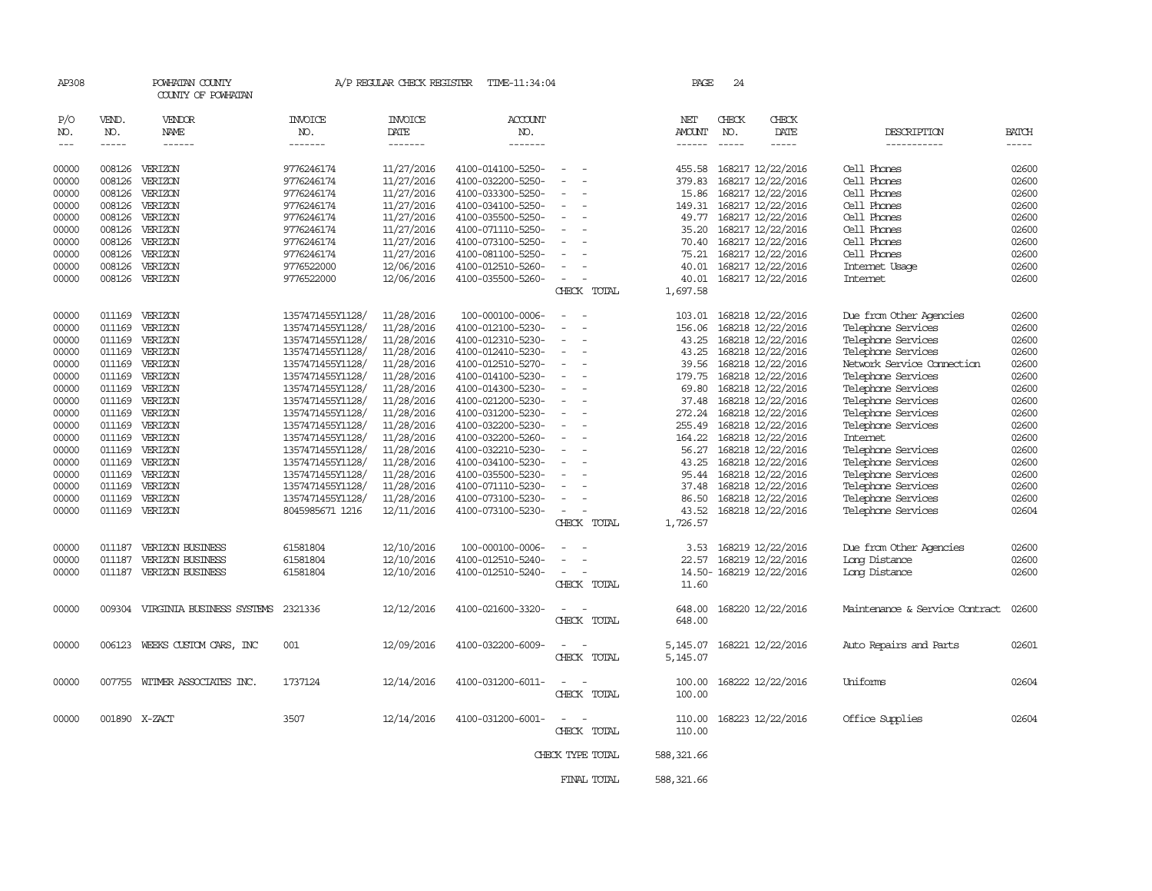| AP308                |                                                                                                                                                                                                                                                                                                                                                                                                                                                                         | POWHATAN COUNTY<br>COUNTY OF POWHATAN |                                  | A/P REGULAR CHECK REGISTER        | TIME-11:34:04                    |                                         |             | PAGE                    | 24                            |                         |                                |                               |
|----------------------|-------------------------------------------------------------------------------------------------------------------------------------------------------------------------------------------------------------------------------------------------------------------------------------------------------------------------------------------------------------------------------------------------------------------------------------------------------------------------|---------------------------------------|----------------------------------|-----------------------------------|----------------------------------|-----------------------------------------|-------------|-------------------------|-------------------------------|-------------------------|--------------------------------|-------------------------------|
| P/O<br>NO.<br>$--\,$ | VEND.<br>NO.<br>$\begin{tabular}{ccccc} \multicolumn{2}{c }{\multicolumn{2}{c }{\multicolumn{2}{c }{\multicolumn{2}{c}}{\hspace{-2.2cm}}}} \multicolumn{2}{c }{\multicolumn{2}{c }{\hspace{-2.2cm}}\hline} \multicolumn{2}{c }{\hspace{-2.2cm}}\hline \multicolumn{2}{c }{\hspace{-2.2cm}}\hline \multicolumn{2}{c }{\hspace{-2.2cm}}\hline \multicolumn{2}{c }{\hspace{-2.2cm}}\hline \multicolumn{2}{c }{\hspace{-2.2cm}}\hline \multicolumn{2}{c }{\hspace{-2.2cm}}$ | VENDOR<br>NAME<br>------              | <b>INVOICE</b><br>NO.<br>------- | <b>INVOICE</b><br>DATE<br>------- | <b>ACCOUNT</b><br>NO.<br>------- |                                         |             | NET<br>AMOUNT<br>------ | CHECK<br>NO.<br>$\frac{1}{2}$ | CHECK<br>DATE<br>-----  | DESCRIPTION<br>-----------     | <b>BATCH</b><br>$- - - - - -$ |
|                      |                                                                                                                                                                                                                                                                                                                                                                                                                                                                         |                                       |                                  |                                   |                                  |                                         |             |                         |                               |                         |                                |                               |
| 00000                | 008126                                                                                                                                                                                                                                                                                                                                                                                                                                                                  | VERIZON                               | 9776246174                       | 11/27/2016                        | 4100-014100-5250-                |                                         |             | 455.58                  |                               | 168217 12/22/2016       | Cell Phones                    | 02600                         |
| 00000                | 008126                                                                                                                                                                                                                                                                                                                                                                                                                                                                  | VERIZON                               | 9776246174                       | 11/27/2016                        | 4100-032200-5250-                |                                         |             | 379.83                  |                               | 168217 12/22/2016       | Cell Phones                    | 02600                         |
| 00000                | 008126                                                                                                                                                                                                                                                                                                                                                                                                                                                                  | VERIZON                               | 9776246174                       | 11/27/2016                        | 4100-033300-5250-                |                                         |             | 15.86                   |                               | 168217 12/22/2016       | Cell Phones                    | 02600                         |
| 00000                | 008126                                                                                                                                                                                                                                                                                                                                                                                                                                                                  | VERIZON                               | 9776246174                       | 11/27/2016                        | 4100-034100-5250-                |                                         |             | 149.31                  |                               | 168217 12/22/2016       | Cell Phones                    | 02600                         |
| 00000                | 008126                                                                                                                                                                                                                                                                                                                                                                                                                                                                  | VERIZON                               | 9776246174                       | 11/27/2016                        | 4100-035500-5250-                |                                         |             | 49.77                   |                               | 168217 12/22/2016       | Cell Phones                    | 02600                         |
| 00000                | 008126                                                                                                                                                                                                                                                                                                                                                                                                                                                                  | VERIZON                               | 9776246174                       | 11/27/2016                        | 4100-071110-5250-                |                                         |             | 35.20                   |                               | 168217 12/22/2016       | Cell Phones                    | 02600                         |
| 00000                | 008126                                                                                                                                                                                                                                                                                                                                                                                                                                                                  | VERIZON                               | 9776246174                       | 11/27/2016                        | 4100-073100-5250-                |                                         |             | 70.40                   |                               | 168217 12/22/2016       | Cell Phones                    | 02600                         |
| 00000                | 008126                                                                                                                                                                                                                                                                                                                                                                                                                                                                  | VERIZON                               | 9776246174                       | 11/27/2016                        | 4100-081100-5250-                |                                         |             | 75.21                   |                               | 168217 12/22/2016       | Cell Phones                    | 02600                         |
| 00000                | 008126                                                                                                                                                                                                                                                                                                                                                                                                                                                                  | VERIZON                               | 9776522000                       | 12/06/2016                        | 4100-012510-5260-                |                                         |             | 40.01                   |                               | 168217 12/22/2016       | Internet Usage                 | 02600                         |
| 00000                |                                                                                                                                                                                                                                                                                                                                                                                                                                                                         | 008126 VERIZON                        | 9776522000                       | 12/06/2016                        | 4100-035500-5260-                | $\equiv$                                |             | 40.01                   |                               | 168217 12/22/2016       | Internet                       | 02600                         |
|                      |                                                                                                                                                                                                                                                                                                                                                                                                                                                                         |                                       |                                  |                                   |                                  | CHECK TOTAL                             |             | 1,697.58                |                               |                         |                                |                               |
| 00000                | 011169                                                                                                                                                                                                                                                                                                                                                                                                                                                                  | VERIZON                               | 1357471455Y1128/                 | 11/28/2016                        | 100-000100-0006-                 |                                         |             | 103.01                  |                               | 168218 12/22/2016       | Due from Other Agencies        | 02600                         |
| 00000                | 011169                                                                                                                                                                                                                                                                                                                                                                                                                                                                  | VERIZON                               | 1357471455Y1128/                 | 11/28/2016                        | 4100-012100-5230-                |                                         |             | 156.06                  |                               | 168218 12/22/2016       | Telephone Services             | 02600                         |
| 00000                |                                                                                                                                                                                                                                                                                                                                                                                                                                                                         | 011169 VERIZON                        | 1357471455Y1128/                 | 11/28/2016                        | 4100-012310-5230-                |                                         |             | 43.25                   |                               | 168218 12/22/2016       | Telephone Services             | 02600                         |
| 00000                |                                                                                                                                                                                                                                                                                                                                                                                                                                                                         | 011169 VERIZON                        | 1357471455Y1128/                 | 11/28/2016                        | 4100-012410-5230-                |                                         |             | 43.25                   |                               | 168218 12/22/2016       | Telephone Services             | 02600                         |
| 00000                |                                                                                                                                                                                                                                                                                                                                                                                                                                                                         | 011169 VERIZON                        | 1357471455Y1128/                 | 11/28/2016                        | 4100-012510-5270-                |                                         |             | 39.56                   |                               | 168218 12/22/2016       | Network Service Connection     | 02600                         |
| 00000                |                                                                                                                                                                                                                                                                                                                                                                                                                                                                         | 011169 VERIZON                        | 1357471455Y1128/                 | 11/28/2016                        | 4100-014100-5230-                | $\equiv$                                |             | 179.75                  |                               | 168218 12/22/2016       | Telephone Services             | 02600                         |
| 00000                | 011169                                                                                                                                                                                                                                                                                                                                                                                                                                                                  | VERIZON                               | 1357471455Y1128/                 | 11/28/2016                        | 4100-014300-5230-                |                                         |             | 69.80                   |                               | 168218 12/22/2016       | Telephone Services             | 02600                         |
| 00000                | 011169                                                                                                                                                                                                                                                                                                                                                                                                                                                                  | VERIZON                               | 1357471455Y1128/                 | 11/28/2016                        | 4100-021200-5230-                |                                         |             | 37.48                   |                               | 168218 12/22/2016       | Telephone Services             | 02600                         |
| 00000                |                                                                                                                                                                                                                                                                                                                                                                                                                                                                         | 011169 VERIZON                        | 1357471455Y1128/                 | 11/28/2016                        | 4100-031200-5230-                |                                         |             | 272.24                  |                               | 168218 12/22/2016       | Telephone Services             | 02600                         |
| 00000                |                                                                                                                                                                                                                                                                                                                                                                                                                                                                         | 011169 VERIZON                        | 1357471455Y1128/                 | 11/28/2016                        | 4100-032200-5230-                |                                         |             | 255.49                  |                               | 168218 12/22/2016       | Telephone Services             | 02600                         |
| 00000                | 011169                                                                                                                                                                                                                                                                                                                                                                                                                                                                  | VERIZON                               | 1357471455Y1128/                 | 11/28/2016                        | 4100-032200-5260-                |                                         |             | 164.22                  |                               | 168218 12/22/2016       | Internet                       | 02600                         |
| 00000                | 011169                                                                                                                                                                                                                                                                                                                                                                                                                                                                  | VERIZON                               | 1357471455Y1128/                 | 11/28/2016                        | 4100-032210-5230-                |                                         |             | 56.27                   |                               | 168218 12/22/2016       | Telephone Services             | 02600                         |
| 00000                |                                                                                                                                                                                                                                                                                                                                                                                                                                                                         | 011169 VERIZON                        | 1357471455Y1128/                 | 11/28/2016                        | 4100-034100-5230-                |                                         |             | 43.25                   |                               | 168218 12/22/2016       | Telephone Services             | 02600                         |
| 00000                |                                                                                                                                                                                                                                                                                                                                                                                                                                                                         | 011169 VERIZON                        | 1357471455Y1128/                 | 11/28/2016                        | 4100-035500-5230-                |                                         |             | 95.44                   |                               | 168218 12/22/2016       | Telephone Services             | 02600                         |
| 00000                | 011169                                                                                                                                                                                                                                                                                                                                                                                                                                                                  | VERIZON                               | 1357471455Y1128/                 | 11/28/2016                        | 4100-071110-5230-                |                                         |             | 37.48                   |                               | 168218 12/22/2016       | Telephone Services             | 02600                         |
| 00000                | 011169                                                                                                                                                                                                                                                                                                                                                                                                                                                                  | VERIZON                               | 1357471455Y1128/                 | 11/28/2016                        | 4100-073100-5230-                |                                         |             | 86.50                   |                               | 168218 12/22/2016       | Telephone Services             | 02600                         |
| 00000                |                                                                                                                                                                                                                                                                                                                                                                                                                                                                         | 011169 VERIZON                        | 8045985671 1216                  | 12/11/2016                        | 4100-073100-5230-                | $\overline{\phantom{a}}$                |             | 43.52                   |                               | 168218 12/22/2016       | Telephone Services             | 02604                         |
|                      |                                                                                                                                                                                                                                                                                                                                                                                                                                                                         |                                       |                                  |                                   |                                  | CHECK TOTAL                             |             | 1,726.57                |                               |                         |                                |                               |
| 00000                |                                                                                                                                                                                                                                                                                                                                                                                                                                                                         | 011187 VERIZON BUSINESS               | 61581804                         | 12/10/2016                        | 100-000100-0006-                 |                                         |             | 3.53                    |                               | 168219 12/22/2016       | Due from Other Agencies        | 02600                         |
| 00000                | 011187                                                                                                                                                                                                                                                                                                                                                                                                                                                                  | VERIZON BUSINESS                      | 61581804                         | 12/10/2016                        | 4100-012510-5240-                |                                         |             | 22.57                   |                               | 168219 12/22/2016       | Long Distance                  | 02600                         |
| 00000                | 011187                                                                                                                                                                                                                                                                                                                                                                                                                                                                  | VERIZON BUSINESS                      | 61581804                         | 12/10/2016                        | 4100-012510-5240-                |                                         |             |                         |                               | 14.50-168219 12/22/2016 | Long Distance                  | 02600                         |
|                      |                                                                                                                                                                                                                                                                                                                                                                                                                                                                         |                                       |                                  |                                   |                                  | CHECK TOTAL                             |             | 11.60                   |                               |                         |                                |                               |
| 00000                | 009304                                                                                                                                                                                                                                                                                                                                                                                                                                                                  | VIRGINIA BUSINESS SYSTEMS             | 2321336                          | 12/12/2016                        | 4100-021600-3320-                |                                         |             | 648.00                  |                               | 168220 12/22/2016       | Maintenance & Service Contract | 02600                         |
|                      |                                                                                                                                                                                                                                                                                                                                                                                                                                                                         |                                       |                                  |                                   |                                  | CHECK TOTAL                             |             | 648.00                  |                               |                         |                                |                               |
| 00000                | 006123                                                                                                                                                                                                                                                                                                                                                                                                                                                                  | WEEKS CUSTOM CARS, INC                | 001                              | 12/09/2016                        | 4100-032200-6009-                | $\overline{\phantom{a}}$                |             | 5,145.07                |                               | 168221 12/22/2016       | Auto Repairs and Parts         | 02601                         |
|                      |                                                                                                                                                                                                                                                                                                                                                                                                                                                                         |                                       |                                  |                                   |                                  | CHECK TOTAL                             |             | 5,145.07                |                               |                         |                                |                               |
| 00000                |                                                                                                                                                                                                                                                                                                                                                                                                                                                                         | 007755 WITMER ASSOCIATES INC.         | 1737124                          | 12/14/2016                        | 4100-031200-6011-                | CHECK TOTAL                             |             | 100.00<br>100.00        |                               | 168222 12/22/2016       | Uniforms                       | 02604                         |
|                      |                                                                                                                                                                                                                                                                                                                                                                                                                                                                         |                                       |                                  |                                   |                                  |                                         |             |                         |                               |                         |                                |                               |
| 00000                |                                                                                                                                                                                                                                                                                                                                                                                                                                                                         | 001890 X-ZACT                         | 3507                             | 12/14/2016                        | 4100-031200-6001-                | $\overline{\phantom{a}}$<br>CHECK TOTAL |             | 110.00<br>110.00        |                               | 168223 12/22/2016       | Office Supplies                | 02604                         |
|                      |                                                                                                                                                                                                                                                                                                                                                                                                                                                                         |                                       |                                  |                                   |                                  | CHECK TYPE TOTAL                        |             | 588, 321, 66            |                               |                         |                                |                               |
|                      |                                                                                                                                                                                                                                                                                                                                                                                                                                                                         |                                       |                                  |                                   |                                  |                                         |             |                         |                               |                         |                                |                               |
|                      |                                                                                                                                                                                                                                                                                                                                                                                                                                                                         |                                       |                                  |                                   |                                  |                                         | FINAL TOTAL | 588, 321.66             |                               |                         |                                |                               |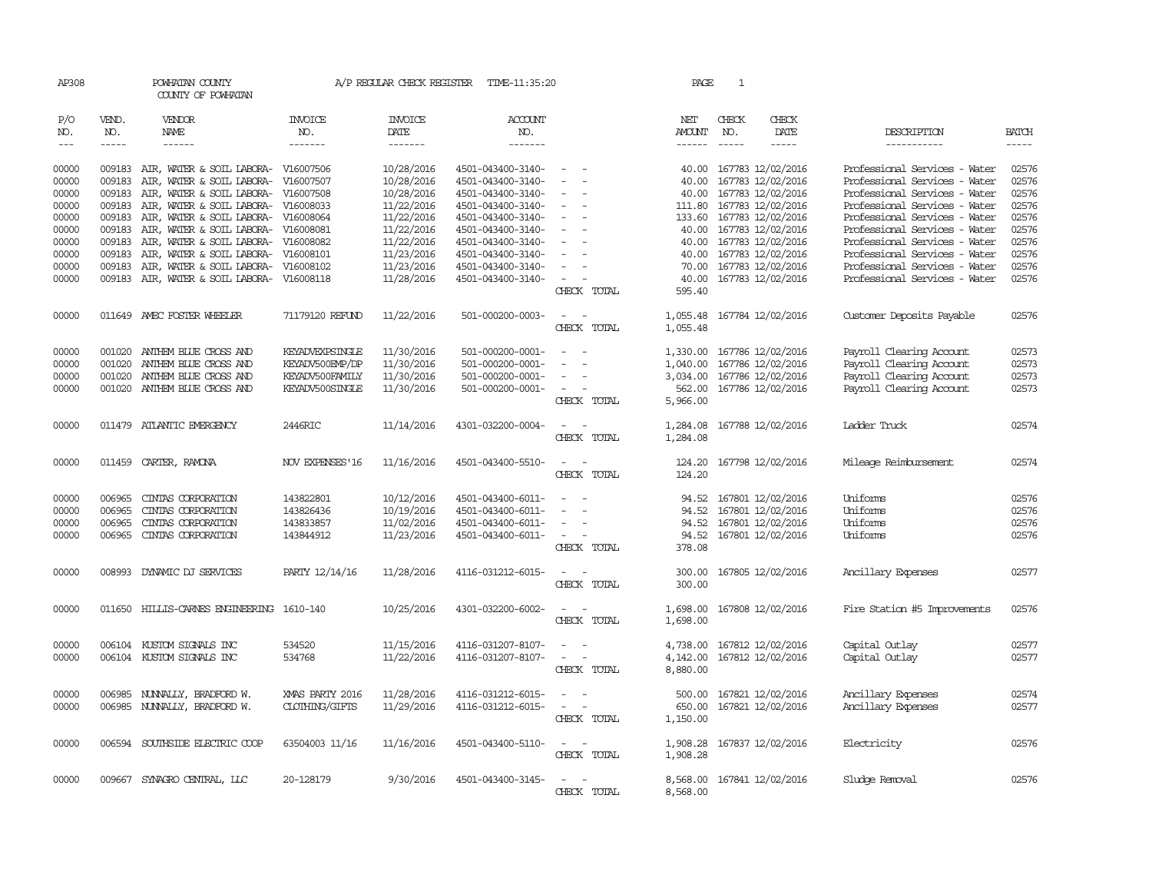| AP308                       |                               | POWHATAN COUNTY<br>COUNTY OF POWHATAN                  |                           |                                   | A/P REGULAR CHECK REGISTER TIME-11:35:20 |                                                                                                              | PAGE                    | 1                           |                                        |                                                                |                       |
|-----------------------------|-------------------------------|--------------------------------------------------------|---------------------------|-----------------------------------|------------------------------------------|--------------------------------------------------------------------------------------------------------------|-------------------------|-----------------------------|----------------------------------------|----------------------------------------------------------------|-----------------------|
| P/O<br>NO.<br>$\frac{1}{2}$ | VEND.<br>NO.<br>$\frac{1}{2}$ | VENDOR<br>NAME<br>$- - - - - -$                        | INVOICE<br>NO.<br>------- | <b>INVOICE</b><br>DATE<br>------- | <b>ACCOUNT</b><br>NO.<br>-------         |                                                                                                              | NET<br>AMOUNT<br>------ | CHECK<br>NO.<br>$- - - - -$ | CHECK<br>DATE<br>$- - - - -$           | DESCRIPTION<br>-----------                                     | <b>BATCH</b><br>----- |
|                             |                               |                                                        |                           |                                   |                                          |                                                                                                              |                         |                             |                                        |                                                                |                       |
| 00000                       | 009183                        | AIR, WATER & SOIL LABORA-                              | V16007506                 | 10/28/2016                        | 4501-043400-3140-                        | $\sim$                                                                                                       | 40.00                   |                             | 167783 12/02/2016                      | Professional Services - Water                                  | 02576                 |
| 00000                       | 009183                        | AIR, WATER & SOIL LABORA-                              | V16007507                 | 10/28/2016                        | 4501-043400-3140-                        | $\overline{\phantom{a}}$                                                                                     | 40.00                   |                             | 167783 12/02/2016                      | Professional Services - Water                                  | 02576                 |
| 00000                       | 009183                        | AIR, WATER & SOIL LABORA-                              | V16007508                 | 10/28/2016                        | 4501-043400-3140-                        | $\equiv$                                                                                                     | 40.00                   |                             | 167783 12/02/2016                      | Professional Services - Water                                  | 02576                 |
| 00000                       | 009183                        | AIR, WATER & SOIL LABORA-                              | V16008033                 | 11/22/2016                        | 4501-043400-3140-                        |                                                                                                              |                         |                             | 111.80 167783 12/02/2016               | Professional Services - Water                                  | 02576                 |
| 00000                       | 009183                        | AIR, WATER & SOIL LABORA-                              | V16008064                 | 11/22/2016                        | 4501-043400-3140-                        |                                                                                                              | 133.60                  |                             | 167783 12/02/2016                      | Professional Services - Water                                  | 02576                 |
| 00000<br>00000              | 009183<br>009183              | AIR, WATER & SOIL LABORA-<br>AIR, WATER & SOIL LABORA- | V16008081<br>V16008082    | 11/22/2016<br>11/22/2016          | 4501-043400-3140-<br>4501-043400-3140-   |                                                                                                              | 40.00<br>40.00          |                             | 167783 12/02/2016<br>167783 12/02/2016 | Professional Services - Water<br>Professional Services - Water | 02576<br>02576        |
| 00000                       | 009183                        | AIR, WATER & SOIL LABORA-                              | V16008101                 | 11/23/2016                        | 4501-043400-3140-                        |                                                                                                              | 40.00                   |                             | 167783 12/02/2016                      | Professional Services - Water                                  | 02576                 |
| 00000                       | 009183                        | AIR, WATER & SOIL LABORA-                              | V16008102                 | 11/23/2016                        | 4501-043400-3140-                        |                                                                                                              | 70.00                   |                             | 167783 12/02/2016                      | Professional Services - Water                                  | 02576                 |
| 00000                       | 009183                        | AIR, WATER & SOIL LABORA-                              | V16008118                 | 11/28/2016                        | 4501-043400-3140-                        | $\equiv$                                                                                                     | 40.00                   |                             | 167783 12/02/2016                      | Professional Services - Water                                  | 02576                 |
|                             |                               |                                                        |                           |                                   |                                          | CHECK TOTAL                                                                                                  | 595.40                  |                             |                                        |                                                                |                       |
| 00000                       |                               | 011649 AMEC FOSTER WHEELER                             | 71179120 REFUND           | 11/22/2016                        | 501-000200-0003-                         | $\sim$<br>CHECK TOTAL                                                                                        | 1,055.48                |                             | 1,055.48 167784 12/02/2016             | Customer Deposits Payable                                      | 02576                 |
|                             |                               |                                                        |                           |                                   |                                          |                                                                                                              |                         |                             |                                        |                                                                |                       |
| 00000                       | 001020                        | ANTHEM BLUE CROSS AND                                  | KEYADVEXPSINGLE           | 11/30/2016                        | 501-000200-0001-                         |                                                                                                              | 1,330.00                |                             | 167786 12/02/2016                      | Payroll Clearing Account                                       | 02573                 |
| 00000                       | 001020                        | ANTHEM BLUE CROSS AND                                  | KEYADV500EMP/DP           | 11/30/2016                        | 501-000200-0001-                         | $\overline{\phantom{a}}$                                                                                     | 1,040.00                |                             | 167786 12/02/2016                      | Payroll Clearing Account                                       | 02573                 |
| 00000                       | 001020                        | ANTHEM BLUE CROSS AND                                  | KEYADV500FAMILY           | 11/30/2016                        | 501-000200-0001-                         |                                                                                                              | 3,034.00                |                             | 167786 12/02/2016                      | Payroll Clearing Account                                       | 02573                 |
| 00000                       |                               | 001020 ANTHEM BLUE CROSS AND                           | KEYADV500SINGLE           | 11/30/2016                        | 501-000200-0001-                         | $\sim$<br>CHECK TOTAL                                                                                        | 562.00<br>5,966.00      |                             | 167786 12/02/2016                      | Payroll Clearing Account                                       | 02573                 |
|                             |                               |                                                        |                           |                                   |                                          |                                                                                                              |                         |                             |                                        |                                                                |                       |
| 00000                       |                               | 011479 ATLANTIC EMERGENCY                              | 2446RIC                   | 11/14/2016                        | 4301-032200-0004-                        | $\sim$                                                                                                       | 1,284.08                |                             | 167788 12/02/2016                      | Ladder Truck                                                   | 02574                 |
|                             |                               |                                                        |                           |                                   |                                          | CHECK TOTAL                                                                                                  | 1,284.08                |                             |                                        |                                                                |                       |
| 00000                       |                               | 011459 CARTER, RAMONA                                  | NOV EXPENSES'16           | 11/16/2016                        | 4501-043400-5510-                        |                                                                                                              |                         |                             | 124.20 167798 12/02/2016               | Mileage Reimbursement                                          | 02574                 |
|                             |                               |                                                        |                           |                                   |                                          | CHECK TOTAL                                                                                                  | 124.20                  |                             |                                        |                                                                |                       |
| 00000                       | 006965                        | CINIAS CORPORATION                                     | 143822801                 | 10/12/2016                        | 4501-043400-6011-                        |                                                                                                              | 94.52                   |                             | 167801 12/02/2016                      | Uniforms                                                       | 02576                 |
| 00000                       | 006965                        | CINIAS CORPORATION                                     | 143826436                 | 10/19/2016                        | 4501-043400-6011-                        | $\sim$                                                                                                       |                         |                             | 94.52 167801 12/02/2016                | Uniforms                                                       | 02576                 |
| 00000                       | 006965                        | CINIAS CORPORATION                                     | 143833857                 | 11/02/2016                        | 4501-043400-6011-                        |                                                                                                              |                         |                             | 94.52 167801 12/02/2016                | Uniforms                                                       | 02576                 |
| 00000                       | 006965                        | CINIAS CORPORATION                                     | 143844912                 | 11/23/2016                        | 4501-043400-6011-                        | $\sim$                                                                                                       |                         |                             | 94.52 167801 12/02/2016                | Uniforms                                                       | 02576                 |
|                             |                               |                                                        |                           |                                   |                                          | CHECK TOTAL                                                                                                  | 378.08                  |                             |                                        |                                                                |                       |
| 00000                       | 008993                        | DYNAMIC DJ SERVICES                                    | PARTY 12/14/16            | 11/28/2016                        | 4116-031212-6015-                        |                                                                                                              | 300.00                  |                             | 167805 12/02/2016                      | Ancillary Expenses                                             | 02577                 |
|                             |                               |                                                        |                           |                                   |                                          | CHECK TOTAL                                                                                                  | 300.00                  |                             |                                        |                                                                |                       |
|                             |                               |                                                        |                           |                                   |                                          |                                                                                                              |                         |                             |                                        |                                                                |                       |
| 00000                       |                               | 011650 HILLIS-CARNES ENGINEERING 1610-140              |                           | 10/25/2016                        | 4301-032200-6002-                        | $\sim$<br>CHECK TOTAL                                                                                        | 1,698.00<br>1,698.00    |                             | 167808 12/02/2016                      | Fire Station #5 Improvements                                   | 02576                 |
|                             |                               |                                                        |                           |                                   |                                          |                                                                                                              |                         |                             |                                        |                                                                |                       |
| 00000                       |                               | 006104 KUSTOM SIGNALS INC                              | 534520                    | 11/15/2016                        | 4116-031207-8107-                        | $\equiv$                                                                                                     | 4,738.00                |                             | 167812 12/02/2016                      | Capital Outlay                                                 | 02577                 |
| 00000                       |                               | 006104 KUSTOM SIGNALS INC                              | 534768                    | 11/22/2016                        | 4116-031207-8107-                        | $\overline{\phantom{a}}$<br>$\overline{\phantom{a}}$                                                         | 4,142.00                |                             | 167812 12/02/2016                      | Capital Outlay                                                 | 02577                 |
|                             |                               |                                                        |                           |                                   |                                          | CHECK TOTAL                                                                                                  | 8,880.00                |                             |                                        |                                                                |                       |
| 00000                       | 006985                        | NUNNALLY, BRADFORD W.                                  | XMAS PARTY 2016           | 11/28/2016                        | 4116-031212-6015-                        |                                                                                                              | 500.00                  |                             | 167821 12/02/2016                      | Ancillary Expenses                                             | 02574                 |
| 00000                       |                               | 006985 NUNNALLY, BRADFORD W.                           | CLOTHING/GIFTS            | 11/29/2016                        | 4116-031212-6015-                        | $\equiv$                                                                                                     | 650.00                  |                             | 167821 12/02/2016                      | Ancillary Expenses                                             | 02577                 |
|                             |                               |                                                        |                           |                                   |                                          | CHECK TOTAL                                                                                                  | 1,150.00                |                             |                                        |                                                                |                       |
| 00000                       |                               | 006594 SOUTHSIDE ELECTRIC COOP                         | 63504003 11/16            | 11/16/2016                        | 4501-043400-5110-                        | $\frac{1}{2} \left( \frac{1}{2} \right) \left( \frac{1}{2} \right) = \frac{1}{2} \left( \frac{1}{2} \right)$ | 1,908.28                |                             | 167837 12/02/2016                      | Electricity                                                    | 02576                 |
|                             |                               |                                                        |                           |                                   |                                          | CHECK TOTAL                                                                                                  | 1,908.28                |                             |                                        |                                                                |                       |
|                             |                               |                                                        |                           |                                   |                                          |                                                                                                              |                         |                             |                                        |                                                                |                       |
| 00000                       |                               | 009667 SYNAGRO CENTRAL, LLC                            | 20-128179                 | 9/30/2016                         | 4501-043400-3145-                        | CHECK TOTAL                                                                                                  | 8,568.00                |                             | 8,568.00 167841 12/02/2016             | Sludge Removal                                                 | 02576                 |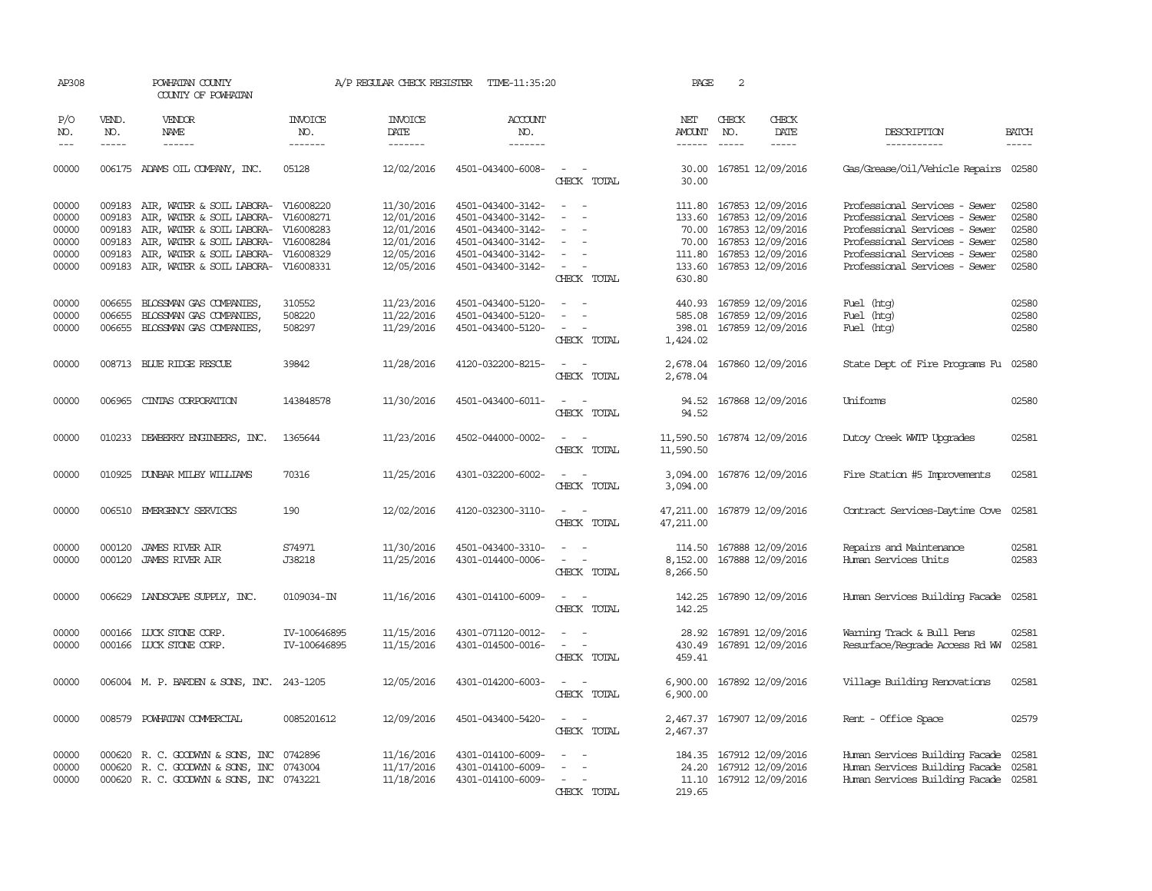| AP308                                              |                             | POWHATAN COUNTY<br>COUNTY OF POWHATAN                                                                                                                                                                     |                                                               | A/P REGULAR CHECK REGISTER                                                       | TIME-11:35:20                                                                                                              |                                                                                                                                                                               | PAGE                                     | 2                           |                                                                                                                                                |                                                                                                                                                                                                    |                                                    |
|----------------------------------------------------|-----------------------------|-----------------------------------------------------------------------------------------------------------------------------------------------------------------------------------------------------------|---------------------------------------------------------------|----------------------------------------------------------------------------------|----------------------------------------------------------------------------------------------------------------------------|-------------------------------------------------------------------------------------------------------------------------------------------------------------------------------|------------------------------------------|-----------------------------|------------------------------------------------------------------------------------------------------------------------------------------------|----------------------------------------------------------------------------------------------------------------------------------------------------------------------------------------------------|----------------------------------------------------|
| P/O<br>NO.<br>$---$                                | VEND.<br>NO.<br>$- - - - -$ | <b>VENDOR</b><br><b>NAME</b><br>$- - - - - -$                                                                                                                                                             | <b>INVOICE</b><br>NO.<br>-------                              | <b>INVOICE</b><br>DATE<br>$- - - - - - -$                                        | <b>ACCOUNT</b><br>NO.<br>-------                                                                                           |                                                                                                                                                                               | NET<br>AMOUNT<br>$- - - - - -$           | CHECK<br>NO.<br>$- - - - -$ | CHECK<br><b>DATE</b><br>$- - - - -$                                                                                                            | DESCRIPTION<br>-----------                                                                                                                                                                         | <b>BATCH</b><br>$- - - - -$                        |
| 00000                                              |                             | 006175 ADAMS OIL COMPANY, INC.                                                                                                                                                                            | 05128                                                         | 12/02/2016                                                                       | 4501-043400-6008-                                                                                                          | $\sim$ $ -$<br>CHECK TOTAL                                                                                                                                                    | 30.00                                    |                             | 30.00 167851 12/09/2016                                                                                                                        | Gas/Grease/Oil/Vehicle Repairs 02580                                                                                                                                                               |                                                    |
| 00000<br>00000<br>00000<br>00000<br>00000<br>00000 | 009183<br>009183<br>009183  | AIR, WATER & SOIL LABORA-<br>009183 AIR, WATER & SOIL LABORA- V16008271<br>AIR, WATER & SOIL LABORA-<br>009183 AIR, WATER & SOIL LABORA-<br>AIR, WATER & SOIL LABORA-<br>009183 AIR, WATER & SOIL LABORA- | V16008220<br>V16008283<br>V16008284<br>V16008329<br>V16008331 | 11/30/2016<br>12/01/2016<br>12/01/2016<br>12/01/2016<br>12/05/2016<br>12/05/2016 | 4501-043400-3142-<br>4501-043400-3142-<br>4501-043400-3142-<br>4501-043400-3142-<br>4501-043400-3142-<br>4501-043400-3142- | $\sim$<br>$\sim$<br>$\sim$<br>$\sim$<br>$\overline{\phantom{a}}$<br>$\overline{\phantom{a}}$<br>$\overline{\phantom{a}}$<br>$\overline{\phantom{a}}$<br>$\sim$<br>CHECK TOTAL | 70.00<br>111.80<br>133.60<br>630.80      |                             | 111.80 167853 12/09/2016<br>133.60 167853 12/09/2016<br>167853 12/09/2016<br>70.00 167853 12/09/2016<br>167853 12/09/2016<br>167853 12/09/2016 | Professional Services - Sewer<br>Professional Services - Sewer<br>Professional Services - Sewer<br>Professional Services - Sewer<br>Professional Services - Sewer<br>Professional Services - Sewer | 02580<br>02580<br>02580<br>02580<br>02580<br>02580 |
| 00000<br>00000<br>00000                            | 006655                      | 006655 BLOSSMAN GAS COMPANIES.<br>BLOSSMAN GAS COMPANIES,<br>006655 BLOSSMAN GAS COMPANIES,                                                                                                               | 310552<br>508220<br>508297                                    | 11/23/2016<br>11/22/2016<br>11/29/2016                                           | 4501-043400-5120-<br>4501-043400-5120-<br>4501-043400-5120-                                                                | $\sim$<br>$\sim$<br>$\equiv$<br>$\overline{a}$<br>$\sim$<br>$\sim$<br>CHECK TOTAL                                                                                             | 585.08<br>398.01<br>1,424.02             |                             | 440.93 167859 12/09/2016<br>167859 12/09/2016<br>167859 12/09/2016                                                                             | Fuel (htg)<br>Fuel (htg)<br>Fuel (htg)                                                                                                                                                             | 02580<br>02580<br>02580                            |
| 00000                                              |                             | 008713 BLUE RIDGE RESCUE                                                                                                                                                                                  | 39842                                                         | 11/28/2016                                                                       | 4120-032200-8215-                                                                                                          | $\sim$<br>$\sim$<br>CHECK TOTAL                                                                                                                                               | 2,678.04                                 |                             | 2,678.04 167860 12/09/2016                                                                                                                     | State Dept of Fire Programs Fu                                                                                                                                                                     | 02580                                              |
| 00000                                              |                             | 006965 CINIAS CORPORATION                                                                                                                                                                                 | 143848578                                                     | 11/30/2016                                                                       | 4501-043400-6011-                                                                                                          | $\sim$<br>$\sim$<br>CHECK TOTAL                                                                                                                                               | 94.52                                    |                             | 94.52 167868 12/09/2016                                                                                                                        | Uniforms                                                                                                                                                                                           | 02580                                              |
| 00000                                              |                             | 010233 DEWBERRY ENGINEERS, INC.                                                                                                                                                                           | 1365644                                                       | 11/23/2016                                                                       | 4502-044000-0002-                                                                                                          | $\omega_{\rm{max}}$ and $\omega_{\rm{max}}$<br>CHECK TOTAL                                                                                                                    | 11,590.50 167874 12/09/2016<br>11,590.50 |                             |                                                                                                                                                | Dutoy Creek WITP Upgrades                                                                                                                                                                          | 02581                                              |
| 00000                                              |                             | 010925 DUNBAR MILBY WILLIAMS                                                                                                                                                                              | 70316                                                         | 11/25/2016                                                                       | 4301-032200-6002-                                                                                                          | $\sim$ $ \sim$<br>CHECK TOTAL                                                                                                                                                 | 3,094.00                                 |                             | 3,094.00 167876 12/09/2016                                                                                                                     | Fire Station #5 Improvements                                                                                                                                                                       | 02581                                              |
| 00000                                              |                             | 006510 EMERGENCY SERVICES                                                                                                                                                                                 | 190                                                           | 12/02/2016                                                                       | 4120-032300-3110-                                                                                                          | $\sim$ $ \sim$<br>CHECK TOTAL                                                                                                                                                 | 47,211.00                                |                             | 47,211.00 167879 12/09/2016                                                                                                                    | Contract Services-Daytime Cove                                                                                                                                                                     | 02581                                              |
| 00000<br>00000                                     | 000120                      | <b>JAMES RIVER AIR</b><br>000120 JAMES RIVER AIR                                                                                                                                                          | S74971<br>J38218                                              | 11/30/2016<br>11/25/2016                                                         | 4501-043400-3310-<br>4301-014400-0006-                                                                                     | CHECK TOTAL                                                                                                                                                                   | 114.50<br>8,152.00<br>8,266.50           |                             | 167888 12/09/2016<br>167888 12/09/2016                                                                                                         | Repairs and Maintenance<br>Human Services Units                                                                                                                                                    | 02581<br>02583                                     |
| 00000                                              |                             | 006629 LANDSCAPE SUPPLY, INC.                                                                                                                                                                             | 0109034-IN                                                    | 11/16/2016                                                                       | 4301-014100-6009-                                                                                                          | $\sim$<br>CHECK TOTAL                                                                                                                                                         | 142.25                                   |                             | 142.25 167890 12/09/2016                                                                                                                       | Human Services Building Facade                                                                                                                                                                     | 02581                                              |
| 00000<br>00000                                     |                             | 000166 LUCK STONE CORP.<br>000166 LUCK STONE CORP.                                                                                                                                                        | IV-100646895<br>IV-100646895                                  | 11/15/2016<br>11/15/2016                                                         | 4301-071120-0012-<br>4301-014500-0016-                                                                                     | $\sim$<br>$\sim$<br>$\omega_{\rm{max}}$ and $\omega_{\rm{max}}$<br>CHECK TOTAL                                                                                                | 459.41                                   |                             | 28.92 167891 12/09/2016<br>430.49 167891 12/09/2016                                                                                            | Warning Track & Bull Pens<br>Resurface/Regrade Access Rd WW                                                                                                                                        | 02581<br>02581                                     |
| 00000                                              |                             | 006004 M. P. BARDEN & SONS, INC. 243-1205                                                                                                                                                                 |                                                               | 12/05/2016                                                                       | 4301-014200-6003-                                                                                                          | CHECK TOTAL                                                                                                                                                                   | 6,900.00<br>6,900.00                     |                             | 167892 12/09/2016                                                                                                                              | Village Building Renovations                                                                                                                                                                       | 02581                                              |
| 00000                                              |                             | 008579 POWHATAN COMMERCIAL                                                                                                                                                                                | 0085201612                                                    | 12/09/2016                                                                       | 4501-043400-5420-                                                                                                          | $\sim$<br>$\sim$<br>CHECK TOTAL                                                                                                                                               | 2,467.37                                 |                             | 2,467.37 167907 12/09/2016                                                                                                                     | Rent - Office Space                                                                                                                                                                                | 02579                                              |
| 00000<br>00000<br>00000                            |                             | 000620 R. C. GOODWYN & SONS, INC 0742896<br>000620 R.C. GOODWYN & SONS, INC<br>000620 R. C. GOODWYN & SONS, INC 0743221                                                                                   | 0743004                                                       | 11/16/2016<br>11/17/2016<br>11/18/2016                                           | 4301-014100-6009-<br>4301-014100-6009-<br>4301-014100-6009-                                                                | $\sim$<br>$\sim$<br>$\sim$<br>$\sim$ $-$<br>CHECK TOTAL                                                                                                                       | 219.65                                   |                             | 184.35 167912 12/09/2016<br>24.20 167912 12/09/2016<br>11.10 167912 12/09/2016                                                                 | Human Services Building Facade<br>Human Services Building Facade 02581<br>Human Services Building Facade 02581                                                                                     | 02581                                              |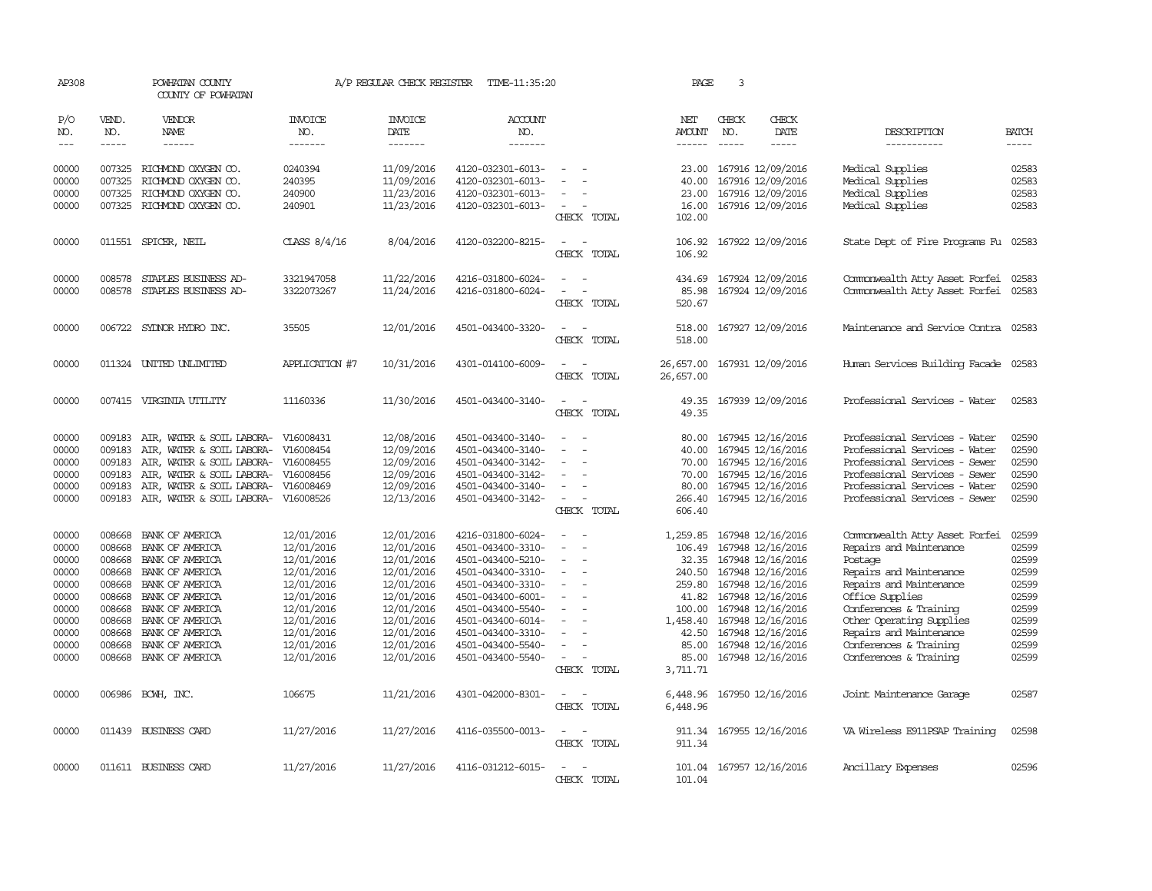| AP308               | POWHATAN COUNTY<br>COUNTY OF POWHATAN |                                                   | A/P REGULAR CHECK REGISTER       | TIME-11:35:20                     | PAGE                                   | 3                                                    |                                       |                               |                                        |                                           |                             |
|---------------------|---------------------------------------|---------------------------------------------------|----------------------------------|-----------------------------------|----------------------------------------|------------------------------------------------------|---------------------------------------|-------------------------------|----------------------------------------|-------------------------------------------|-----------------------------|
| P/O<br>NO.<br>$---$ | VEND.<br>NO.                          | <b>VENDOR</b><br>NAME<br>$- - - - - -$            | <b>INVOICE</b><br>NO.<br>------- | <b>INVOICE</b><br>DATE<br>------- | ACCOUNT<br>NO.<br>-------              |                                                      | NET<br><b>AMOUNT</b><br>$- - - - - -$ | CHECK<br>NO.<br>$\frac{1}{2}$ | CHECK<br>DATE<br>-----                 | DESCRIPTION<br>-----------                | <b>BATCH</b><br>$- - - - -$ |
|                     |                                       |                                                   |                                  |                                   |                                        |                                                      |                                       |                               |                                        |                                           |                             |
| 00000               | 007325                                | RICHMOND OXYGEN CO.                               | 0240394                          | 11/09/2016                        | 4120-032301-6013-                      |                                                      | 23.00                                 |                               | 167916 12/09/2016                      | Medical Supplies                          | 02583                       |
| 00000               | 007325                                | RICHMOND OXYGEN CO.                               | 240395                           | 11/09/2016                        | 4120-032301-6013-                      |                                                      | 40.00                                 |                               | 167916 12/09/2016                      | Medical Supplies                          | 02583                       |
| 00000<br>00000      | 007325                                | RICHMOND OXYGEN CO.<br>007325 RICHMOND OXYGEN CO. | 240900<br>240901                 | 11/23/2016<br>11/23/2016          | 4120-032301-6013-<br>4120-032301-6013- | $\sim$                                               | 23.00<br>16.00                        |                               | 167916 12/09/2016<br>167916 12/09/2016 | Medical Supplies<br>Medical Supplies      | 02583<br>02583              |
|                     |                                       |                                                   |                                  |                                   |                                        | CHECK TOTAL                                          | 102.00                                |                               |                                        |                                           |                             |
| 00000               |                                       | 011551 SPICER, NEIL                               | CLASS $8/4/16$                   | 8/04/2016                         | 4120-032200-8215-                      | $\equiv$<br>$\sim$                                   | 106.92                                |                               | 167922 12/09/2016                      | State Dept of Fire Programs Fu            | 02583                       |
|                     |                                       |                                                   |                                  |                                   |                                        | CHECK TOTAL                                          | 106.92                                |                               |                                        |                                           |                             |
| 00000               | 008578                                | STAPLES BUSINESS AD-                              | 3321947058                       | 11/22/2016                        | 4216-031800-6024-                      |                                                      | 434.69                                |                               | 167924 12/09/2016                      | Commonwealth Atty Asset Forfei            | 02583                       |
| 00000               | 008578                                | STAPLES BUSINESS AD-                              | 3322073267                       | 11/24/2016                        | 4216-031800-6024-                      | $\equiv$<br>CHECK TOTAL                              | 85.98<br>520.67                       |                               | 167924 12/09/2016                      | Commonwealth Atty Asset Forfei            | 02583                       |
|                     |                                       |                                                   |                                  |                                   |                                        |                                                      |                                       |                               |                                        |                                           |                             |
| 00000               |                                       | 006722 SYDNOR HYDRO INC.                          | 35505                            | 12/01/2016                        | 4501-043400-3320-                      | CHECK TOTAL                                          | 518.00<br>518.00                      |                               | 167927 12/09/2016                      | Maintenance and Service Contra 02583      |                             |
|                     |                                       |                                                   |                                  |                                   |                                        |                                                      |                                       |                               |                                        |                                           |                             |
| 00000               |                                       | 011324 UNITED UNLIMITED                           | APPLICATION #7                   | 10/31/2016                        | 4301-014100-6009-                      | CHECK TOTAL                                          | 26,657.00<br>26,657.00                |                               | 167931 12/09/2016                      | Human Services Building Facade 02583      |                             |
| 00000               |                                       | 007415 VIRGINIA UTILITY                           | 11160336                         | 11/30/2016                        | 4501-043400-3140-                      | $\sim$<br>$\sim$                                     | 49.35                                 |                               | 167939 12/09/2016                      | Professional Services - Water             | 02583                       |
|                     |                                       |                                                   |                                  |                                   |                                        | CHECK TOTAL                                          | 49.35                                 |                               |                                        |                                           |                             |
| 00000               | 009183                                | AIR, WATER & SOIL LABORA-                         | V16008431                        | 12/08/2016                        | 4501-043400-3140-                      |                                                      | 80.00                                 |                               | 167945 12/16/2016                      | Professional Services - Water             | 02590                       |
| 00000               | 009183                                | AIR, WATER & SOIL LABORA-                         | V16008454                        | 12/09/2016                        | 4501-043400-3140-                      |                                                      | 40.00                                 |                               | 167945 12/16/2016                      | Professional Services - Water             | 02590                       |
| 00000               | 009183                                | AIR, WATER & SOIL LABORA- V16008455               |                                  | 12/09/2016                        | 4501-043400-3142-                      | $\equiv$                                             | 70.00                                 |                               | 167945 12/16/2016                      | Professional Services - Sewer             | 02590                       |
| 00000               | 009183                                | AIR, WATER & SOIL LABORA-                         | V16008456                        | 12/09/2016                        | 4501-043400-3142-                      |                                                      | 70.00                                 |                               | 167945 12/16/2016                      | Professional Services - Sewer             | 02590                       |
| 00000               | 009183                                | AIR, WATER & SOIL LABORA-                         | V16008469                        | 12/09/2016                        | 4501-043400-3140-                      |                                                      | 80.00                                 |                               | 167945 12/16/2016                      | Professional Services - Water             | 02590                       |
| 00000               |                                       | 009183 AIR, WATER & SOIL LABORA- V16008526        |                                  | 12/13/2016                        | 4501-043400-3142-                      |                                                      | 266.40                                |                               | 167945 12/16/2016                      | Professional Services - Sewer             | 02590                       |
|                     |                                       |                                                   |                                  |                                   |                                        | CHECK TOTAL                                          | 606.40                                |                               |                                        |                                           |                             |
| 00000               | 008668                                | BANK OF AMERICA                                   | 12/01/2016                       | 12/01/2016                        | 4216-031800-6024-                      |                                                      | 1,259.85                              |                               | 167948 12/16/2016                      | Commonwealth Atty Asset Forfei            | 02599                       |
| 00000               | 008668                                | BANK OF AMERICA                                   | 12/01/2016                       | 12/01/2016                        | 4501-043400-3310-                      | $\overline{\phantom{a}}$<br>$\overline{\phantom{0}}$ | 106.49                                |                               | 167948 12/16/2016                      | Repairs and Maintenance                   | 02599                       |
| 00000               | 008668                                | BANK OF AMERICA                                   | 12/01/2016                       | 12/01/2016                        | 4501-043400-5210-                      | $\equiv$                                             | 32.35                                 |                               | 167948 12/16/2016                      | Postage                                   | 02599                       |
| 00000               | 008668                                | BANK OF AMERICA                                   | 12/01/2016                       | 12/01/2016                        | 4501-043400-3310-                      |                                                      | 240.50                                |                               | 167948 12/16/2016                      | Repairs and Maintenance                   | 02599                       |
| 00000               |                                       | 008668 BANK OF AMERICA                            | 12/01/2016                       | 12/01/2016                        | 4501-043400-3310-                      | $\overline{\phantom{a}}$                             | 259.80                                |                               | 167948 12/16/2016                      | Repairs and Maintenance                   | 02599                       |
| 00000<br>00000      | 008668                                | 008668 BANK OF AMERICA<br>BANK OF AMERICA         | 12/01/2016<br>12/01/2016         | 12/01/2016<br>12/01/2016          | 4501-043400-6001-<br>4501-043400-5540- |                                                      | 41.82<br>100.00                       |                               | 167948 12/16/2016<br>167948 12/16/2016 | Office Supplies<br>Conferences & Training | 02599<br>02599              |
| 00000               | 008668                                | BANK OF AMERICA                                   | 12/01/2016                       | 12/01/2016                        | 4501-043400-6014-                      |                                                      | 1,458.40                              |                               | 167948 12/16/2016                      | Other Operating Supplies                  | 02599                       |
| 00000               | 008668                                | BANK OF AMERICA                                   | 12/01/2016                       | 12/01/2016                        | 4501-043400-3310-                      | $\equiv$                                             | 42.50                                 |                               | 167948 12/16/2016                      | Repairs and Maintenance                   | 02599                       |
| 00000               | 008668                                | BANK OF AMERICA                                   | 12/01/2016                       | 12/01/2016                        | 4501-043400-5540-                      | $\equiv$                                             | 85.00                                 |                               | 167948 12/16/2016                      | Conferences & Training                    | 02599                       |
| 00000               |                                       | 008668 BANK OF AMERICA                            | 12/01/2016                       | 12/01/2016                        | 4501-043400-5540-                      |                                                      | 85.00                                 |                               | 167948 12/16/2016                      | Conferences & Training                    | 02599                       |
|                     |                                       |                                                   |                                  |                                   |                                        | CHECK TOTAL                                          | 3,711.71                              |                               |                                        |                                           |                             |
| 00000               |                                       | 006986 BCWH, INC.                                 | 106675                           | 11/21/2016                        | 4301-042000-8301-                      | $\sim$<br>$\overline{\phantom{a}}$                   | 6,448.96                              |                               | 167950 12/16/2016                      | Joint Maintenance Garage                  | 02587                       |
|                     |                                       |                                                   |                                  |                                   |                                        | CHECK TOTAL                                          | 6,448.96                              |                               |                                        |                                           |                             |
| 00000               |                                       | 011439 BUSINESS CARD                              | 11/27/2016                       | 11/27/2016                        | 4116-035500-0013-                      |                                                      | 911.34                                |                               | 167955 12/16/2016                      | VA Wireless E911PSAP Training             | 02598                       |
|                     |                                       |                                                   |                                  |                                   |                                        | CHECK TOTAL                                          | 911.34                                |                               |                                        |                                           |                             |
| 00000               |                                       | 011611 BUSINESS CARD                              | 11/27/2016                       | 11/27/2016                        | 4116-031212-6015-                      |                                                      | 101.04                                |                               | 167957 12/16/2016                      | Ancillary Expenses                        | 02596                       |
|                     |                                       |                                                   |                                  |                                   |                                        | CHECK TOTAL                                          | 101.04                                |                               |                                        |                                           |                             |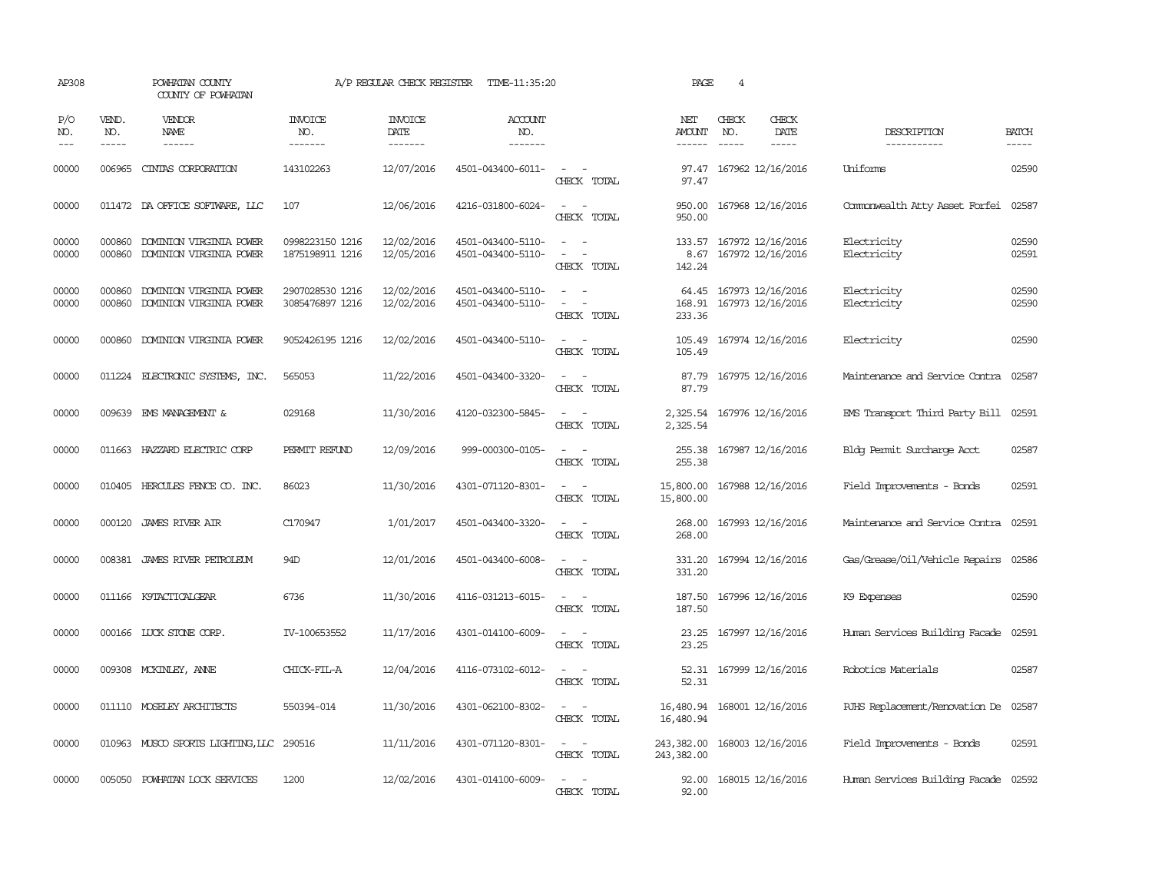| AP308               |                             | POWHATAN COUNTY<br>COUNTY OF POWHATAN                     |                                    | A/P REGULAR CHECK REGISTER        | TIME-11:35:20                          | PAGE                                                                                                                        | $\overline{4}$                 |                               |                                               |                                      |                             |
|---------------------|-----------------------------|-----------------------------------------------------------|------------------------------------|-----------------------------------|----------------------------------------|-----------------------------------------------------------------------------------------------------------------------------|--------------------------------|-------------------------------|-----------------------------------------------|--------------------------------------|-----------------------------|
| P/O<br>NO.<br>$---$ | VEND.<br>NO.<br>$- - - - -$ | VENDOR<br>NAME<br>$- - - - - -$                           | <b>INVOICE</b><br>NO.<br>-------   | <b>INVOICE</b><br>DATE<br>------- | <b>ACCOUNT</b><br>NO.<br>-------       |                                                                                                                             | NET<br>AMOUNT<br>$- - - - - -$ | CHECK<br>NO.<br>$\frac{1}{2}$ | CHECK<br>DATE<br>$\frac{1}{2}$                | DESCRIPTION<br>-----------           | <b>BATCH</b><br>$- - - - -$ |
| 00000               | 006965                      | CINIAS CORPORATION                                        | 143102263                          | 12/07/2016                        | 4501-043400-6011-                      | $\frac{1}{2} \left( \frac{1}{2} \right) \left( \frac{1}{2} \right) = \frac{1}{2} \left( \frac{1}{2} \right)$<br>CHECK TOTAL | 97.47<br>97.47                 |                               | 167962 12/16/2016                             | Uniforms                             | 02590                       |
| 00000               |                             | 011472 DA OFFICE SOFTWARE, LLC                            | 107                                | 12/06/2016                        | 4216-031800-6024-                      | CHECK TOTAL                                                                                                                 | 950.00<br>950.00               |                               | 167968 12/16/2016                             | Commonwealth Atty Asset Forfei       | 02587                       |
| 00000<br>00000      | 000860                      | DOMINION VIRGINIA POWER<br>000860 DOMINION VIRGINIA POWER | 0998223150 1216<br>1875198911 1216 | 12/02/2016<br>12/05/2016          | 4501-043400-5110-<br>4501-043400-5110- | $\equiv$<br>CHECK TOTAL                                                                                                     | 8.67<br>142.24                 |                               | 133.57 167972 12/16/2016<br>167972 12/16/2016 | Electricity<br>Electricity           | 02590<br>02591              |
| 00000<br>00000      | 000860<br>000860            | DOMINION VIRGINIA POWER<br>DOMINION VIRGINIA POWER        | 2907028530 1216<br>3085476897 1216 | 12/02/2016<br>12/02/2016          | 4501-043400-5110-<br>4501-043400-5110- | $\equiv$<br>$\overline{\phantom{a}}$<br>CHECK TOTAL                                                                         | 64.45<br>168.91<br>233.36      |                               | 167973 12/16/2016<br>167973 12/16/2016        | Electricity<br>Electricity           | 02590<br>02590              |
| 00000               |                             | 000860 DOMINION VIRGINIA POWER                            | 9052426195 1216                    | 12/02/2016                        | 4501-043400-5110-                      | $\equiv$<br>$\overline{\phantom{a}}$<br>CHECK TOTAL                                                                         | 105.49<br>105.49               |                               | 167974 12/16/2016                             | Electricity                          | 02590                       |
| 00000               |                             | 011224 ELECTRONIC SYSTEMS, INC.                           | 565053                             | 11/22/2016                        | 4501-043400-3320-                      | $\sim$ $\sim$<br>CHECK TOTAL                                                                                                | 87.79<br>87.79                 |                               | 167975 12/16/2016                             | Maintenance and Service Contra       | 02587                       |
| 00000               |                             | 009639 EMS MANAGEMENT &                                   | 029168                             | 11/30/2016                        | 4120-032300-5845-                      | $\sim$<br>$\overline{\phantom{0}}$<br>CHECK TOTAL                                                                           | 2,325.54                       |                               | 2,325.54 167976 12/16/2016                    | EMS Transport Third Party Bill 02591 |                             |
| 00000               | 011663                      | HAZZARD ELECTRIC CORP                                     | PERMIT REFUND                      | 12/09/2016                        | 999-000300-0105-                       | CHECK TOTAL                                                                                                                 | 255.38<br>255.38               |                               | 167987 12/16/2016                             | Blog Permit Surcharge Acct           | 02587                       |
| 00000               |                             | 010405 HERCULES FENCE CO. INC.                            | 86023                              | 11/30/2016                        | 4301-071120-8301-                      | $\overline{\phantom{a}}$<br>$\sim$<br>CHECK TOTAL                                                                           | 15,800.00<br>15,800.00         |                               | 167988 12/16/2016                             | Field Improvements - Bonds           | 02591                       |
| 00000               |                             | 000120 JAMES RIVER AIR                                    | C170947                            | 1/01/2017                         | 4501-043400-3320-                      | $\sim$<br>CHECK TOTAL                                                                                                       | 268.00<br>268.00               |                               | 167993 12/16/2016                             | Maintenance and Service Contra       | 02591                       |
| 00000               |                             | 008381 JAMES RIVER PETROLEUM                              | 94D                                | 12/01/2016                        | 4501-043400-6008-                      | $\sim$<br>CHECK TOTAL                                                                                                       | 331.20<br>331.20               |                               | 167994 12/16/2016                             | Gas/Grease/Oil/Vehicle Repairs       | 02586                       |
| 00000               |                             | 011166 K9TACTICALGEAR                                     | 6736                               | 11/30/2016                        | 4116-031213-6015-                      | CHECK TOTAL                                                                                                                 | 187.50<br>187.50               |                               | 167996 12/16/2016                             | K9 Expenses                          | 02590                       |
| 00000               |                             | 000166 LUCK STONE CORP.                                   | IV-100653552                       | 11/17/2016                        | 4301-014100-6009-                      | CHECK TOTAL                                                                                                                 | 23.25<br>23.25                 |                               | 167997 12/16/2016                             | Human Services Building Facade       | 02591                       |
| 00000               |                             | 009308 MCKINLEY, ANNE                                     | CHICK-FIL-A                        | 12/04/2016                        | 4116-073102-6012-                      | CHECK TOTAL                                                                                                                 | 52.31<br>52.31                 |                               | 167999 12/16/2016                             | Robotics Materials                   | 02587                       |
| 00000               |                             | 011110 MOSELEY ARCHITECTS                                 | 550394-014                         | 11/30/2016                        | 4301-062100-8302-                      | $\sim$<br>$\overline{\phantom{a}}$<br>CHECK TOTAL                                                                           | 16,480.94<br>16,480.94         |                               | 168001 12/16/2016                             | RJHS Replacement/Renovation De       | 02587                       |
| 00000               |                             | 010963 MUSCO SPORTS LIGHTING, LLC 290516                  |                                    | 11/11/2016                        | 4301-071120-8301-                      | $\sim$<br>CHECK TOTAL                                                                                                       | 243,382.00<br>243,382.00       |                               | 168003 12/16/2016                             | Field Improvements - Bonds           | 02591                       |
| 00000               |                             | 005050 POWHATAN LOCK SERVICES                             | 1200                               | 12/02/2016                        | 4301-014100-6009-                      | CHECK TOTAL                                                                                                                 | 92.00<br>92.00                 |                               | 168015 12/16/2016                             | Human Services Building Facade 02592 |                             |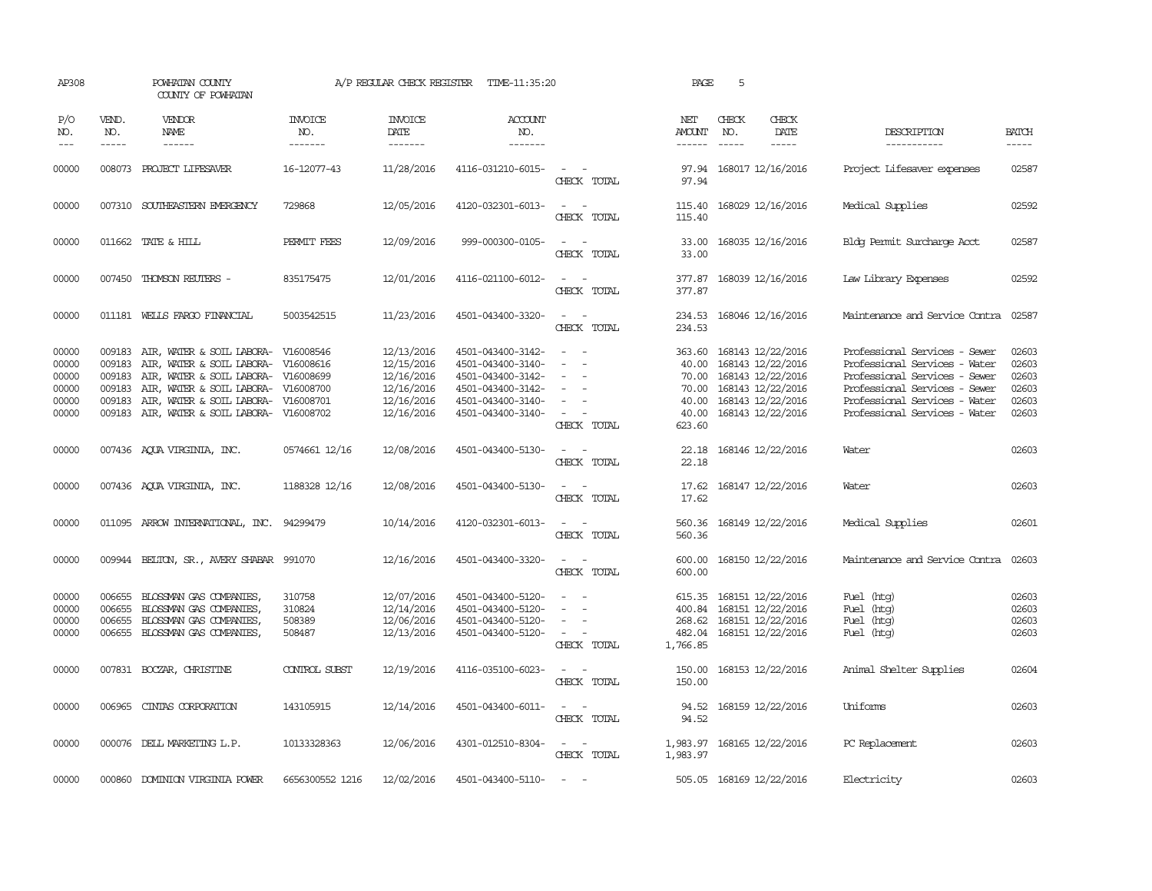| AP308                                              |                                                | POWHATAN COUNTY<br>COUNTY OF POWHATAN                                                                                                                                                                 |                                                  | A/P REGULAR CHECK REGISTER                                                       | TIME-11:35:20                                                                                                              |                                                                                                                             | PAGE                                                          | 5                                                                                                                          |                                                                                                                                                                                                    |                                                    |
|----------------------------------------------------|------------------------------------------------|-------------------------------------------------------------------------------------------------------------------------------------------------------------------------------------------------------|--------------------------------------------------|----------------------------------------------------------------------------------|----------------------------------------------------------------------------------------------------------------------------|-----------------------------------------------------------------------------------------------------------------------------|---------------------------------------------------------------|----------------------------------------------------------------------------------------------------------------------------|----------------------------------------------------------------------------------------------------------------------------------------------------------------------------------------------------|----------------------------------------------------|
| P/O<br>NO.<br>$---$                                | VEND.<br>NO.<br>$- - - - -$                    | <b>VENDOR</b><br>NAME                                                                                                                                                                                 | <b>INVOICE</b><br>NO.<br>-------                 | <b>INVOICE</b><br>DATE<br>-------                                                | <b>ACCOUNT</b><br>NO.<br>-------                                                                                           |                                                                                                                             | NET<br>AMOUNT<br>------                                       | CHECK<br>CHECK<br>DATE<br>NO.<br>$- - - - -$<br>$\frac{1}{2}$                                                              | DESCRIPTION<br>-----------                                                                                                                                                                         | <b>BATCH</b><br>-----                              |
| 00000                                              | 008073                                         | PROJECT LIFESAVER                                                                                                                                                                                     | 16-12077-43                                      | 11/28/2016                                                                       | 4116-031210-6015-                                                                                                          | $\sim$<br>CHECK TOTAL                                                                                                       | 97.94<br>97.94                                                | 168017 12/16/2016                                                                                                          | Project Lifesaver expenses                                                                                                                                                                         | 02587                                              |
| 00000                                              |                                                | 007310 SOUTHEASTERN EMERGENCY                                                                                                                                                                         | 729868                                           | 12/05/2016                                                                       | 4120-032301-6013-                                                                                                          | $\sim$ 10 $\sim$ 10 $\sim$<br>CHECK TOTAL                                                                                   | 115.40<br>115.40                                              | 168029 12/16/2016                                                                                                          | Medical Supplies                                                                                                                                                                                   | 02592                                              |
| 00000                                              |                                                | 011662 TATE & HILL                                                                                                                                                                                    | PERMIT FEES                                      | 12/09/2016                                                                       | 999-000300-0105-                                                                                                           | CHECK TOTAL                                                                                                                 | 33.00                                                         | 33.00 168035 12/16/2016                                                                                                    | Blog Permit Surcharge Acct                                                                                                                                                                         | 02587                                              |
| 00000                                              |                                                | 007450 THOMSON REUTERS -                                                                                                                                                                              | 835175475                                        | 12/01/2016                                                                       | 4116-021100-6012-                                                                                                          | $\sim$ $\sim$<br>CHECK TOTAL                                                                                                | 377.87<br>377.87                                              | 168039 12/16/2016                                                                                                          | Law Library Expenses                                                                                                                                                                               | 02592                                              |
| 00000                                              |                                                | 011181 WELLS FARGO FINANCIAL                                                                                                                                                                          | 5003542515                                       | 11/23/2016                                                                       | 4501-043400-3320-                                                                                                          | $\sim$ $\sim$<br>CHECK TOTAL                                                                                                | 234.53<br>234.53                                              | 168046 12/16/2016                                                                                                          | Maintenance and Service Contra                                                                                                                                                                     | 02587                                              |
| 00000<br>00000<br>00000<br>00000<br>00000<br>00000 | 009183<br>009183<br>009183<br>009183<br>009183 | AIR, WATER & SOIL LABORA-<br>AIR, WATER & SOIL LABORA-<br>AIR, WATER & SOIL LABORA-<br>AIR, WATER & SOIL LABORA-<br>AIR, WATER & SOIL LABORA- V16008701<br>009183 AIR, WATER & SOIL LABORA- V16008702 | V16008546<br>V16008616<br>V16008699<br>V16008700 | 12/13/2016<br>12/15/2016<br>12/16/2016<br>12/16/2016<br>12/16/2016<br>12/16/2016 | 4501-043400-3142-<br>4501-043400-3140-<br>4501-043400-3142-<br>4501-043400-3142-<br>4501-043400-3140-<br>4501-043400-3140- | $\overline{\phantom{a}}$<br>$\sim$<br>CHECK TOTAL                                                                           | 363.60<br>40.00<br>70.00<br>70.00<br>40.00<br>40.00<br>623.60 | 168143 12/22/2016<br>168143 12/22/2016<br>168143 12/22/2016<br>168143 12/22/2016<br>168143 12/22/2016<br>168143 12/22/2016 | Professional Services - Sewer<br>Professional Services - Water<br>Professional Services - Sewer<br>Professional Services - Sewer<br>Professional Services - Water<br>Professional Services - Water | 02603<br>02603<br>02603<br>02603<br>02603<br>02603 |
| 00000                                              |                                                | 007436 AQUA VIRGINIA, INC.                                                                                                                                                                            | 0574661 12/16                                    | 12/08/2016                                                                       | 4501-043400-5130-                                                                                                          | $\sim$<br>. —<br>CHECK TOTAL                                                                                                | 22.18<br>22.18                                                | 168146 12/22/2016                                                                                                          | Water                                                                                                                                                                                              | 02603                                              |
| 00000                                              |                                                | 007436 AQUA VIRGINIA, INC.                                                                                                                                                                            | 1188328 12/16                                    | 12/08/2016                                                                       | 4501-043400-5130-                                                                                                          | $\sim$ $\sim$<br>CHECK TOTAL                                                                                                | 17.62<br>17.62                                                | 168147 12/22/2016                                                                                                          | Water                                                                                                                                                                                              | 02603                                              |
| 00000                                              |                                                | 011095 ARROW INTERNATIONAL, INC.                                                                                                                                                                      | 94299479                                         | 10/14/2016                                                                       | 4120-032301-6013-                                                                                                          | $\sim$ $ \sim$<br>CHECK TOTAL                                                                                               | 560.36                                                        | 560.36 168149 12/22/2016                                                                                                   | Medical Supplies                                                                                                                                                                                   | 02601                                              |
| 00000                                              |                                                | 009944 BELTON, SR., AVERY SHABAR 991070                                                                                                                                                               |                                                  | 12/16/2016                                                                       | 4501-043400-3320-                                                                                                          | $\frac{1}{2} \left( \frac{1}{2} \right) \left( \frac{1}{2} \right) = \frac{1}{2} \left( \frac{1}{2} \right)$<br>CHECK TOTAL | 600.00                                                        | 600.00 168150 12/22/2016                                                                                                   | Maintenance and Service Contra 02603                                                                                                                                                               |                                                    |
| 00000<br>00000<br>00000<br>00000                   | 006655<br>006655<br>006655                     | BLOSSMAN GAS COMPANIES,<br>BLOSSMAN GAS COMPANIES,<br>BLOSSMAN GAS COMPANIES,<br>006655 BLOSSMAN GAS COMPANIES,                                                                                       | 310758<br>310824<br>508389<br>508487             | 12/07/2016<br>12/14/2016<br>12/06/2016<br>12/13/2016                             | 4501-043400-5120-<br>4501-043400-5120-<br>4501-043400-5120-<br>4501-043400-5120-                                           | $\overline{\phantom{a}}$<br>$\sim$<br>CHECK TOTAL                                                                           | 615.35<br>400.84<br>482.04<br>1,766.85                        | 168151 12/22/2016<br>168151 12/22/2016<br>268.62 168151 12/22/2016<br>168151 12/22/2016                                    | Fuel (htg)<br>Fuel (htg)<br>Fuel (htg)<br>Fuel (htg)                                                                                                                                               | 02603<br>02603<br>02603<br>02603                   |
| 00000                                              |                                                | 007831 BOCZAR, CHRISTINE                                                                                                                                                                              | CONTROL SUBST                                    | 12/19/2016                                                                       | 4116-035100-6023-                                                                                                          | $\sim$ 100 $\mu$<br>CHECK TOTAL                                                                                             | 150.00<br>150.00                                              | 168153 12/22/2016                                                                                                          | Animal Shelter Supplies                                                                                                                                                                            | 02604                                              |
| 00000                                              |                                                | 006965 CINTAS CORPORATION                                                                                                                                                                             | 143105915                                        | 12/14/2016                                                                       | 4501-043400-6011-                                                                                                          | $\sim$<br>CHECK TOTAL                                                                                                       | 94.52                                                         | 94.52 168159 12/22/2016                                                                                                    | <b>Uniforms</b>                                                                                                                                                                                    | 02603                                              |
| 00000                                              |                                                | 000076 DELL MARKETING L.P.                                                                                                                                                                            | 10133328363                                      | 12/06/2016                                                                       | 4301-012510-8304-                                                                                                          | $\sim$ $  -$<br>CHECK TOTAL                                                                                                 | 1,983.97                                                      | 1,983.97 168165 12/22/2016                                                                                                 | PC Replacement                                                                                                                                                                                     | 02603                                              |
| 00000                                              | 000860                                         | DOMINION VIRGINIA POWER                                                                                                                                                                               | 6656300552 1216                                  | 12/02/2016                                                                       | 4501-043400-5110-                                                                                                          |                                                                                                                             |                                                               | 505.05 168169 12/22/2016                                                                                                   | Electricity                                                                                                                                                                                        | 02603                                              |